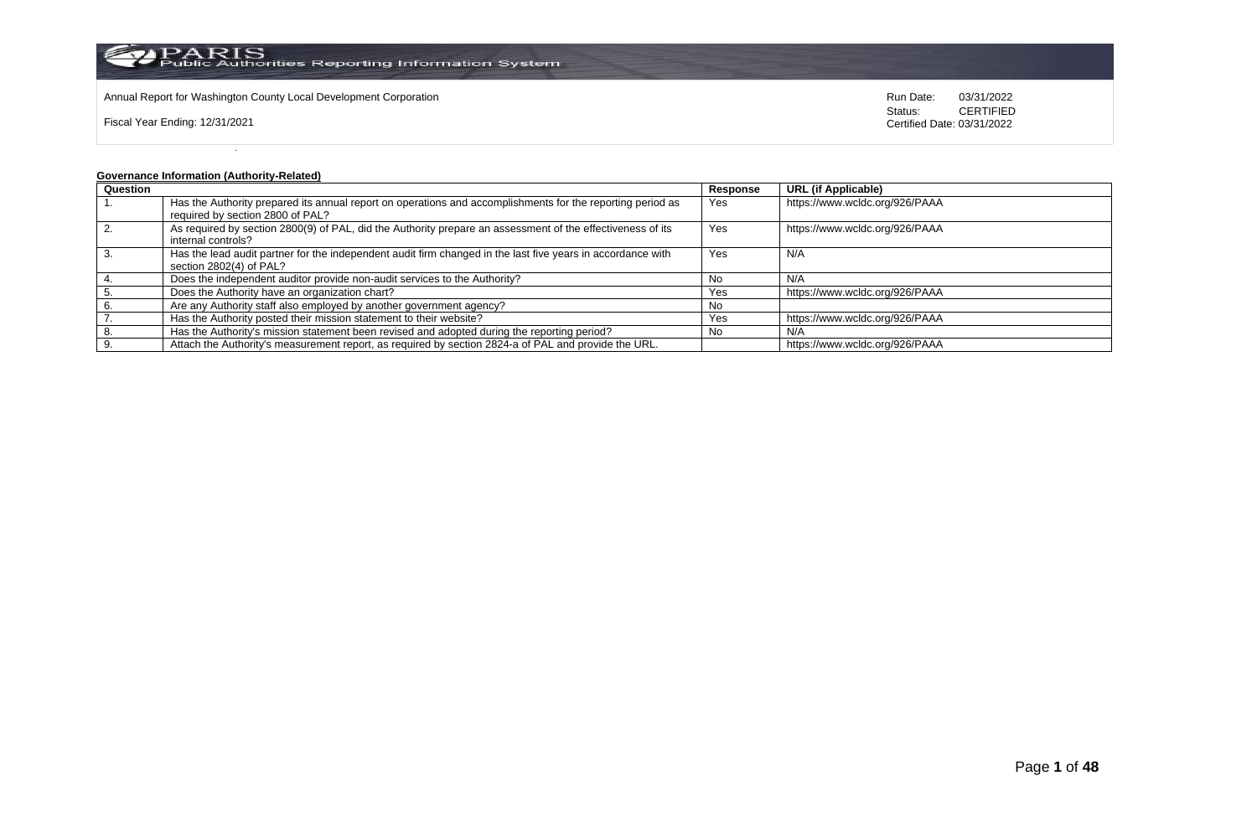

Annual Report for Washington County Local Development Corporation Run Date: 03/31/2022

Fiscal Year Ending: 12/31/2021

Status: **CERTIFIED** Certified Date: 03/31/2022

# **Governance Information (Authority-Related)**

| Question |                                                                                                                                                | Response | <b>URL</b> (if Applicable)     |
|----------|------------------------------------------------------------------------------------------------------------------------------------------------|----------|--------------------------------|
|          | Has the Authority prepared its annual report on operations and accomplishments for the reporting period as<br>required by section 2800 of PAL? | Yes      | https://www.wcldc.org/926/PAAA |
|          |                                                                                                                                                |          |                                |
|          | As required by section 2800(9) of PAL, did the Authority prepare an assessment of the effectiveness of its                                     | Yes      | https://www.wcldc.org/926/PAAA |
|          | internal controls?                                                                                                                             |          |                                |
|          | Has the lead audit partner for the independent audit firm changed in the last five years in accordance with                                    | Yes      | N/A                            |
|          | section 2802(4) of PAL?                                                                                                                        |          |                                |
|          | Does the independent auditor provide non-audit services to the Authority?                                                                      | No.      | N/A                            |
|          | Does the Authority have an organization chart?                                                                                                 | Yes      | https://www.wcldc.org/926/PAAA |
|          | Are any Authority staff also employed by another government agency?                                                                            | No       |                                |
|          | Has the Authority posted their mission statement to their website?                                                                             | Yes      | https://www.wcldc.org/926/PAAA |
|          | Has the Authority's mission statement been revised and adopted during the reporting period?                                                    | No       | N/A                            |
|          | Attach the Authority's measurement report, as required by section 2824-a of PAL and provide the URL.                                           |          | https://www.wcldc.org/926/PAAA |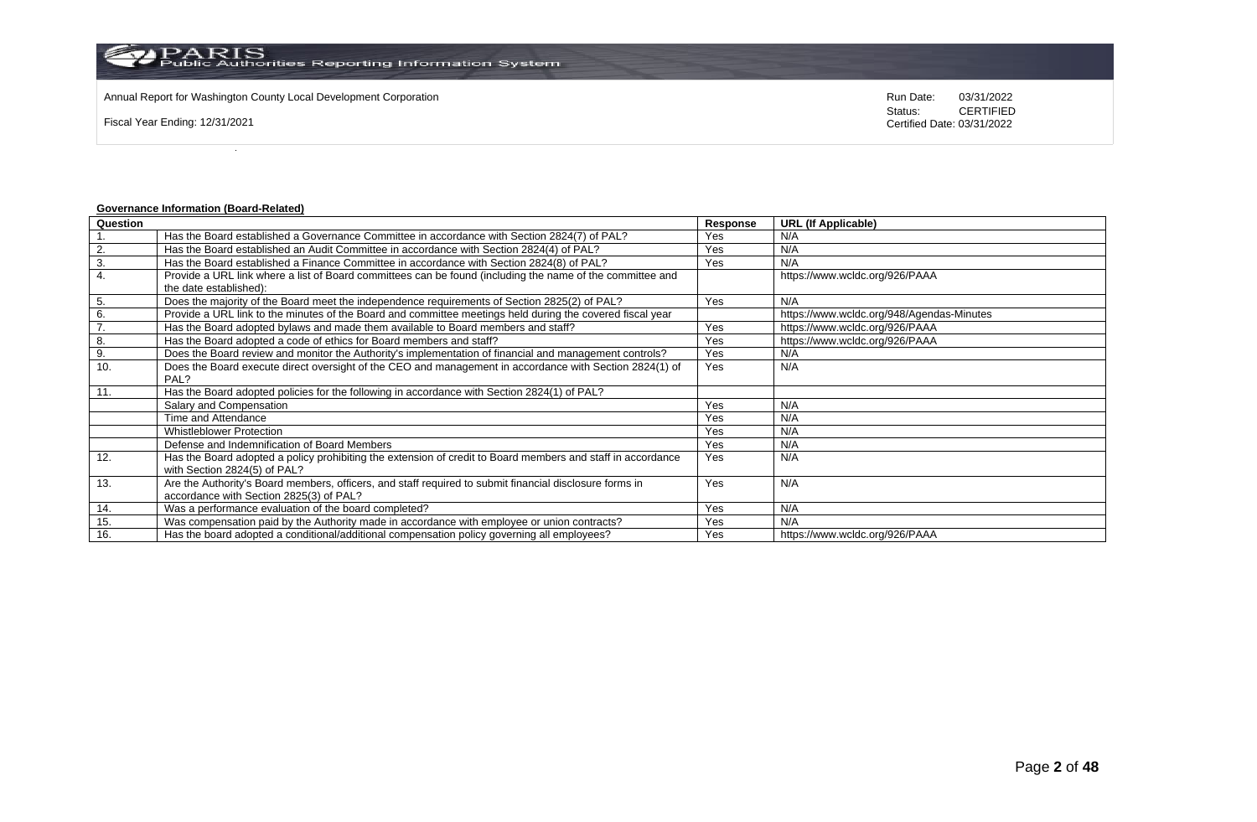Annual Report for Washington County Local Development Corporation Run Date: 03/31/2022

Fiscal Year Ending: 12/31/2021

Status: **CERTIFIED** Certified Date: 03/31/2022

# **Governance Information (Board-Related)**

| Question |                                                                                                             | Response | <b>URL (If Applicable)</b>                |
|----------|-------------------------------------------------------------------------------------------------------------|----------|-------------------------------------------|
|          | Has the Board established a Governance Committee in accordance with Section 2824(7) of PAL?                 | Yes      | N/A                                       |
| 2.       | Has the Board established an Audit Committee in accordance with Section 2824(4) of PAL?                     | Yes      | N/A                                       |
| 3.       | Has the Board established a Finance Committee in accordance with Section 2824(8) of PAL?                    | Yes      | N/A                                       |
| 4.       | Provide a URL link where a list of Board committees can be found (including the name of the committee and   |          | https://www.wcldc.org/926/PAAA            |
|          | the date established):                                                                                      |          |                                           |
| 5.       | Does the majority of the Board meet the independence requirements of Section 2825(2) of PAL?                | Yes      | N/A                                       |
| 6.       | Provide a URL link to the minutes of the Board and committee meetings held during the covered fiscal year   |          | https://www.wcldc.org/948/Agendas-Minutes |
| 7.       | Has the Board adopted bylaws and made them available to Board members and staff?                            | Yes      | https://www.wcldc.org/926/PAAA            |
| 8.       | Has the Board adopted a code of ethics for Board members and staff?                                         | Yes      | https://www.wcldc.org/926/PAAA            |
| 9.       | Does the Board review and monitor the Authority's implementation of financial and management controls?      | Yes      | N/A                                       |
| 10.      | Does the Board execute direct oversight of the CEO and management in accordance with Section 2824(1) of     | Yes      | N/A                                       |
|          | PAL?                                                                                                        |          |                                           |
| 11.      | Has the Board adopted policies for the following in accordance with Section 2824(1) of PAL?                 |          |                                           |
|          | Salary and Compensation                                                                                     | Yes      | N/A                                       |
|          | Time and Attendance                                                                                         | Yes      | N/A                                       |
|          | <b>Whistleblower Protection</b>                                                                             | Yes      | N/A                                       |
|          | Defense and Indemnification of Board Members                                                                | Yes      | N/A                                       |
| 12.      | Has the Board adopted a policy prohibiting the extension of credit to Board members and staff in accordance | Yes      | N/A                                       |
|          | with Section 2824(5) of PAL?                                                                                |          |                                           |
| 13.      | Are the Authority's Board members, officers, and staff required to submit financial disclosure forms in     | Yes      | N/A                                       |
|          | accordance with Section 2825(3) of PAL?                                                                     |          |                                           |
| 14.      | Was a performance evaluation of the board completed?                                                        | Yes      | N/A                                       |
| 15.      | Was compensation paid by the Authority made in accordance with employee or union contracts?                 | Yes      | N/A                                       |
| 16.      | Has the board adopted a conditional/additional compensation policy governing all employees?                 | Yes      | https://www.wcldc.org/926/PAAA            |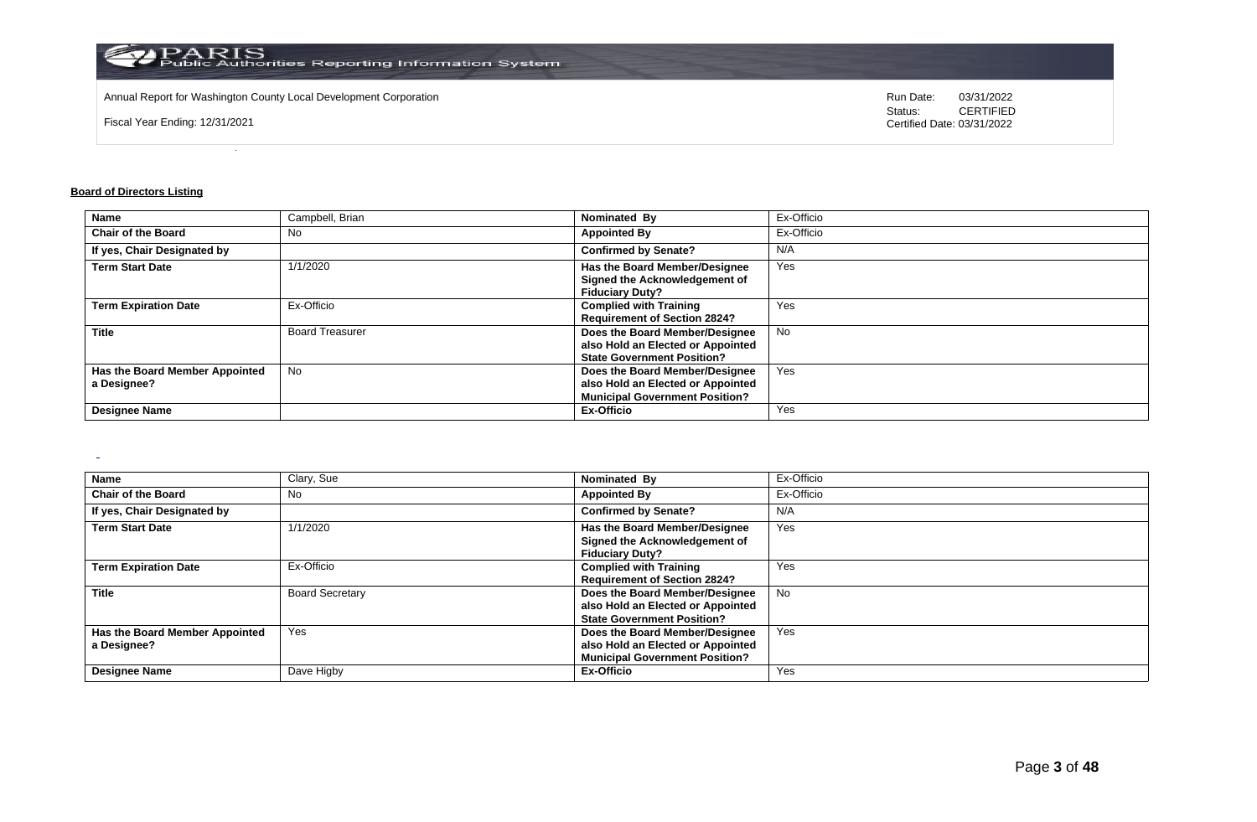

Annual Report for Washington County Local Development Corporation Run Date: 03/31/2022

Fiscal Year Ending: 12/31/2021

Status: **CERTIFIED** Certified Date: 03/31/2022

# **Board of Directors Listing**

 $\sim$ 

| <b>Name</b>                    | Campbell, Brian        | Nominated By                          | Ex-Officio |
|--------------------------------|------------------------|---------------------------------------|------------|
| <b>Chair of the Board</b>      | No.                    | <b>Appointed By</b>                   | Ex-Officio |
| If yes, Chair Designated by    |                        | <b>Confirmed by Senate?</b>           | N/A        |
| <b>Term Start Date</b>         | 1/1/2020               | Has the Board Member/Designee         | Yes        |
|                                |                        | Signed the Acknowledgement of         |            |
|                                |                        | <b>Fiduciary Duty?</b>                |            |
| <b>Term Expiration Date</b>    | Ex-Officio             | <b>Complied with Training</b>         | Yes        |
|                                |                        | <b>Requirement of Section 2824?</b>   |            |
| <b>Title</b>                   | <b>Board Treasurer</b> | Does the Board Member/Designee        | No         |
|                                |                        | also Hold an Elected or Appointed     |            |
|                                |                        | <b>State Government Position?</b>     |            |
| Has the Board Member Appointed | <b>No</b>              | Does the Board Member/Designee        | Yes        |
| a Designee?                    |                        | also Hold an Elected or Appointed     |            |
|                                |                        | <b>Municipal Government Position?</b> |            |
| <b>Designee Name</b>           |                        | Ex-Officio                            | Yes        |

| Name                                          | Clary, Sue             | Nominated By                                                                                                 | Ex-Officio |
|-----------------------------------------------|------------------------|--------------------------------------------------------------------------------------------------------------|------------|
| <b>Chair of the Board</b>                     | No                     | <b>Appointed By</b>                                                                                          | Ex-Officio |
| If yes, Chair Designated by                   |                        | <b>Confirmed by Senate?</b>                                                                                  | N/A        |
| <b>Term Start Date</b>                        | 1/1/2020               | Has the Board Member/Designee<br>Signed the Acknowledgement of<br><b>Fiduciary Duty?</b>                     | Yes        |
| <b>Term Expiration Date</b>                   | Ex-Officio             | <b>Complied with Training</b><br><b>Requirement of Section 2824?</b>                                         | Yes        |
| <b>Title</b>                                  | <b>Board Secretary</b> | Does the Board Member/Designee<br>also Hold an Elected or Appointed<br><b>State Government Position?</b>     | No         |
| Has the Board Member Appointed<br>a Designee? | Yes                    | Does the Board Member/Designee<br>also Hold an Elected or Appointed<br><b>Municipal Government Position?</b> | Yes        |
| <b>Designee Name</b>                          | Dave Higby             | Ex-Officio                                                                                                   | Yes        |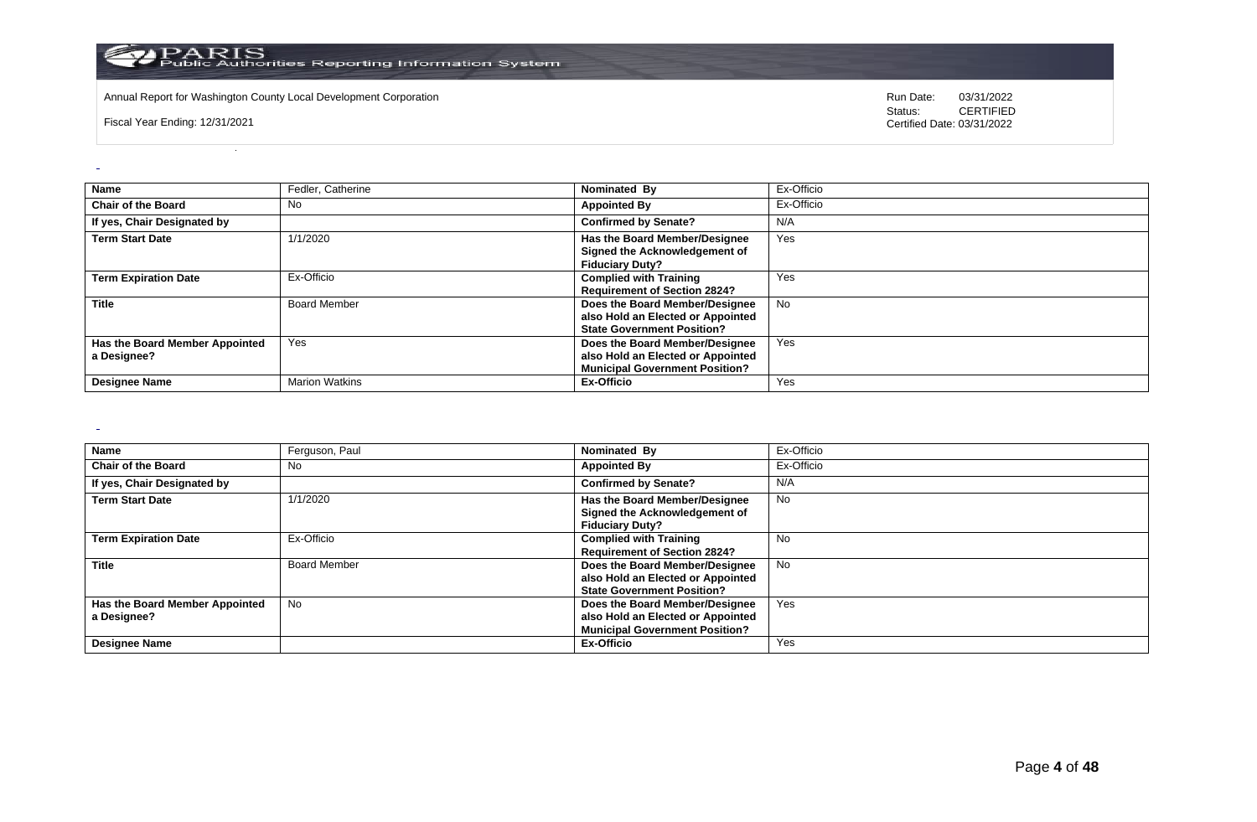

Annual Report for Washington County Local Development Corporation **Computer Computer Construction** Run Date: 03/31/2022<br>
Status: CERTIFIED

Fiscal Year Ending: 12/31/2021

CERTIFIED Certified Date: 03/31/2022

| Name                                          | Fedler, Catherine     | Nominated By                                                                                                 | Ex-Officio |
|-----------------------------------------------|-----------------------|--------------------------------------------------------------------------------------------------------------|------------|
| <b>Chair of the Board</b>                     | No                    | <b>Appointed By</b>                                                                                          | Ex-Officio |
| If yes, Chair Designated by                   |                       | <b>Confirmed by Senate?</b>                                                                                  | N/A        |
| <b>Term Start Date</b>                        | 1/1/2020              | Has the Board Member/Designee<br>Signed the Acknowledgement of<br><b>Fiduciary Duty?</b>                     | Yes        |
| <b>Term Expiration Date</b>                   | Ex-Officio            | <b>Complied with Training</b><br><b>Requirement of Section 2824?</b>                                         | Yes        |
| <b>Title</b>                                  | <b>Board Member</b>   | Does the Board Member/Designee<br>also Hold an Elected or Appointed<br><b>State Government Position?</b>     | <b>No</b>  |
| Has the Board Member Appointed<br>a Designee? | Yes                   | Does the Board Member/Designee<br>also Hold an Elected or Appointed<br><b>Municipal Government Position?</b> | Yes        |
| <b>Designee Name</b>                          | <b>Marion Watkins</b> | Ex-Officio                                                                                                   | Yes        |

 $\sim$ 

| <b>Name</b>                    | Ferguson, Paul      | Nominated By                          | Ex-Officio |
|--------------------------------|---------------------|---------------------------------------|------------|
| <b>Chair of the Board</b>      | No                  | <b>Appointed By</b>                   | Ex-Officio |
| If yes, Chair Designated by    |                     | <b>Confirmed by Senate?</b>           | N/A        |
| <b>Term Start Date</b>         | 1/1/2020            | Has the Board Member/Designee         | No         |
|                                |                     | Signed the Acknowledgement of         |            |
|                                |                     | <b>Fiduciary Duty?</b>                |            |
| <b>Term Expiration Date</b>    | Ex-Officio          | <b>Complied with Training</b>         | <b>No</b>  |
|                                |                     | <b>Requirement of Section 2824?</b>   |            |
| <b>Title</b>                   | <b>Board Member</b> | Does the Board Member/Designee        | No.        |
|                                |                     | also Hold an Elected or Appointed     |            |
|                                |                     | <b>State Government Position?</b>     |            |
| Has the Board Member Appointed | No                  | Does the Board Member/Designee        | Yes        |
| a Designee?                    |                     | also Hold an Elected or Appointed     |            |
|                                |                     | <b>Municipal Government Position?</b> |            |
| <b>Designee Name</b>           |                     | Ex-Officio                            | Yes        |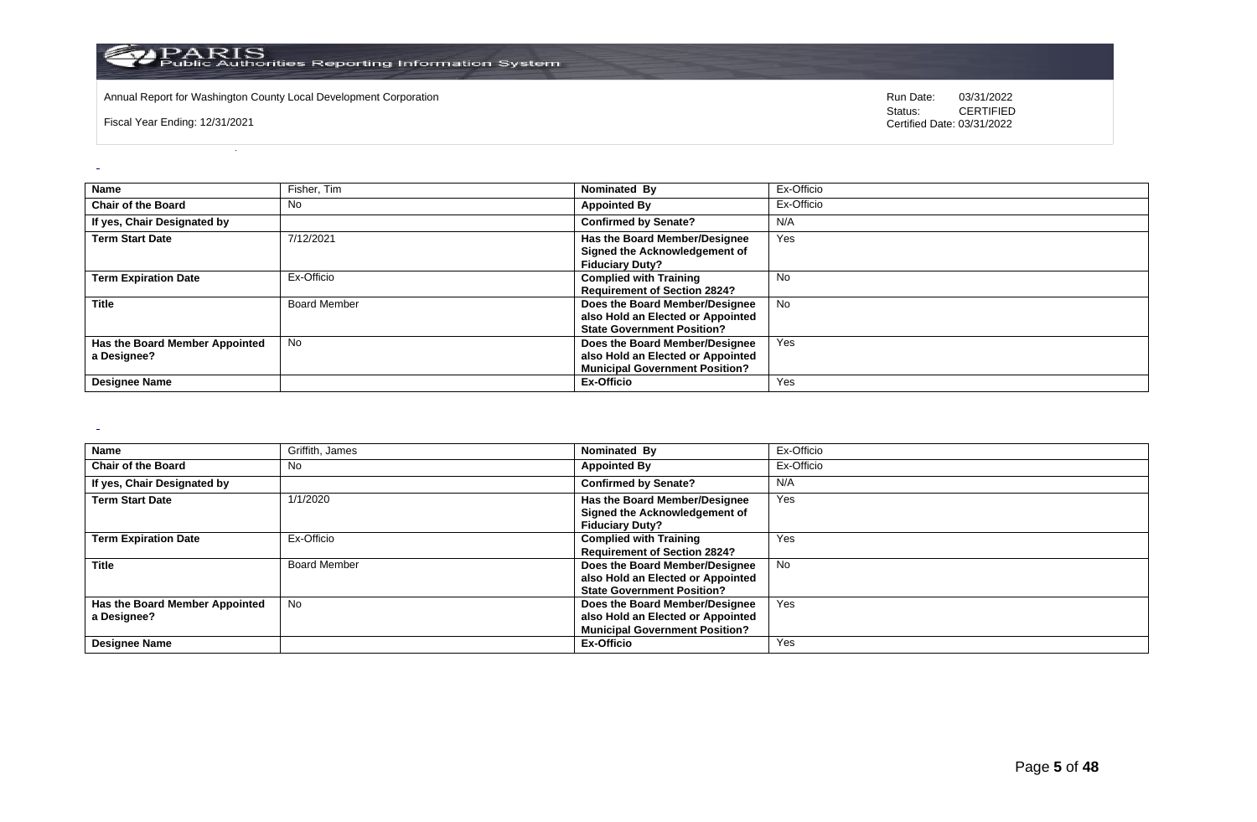

Annual Report for Washington County Local Development Corporation **Computer Computer Construction** Run Date: 03/31/2022<br>
Status: CERTIFIED

Fiscal Year Ending: 12/31/2021

CERTIFIED Certified Date: 03/31/2022

| <b>Name</b>                                   | Fisher, Tim         | Nominated By                                                                                                 | Ex-Officio |
|-----------------------------------------------|---------------------|--------------------------------------------------------------------------------------------------------------|------------|
| <b>Chair of the Board</b>                     | No                  | <b>Appointed By</b>                                                                                          | Ex-Officio |
| If yes, Chair Designated by                   |                     | <b>Confirmed by Senate?</b>                                                                                  | N/A        |
| <b>Term Start Date</b>                        | 7/12/2021           | Has the Board Member/Designee<br>Signed the Acknowledgement of<br><b>Fiduciary Duty?</b>                     | Yes        |
| <b>Term Expiration Date</b>                   | Ex-Officio          | <b>Complied with Training</b><br><b>Requirement of Section 2824?</b>                                         | <b>No</b>  |
| <b>Title</b>                                  | <b>Board Member</b> | Does the Board Member/Designee<br>also Hold an Elected or Appointed<br><b>State Government Position?</b>     | <b>No</b>  |
| Has the Board Member Appointed<br>a Designee? | <b>No</b>           | Does the Board Member/Designee<br>also Hold an Elected or Appointed<br><b>Municipal Government Position?</b> | Yes        |
| <b>Designee Name</b>                          |                     | Ex-Officio                                                                                                   | Yes        |

 $\sim$ 

| <b>Name</b>                    | Griffith, James     | Nominated By                          | Ex-Officio |
|--------------------------------|---------------------|---------------------------------------|------------|
| <b>Chair of the Board</b>      | No                  | <b>Appointed By</b>                   | Ex-Officio |
| If yes, Chair Designated by    |                     | <b>Confirmed by Senate?</b>           | N/A        |
| <b>Term Start Date</b>         | 1/1/2020            | Has the Board Member/Designee         | Yes        |
|                                |                     | Signed the Acknowledgement of         |            |
|                                |                     | <b>Fiduciary Duty?</b>                |            |
| <b>Term Expiration Date</b>    | Ex-Officio          | <b>Complied with Training</b>         | Yes        |
|                                |                     | <b>Requirement of Section 2824?</b>   |            |
| <b>Title</b>                   | <b>Board Member</b> | Does the Board Member/Designee        | No.        |
|                                |                     | also Hold an Elected or Appointed     |            |
|                                |                     | <b>State Government Position?</b>     |            |
| Has the Board Member Appointed | No                  | Does the Board Member/Designee        | Yes        |
| a Designee?                    |                     | also Hold an Elected or Appointed     |            |
|                                |                     | <b>Municipal Government Position?</b> |            |
| <b>Designee Name</b>           |                     | Ex-Officio                            | Yes        |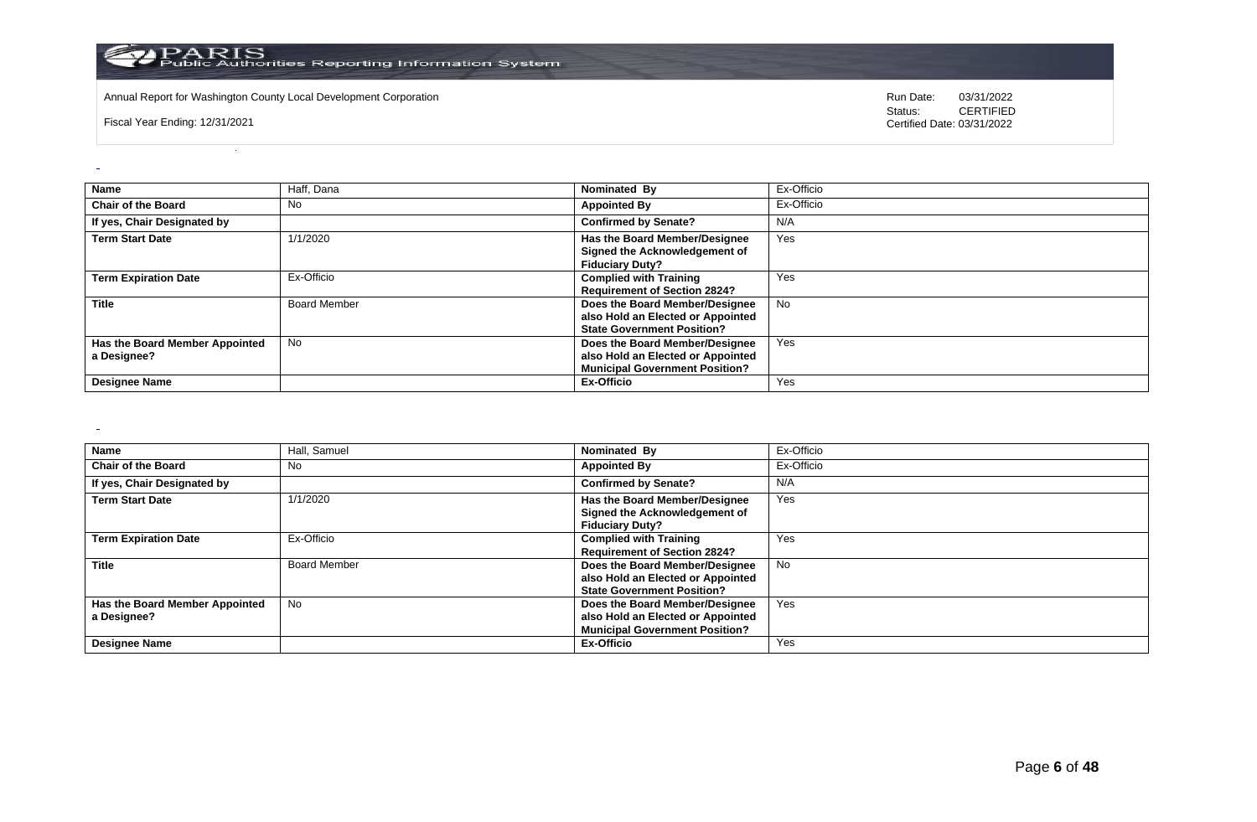

Annual Report for Washington County Local Development Corporation **Computer Computer Construction** Run Date: 03/31/2022<br>
Status: CERTIFIED

Fiscal Year Ending: 12/31/2021

CERTIFIED Certified Date: 03/31/2022

| Name                                          | Haff, Dana          | Nominated By                                                                                                 | Ex-Officio |
|-----------------------------------------------|---------------------|--------------------------------------------------------------------------------------------------------------|------------|
| <b>Chair of the Board</b>                     | <b>No</b>           | <b>Appointed By</b>                                                                                          | Ex-Officio |
| If yes, Chair Designated by                   |                     | <b>Confirmed by Senate?</b>                                                                                  | N/A        |
| <b>Term Start Date</b>                        | 1/1/2020            | Has the Board Member/Designee<br>Signed the Acknowledgement of<br><b>Fiduciary Duty?</b>                     | Yes        |
| <b>Term Expiration Date</b>                   | Ex-Officio          | <b>Complied with Training</b><br><b>Requirement of Section 2824?</b>                                         | Yes        |
| <b>Title</b>                                  | <b>Board Member</b> | Does the Board Member/Designee<br>also Hold an Elected or Appointed<br><b>State Government Position?</b>     | <b>No</b>  |
| Has the Board Member Appointed<br>a Designee? | <b>No</b>           | Does the Board Member/Designee<br>also Hold an Elected or Appointed<br><b>Municipal Government Position?</b> | Yes        |
| <b>Designee Name</b>                          |                     | Ex-Officio                                                                                                   | Yes        |

 $\sim$ 

| <b>Name</b>                    | Hall, Samuel        | Nominated By                                            | Ex-Officio |
|--------------------------------|---------------------|---------------------------------------------------------|------------|
| <b>Chair of the Board</b>      | No                  | <b>Appointed By</b>                                     | Ex-Officio |
| If yes, Chair Designated by    |                     | <b>Confirmed by Senate?</b>                             | N/A        |
| <b>Term Start Date</b>         | 1/1/2020            | Has the Board Member/Designee                           | Yes        |
|                                |                     | Signed the Acknowledgement of<br><b>Fiduciary Duty?</b> |            |
| <b>Term Expiration Date</b>    | Ex-Officio          | <b>Complied with Training</b>                           | Yes        |
|                                |                     | <b>Requirement of Section 2824?</b>                     |            |
| <b>Title</b>                   | <b>Board Member</b> | Does the Board Member/Designee                          | <b>No</b>  |
|                                |                     | also Hold an Elected or Appointed                       |            |
|                                |                     | <b>State Government Position?</b>                       |            |
| Has the Board Member Appointed | No                  | Does the Board Member/Designee                          | Yes        |
| a Designee?                    |                     | also Hold an Elected or Appointed                       |            |
|                                |                     | <b>Municipal Government Position?</b>                   |            |
| <b>Designee Name</b>           |                     | Ex-Officio                                              | Yes        |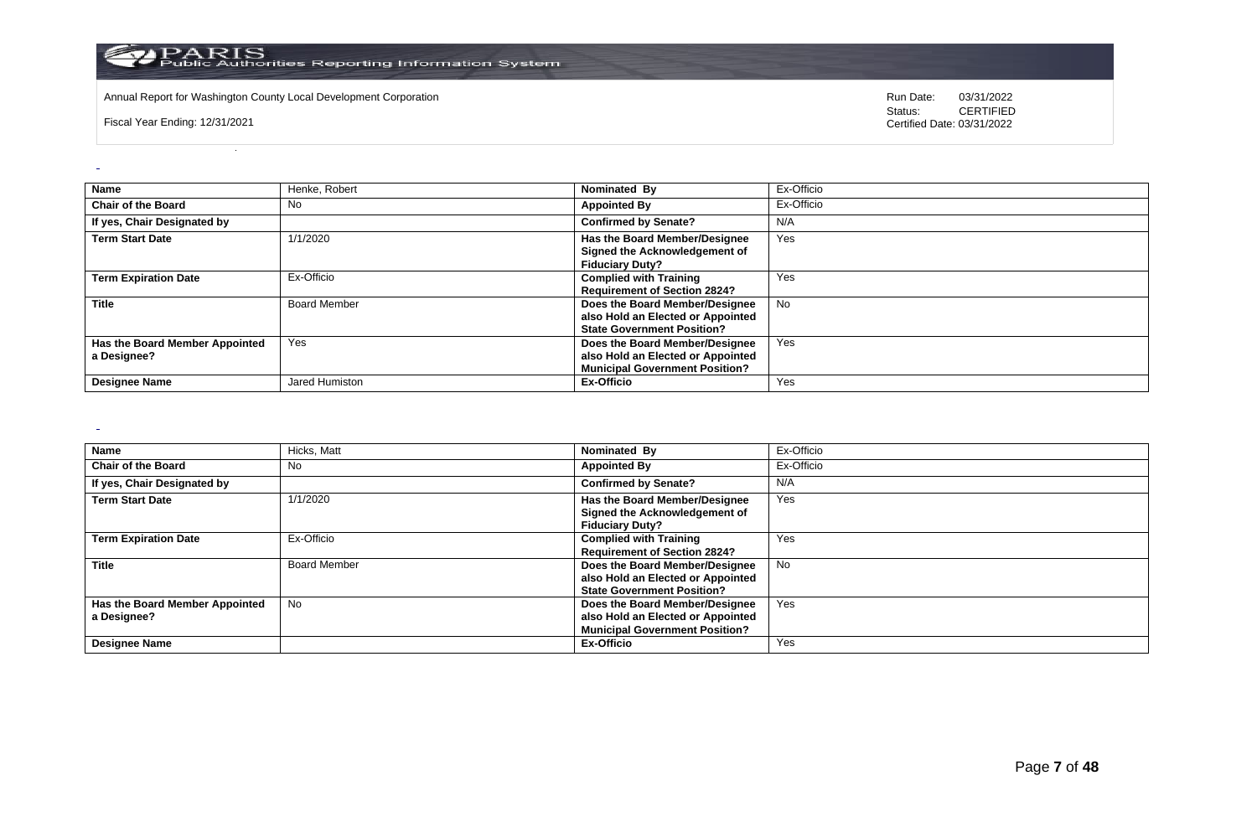

Annual Report for Washington County Local Development Corporation **Computer Computer Construction** Run Date: 03/31/2022<br>
Status: CERTIFIED

Fiscal Year Ending: 12/31/2021

CERTIFIED Certified Date: 03/31/2022

| <b>Name</b>                                   | Henke, Robert       | Nominated By                                                                                                 | Ex-Officio |
|-----------------------------------------------|---------------------|--------------------------------------------------------------------------------------------------------------|------------|
| <b>Chair of the Board</b>                     | <b>No</b>           | <b>Appointed By</b>                                                                                          | Ex-Officio |
| If yes, Chair Designated by                   |                     | <b>Confirmed by Senate?</b>                                                                                  | N/A        |
| <b>Term Start Date</b>                        | 1/1/2020            | Has the Board Member/Designee<br>Signed the Acknowledgement of<br><b>Fiduciary Duty?</b>                     | Yes        |
| <b>Term Expiration Date</b>                   | Ex-Officio          | <b>Complied with Training</b><br><b>Requirement of Section 2824?</b>                                         | Yes        |
| <b>Title</b>                                  | <b>Board Member</b> | Does the Board Member/Designee<br>also Hold an Elected or Appointed<br><b>State Government Position?</b>     | <b>No</b>  |
| Has the Board Member Appointed<br>a Designee? | Yes                 | Does the Board Member/Designee<br>also Hold an Elected or Appointed<br><b>Municipal Government Position?</b> | Yes        |
| <b>Designee Name</b>                          | Jared Humiston      | Ex-Officio                                                                                                   | Yes        |

 $\sim$ 

| <b>Name</b>                    | Hicks, Matt         | Nominated By                          | Ex-Officio |
|--------------------------------|---------------------|---------------------------------------|------------|
| <b>Chair of the Board</b>      | No                  | <b>Appointed By</b>                   | Ex-Officio |
| If yes, Chair Designated by    |                     | <b>Confirmed by Senate?</b>           | N/A        |
| <b>Term Start Date</b>         | 1/1/2020            | Has the Board Member/Designee         | Yes        |
|                                |                     | Signed the Acknowledgement of         |            |
|                                |                     | <b>Fiduciary Duty?</b>                |            |
| <b>Term Expiration Date</b>    | Ex-Officio          | <b>Complied with Training</b>         | Yes        |
|                                |                     | <b>Requirement of Section 2824?</b>   |            |
| <b>Title</b>                   | <b>Board Member</b> | Does the Board Member/Designee        | No.        |
|                                |                     | also Hold an Elected or Appointed     |            |
|                                |                     | <b>State Government Position?</b>     |            |
| Has the Board Member Appointed | No                  | Does the Board Member/Designee        | Yes        |
| a Designee?                    |                     | also Hold an Elected or Appointed     |            |
|                                |                     | <b>Municipal Government Position?</b> |            |
| <b>Designee Name</b>           |                     | Ex-Officio                            | Yes        |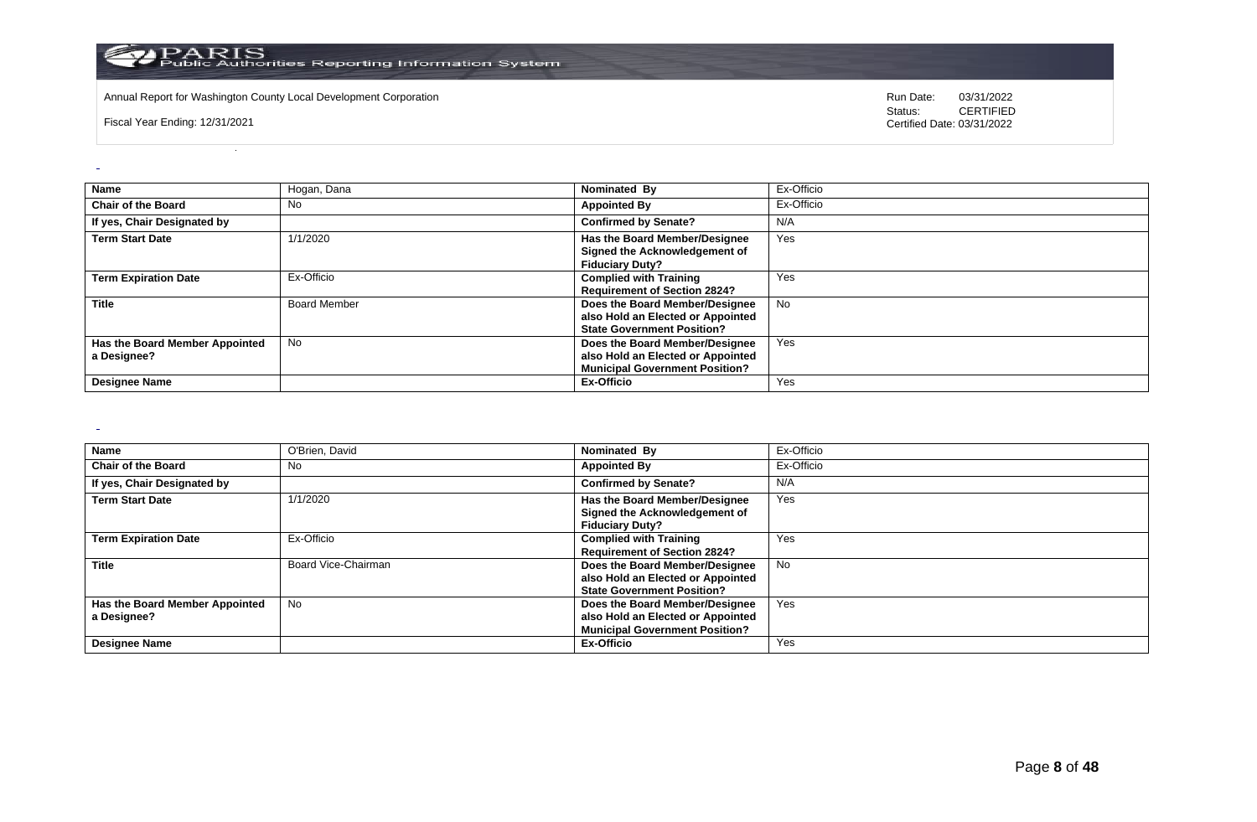

Annual Report for Washington County Local Development Corporation **Computer Computer Construction** Run Date: 03/31/2022<br>
Status: CERTIFIED

Fiscal Year Ending: 12/31/2021

CERTIFIED Certified Date: 03/31/2022

| <b>Name</b>                                   | Hogan, Dana         | Nominated By                                                                                                 | Ex-Officio |
|-----------------------------------------------|---------------------|--------------------------------------------------------------------------------------------------------------|------------|
| <b>Chair of the Board</b>                     | <b>No</b>           | <b>Appointed By</b>                                                                                          | Ex-Officio |
| If yes, Chair Designated by                   |                     | <b>Confirmed by Senate?</b>                                                                                  | N/A        |
| <b>Term Start Date</b>                        | 1/1/2020            | Has the Board Member/Designee<br>Signed the Acknowledgement of<br><b>Fiduciary Duty?</b>                     | Yes        |
| <b>Term Expiration Date</b>                   | Ex-Officio          | <b>Complied with Training</b><br><b>Requirement of Section 2824?</b>                                         | Yes        |
| <b>Title</b>                                  | <b>Board Member</b> | Does the Board Member/Designee<br>also Hold an Elected or Appointed<br><b>State Government Position?</b>     | <b>No</b>  |
| Has the Board Member Appointed<br>a Designee? | <b>No</b>           | Does the Board Member/Designee<br>also Hold an Elected or Appointed<br><b>Municipal Government Position?</b> | Yes        |
| <b>Designee Name</b>                          |                     | Ex-Officio                                                                                                   | Yes        |

 $\sim$ 

| <b>Name</b>                    | O'Brien, David      | Nominated By                          | Ex-Officio |
|--------------------------------|---------------------|---------------------------------------|------------|
| <b>Chair of the Board</b>      | No                  | <b>Appointed By</b>                   | Ex-Officio |
| If yes, Chair Designated by    |                     | <b>Confirmed by Senate?</b>           | N/A        |
| <b>Term Start Date</b>         | 1/1/2020            | Has the Board Member/Designee         | Yes        |
|                                |                     | Signed the Acknowledgement of         |            |
|                                |                     | <b>Fiduciary Duty?</b>                |            |
| <b>Term Expiration Date</b>    | Ex-Officio          | <b>Complied with Training</b>         | Yes        |
|                                |                     | <b>Requirement of Section 2824?</b>   |            |
| <b>Title</b>                   | Board Vice-Chairman | Does the Board Member/Designee        | No.        |
|                                |                     | also Hold an Elected or Appointed     |            |
|                                |                     | <b>State Government Position?</b>     |            |
| Has the Board Member Appointed | No                  | Does the Board Member/Designee        | Yes        |
| a Designee?                    |                     | also Hold an Elected or Appointed     |            |
|                                |                     | <b>Municipal Government Position?</b> |            |
| <b>Designee Name</b>           |                     | Ex-Officio                            | Yes        |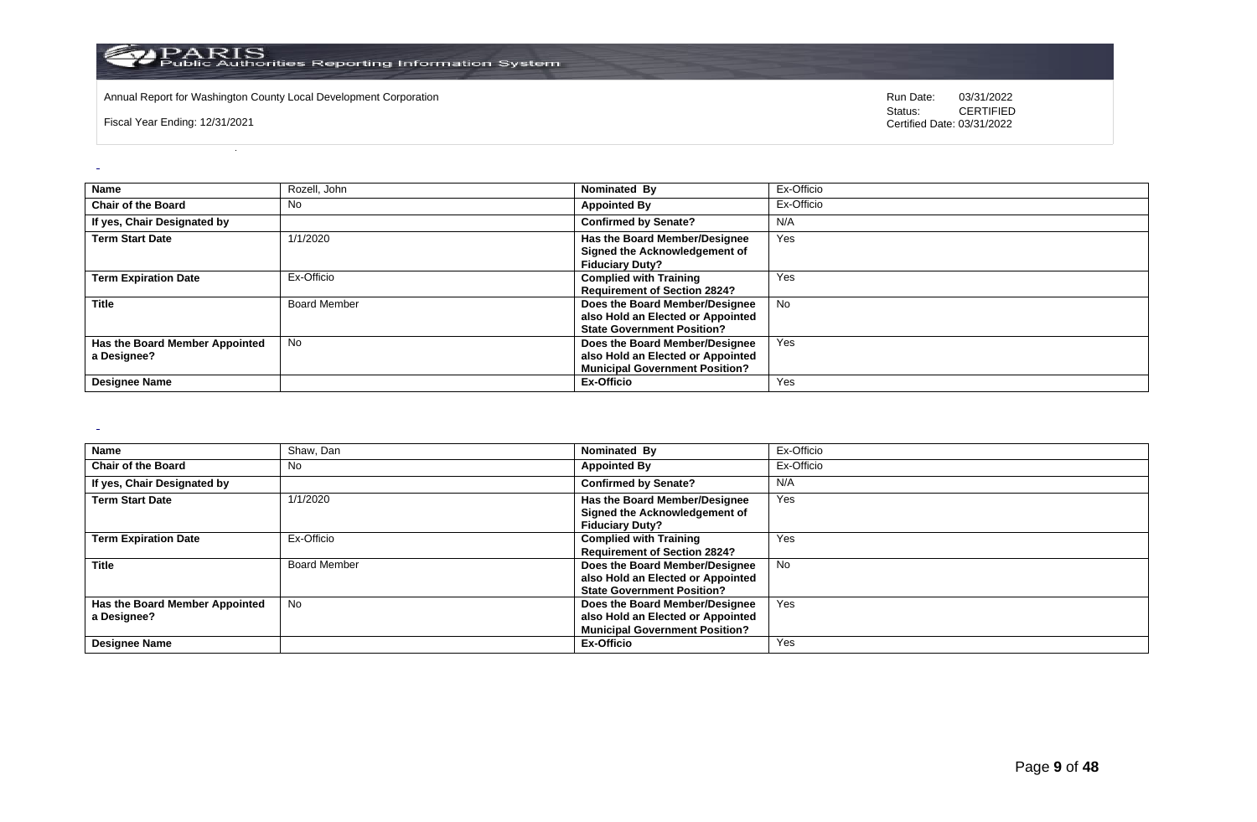

Annual Report for Washington County Local Development Corporation **Computer Computer Construction** Run Date: 03/31/2022<br>
Status: CERTIFIED

Fiscal Year Ending: 12/31/2021

CERTIFIED Certified Date: 03/31/2022

| Name                                          | Rozell, John        | Nominated By                                                                                                 | Ex-Officio |
|-----------------------------------------------|---------------------|--------------------------------------------------------------------------------------------------------------|------------|
| <b>Chair of the Board</b>                     | No                  | <b>Appointed By</b>                                                                                          | Ex-Officio |
| If yes, Chair Designated by                   |                     | <b>Confirmed by Senate?</b>                                                                                  | N/A        |
| <b>Term Start Date</b>                        | 1/1/2020            | Has the Board Member/Designee<br>Signed the Acknowledgement of<br><b>Fiduciary Duty?</b>                     | Yes        |
| <b>Term Expiration Date</b>                   | Ex-Officio          | <b>Complied with Training</b><br><b>Requirement of Section 2824?</b>                                         | Yes        |
| <b>Title</b>                                  | <b>Board Member</b> | Does the Board Member/Designee<br>also Hold an Elected or Appointed<br><b>State Government Position?</b>     | <b>No</b>  |
| Has the Board Member Appointed<br>a Designee? | <b>No</b>           | Does the Board Member/Designee<br>also Hold an Elected or Appointed<br><b>Municipal Government Position?</b> | Yes        |
| <b>Designee Name</b>                          |                     | Ex-Officio                                                                                                   | Yes        |

 $\sim$ 

| Name                           | Shaw, Dan           | Nominated By                          | Ex-Officio |
|--------------------------------|---------------------|---------------------------------------|------------|
| <b>Chair of the Board</b>      | No.                 | <b>Appointed By</b>                   | Ex-Officio |
| If yes, Chair Designated by    |                     | <b>Confirmed by Senate?</b>           | N/A        |
| <b>Term Start Date</b>         | 1/1/2020            | Has the Board Member/Designee         | Yes        |
|                                |                     | Signed the Acknowledgement of         |            |
|                                |                     | <b>Fiduciary Duty?</b>                |            |
| <b>Term Expiration Date</b>    | Ex-Officio          | <b>Complied with Training</b>         | Yes        |
|                                |                     | <b>Requirement of Section 2824?</b>   |            |
| <b>Title</b>                   | <b>Board Member</b> | Does the Board Member/Designee        | No         |
|                                |                     | also Hold an Elected or Appointed     |            |
|                                |                     | <b>State Government Position?</b>     |            |
| Has the Board Member Appointed | No                  | Does the Board Member/Designee        | Yes        |
| a Designee?                    |                     | also Hold an Elected or Appointed     |            |
|                                |                     | <b>Municipal Government Position?</b> |            |
| <b>Designee Name</b>           |                     | Ex-Officio                            | Yes        |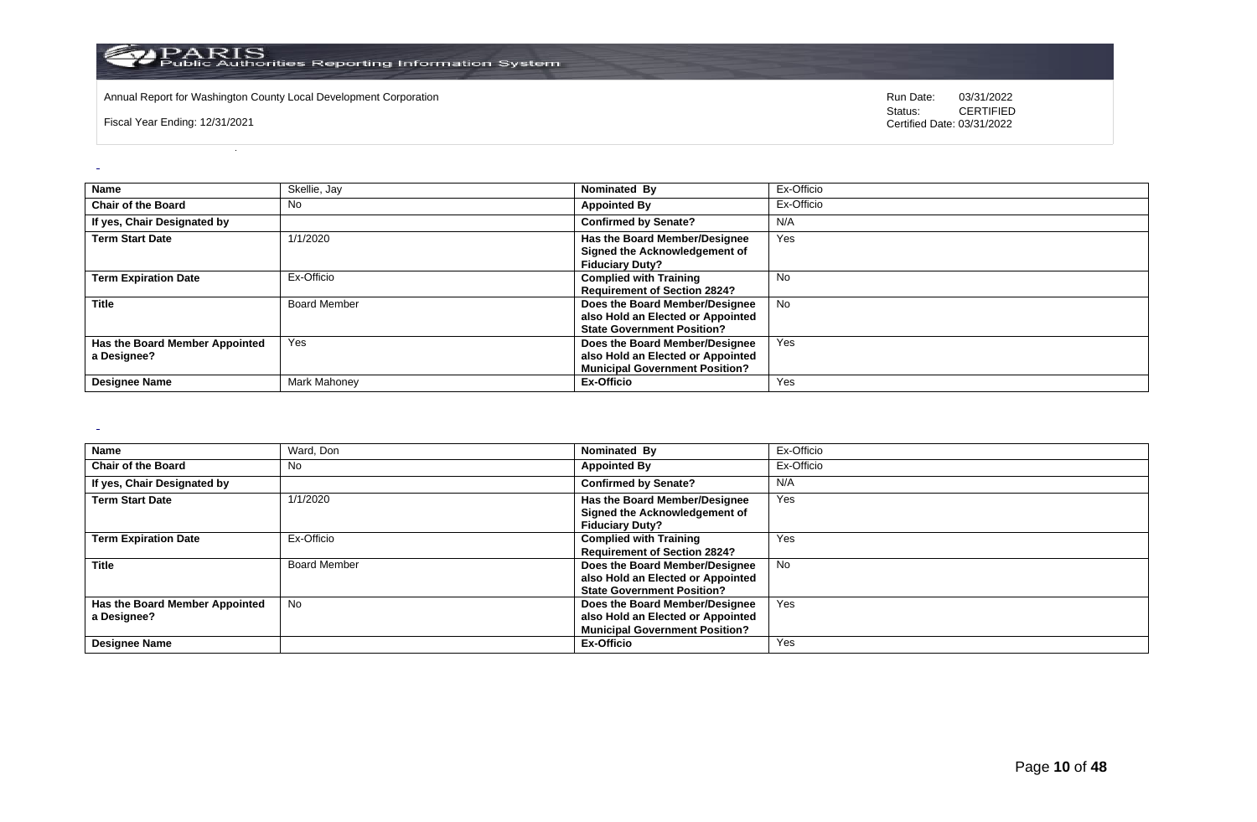

Annual Report for Washington County Local Development Corporation **Computer Computer Construction** Run Date: 03/31/2022<br>
Status: CERTIFIED

Fiscal Year Ending: 12/31/2021

CERTIFIED Certified Date: 03/31/2022

| <b>Name</b>                                   | Skellie, Jay        | Nominated By                                                                                                 | Ex-Officio |
|-----------------------------------------------|---------------------|--------------------------------------------------------------------------------------------------------------|------------|
| <b>Chair of the Board</b>                     | <b>No</b>           | <b>Appointed By</b>                                                                                          | Ex-Officio |
| If yes, Chair Designated by                   |                     | <b>Confirmed by Senate?</b>                                                                                  | N/A        |
| <b>Term Start Date</b>                        | 1/1/2020            | Has the Board Member/Designee<br>Signed the Acknowledgement of<br><b>Fiduciary Duty?</b>                     | Yes        |
| <b>Term Expiration Date</b>                   | Ex-Officio          | <b>Complied with Training</b><br><b>Requirement of Section 2824?</b>                                         | No         |
| <b>Title</b>                                  | <b>Board Member</b> | Does the Board Member/Designee<br>also Hold an Elected or Appointed<br><b>State Government Position?</b>     | <b>No</b>  |
| Has the Board Member Appointed<br>a Designee? | Yes                 | Does the Board Member/Designee<br>also Hold an Elected or Appointed<br><b>Municipal Government Position?</b> | Yes        |
| <b>Designee Name</b>                          | Mark Mahoney        | <b>Ex-Officio</b>                                                                                            | Yes        |

 $\sim$ 

| <b>Name</b>                    | Ward, Don           | Nominated By                          | Ex-Officio |
|--------------------------------|---------------------|---------------------------------------|------------|
| <b>Chair of the Board</b>      | No                  | <b>Appointed By</b>                   | Ex-Officio |
| If yes, Chair Designated by    |                     | <b>Confirmed by Senate?</b>           | N/A        |
| <b>Term Start Date</b>         | 1/1/2020            | Has the Board Member/Designee         | Yes        |
|                                |                     | Signed the Acknowledgement of         |            |
|                                |                     | <b>Fiduciary Duty?</b>                |            |
| <b>Term Expiration Date</b>    | Ex-Officio          | <b>Complied with Training</b>         | Yes        |
|                                |                     | <b>Requirement of Section 2824?</b>   |            |
| <b>Title</b>                   | <b>Board Member</b> | Does the Board Member/Designee        | No.        |
|                                |                     | also Hold an Elected or Appointed     |            |
|                                |                     | <b>State Government Position?</b>     |            |
| Has the Board Member Appointed | No                  | Does the Board Member/Designee        | Yes        |
| a Designee?                    |                     | also Hold an Elected or Appointed     |            |
|                                |                     | <b>Municipal Government Position?</b> |            |
| <b>Designee Name</b>           |                     | Ex-Officio                            | Yes        |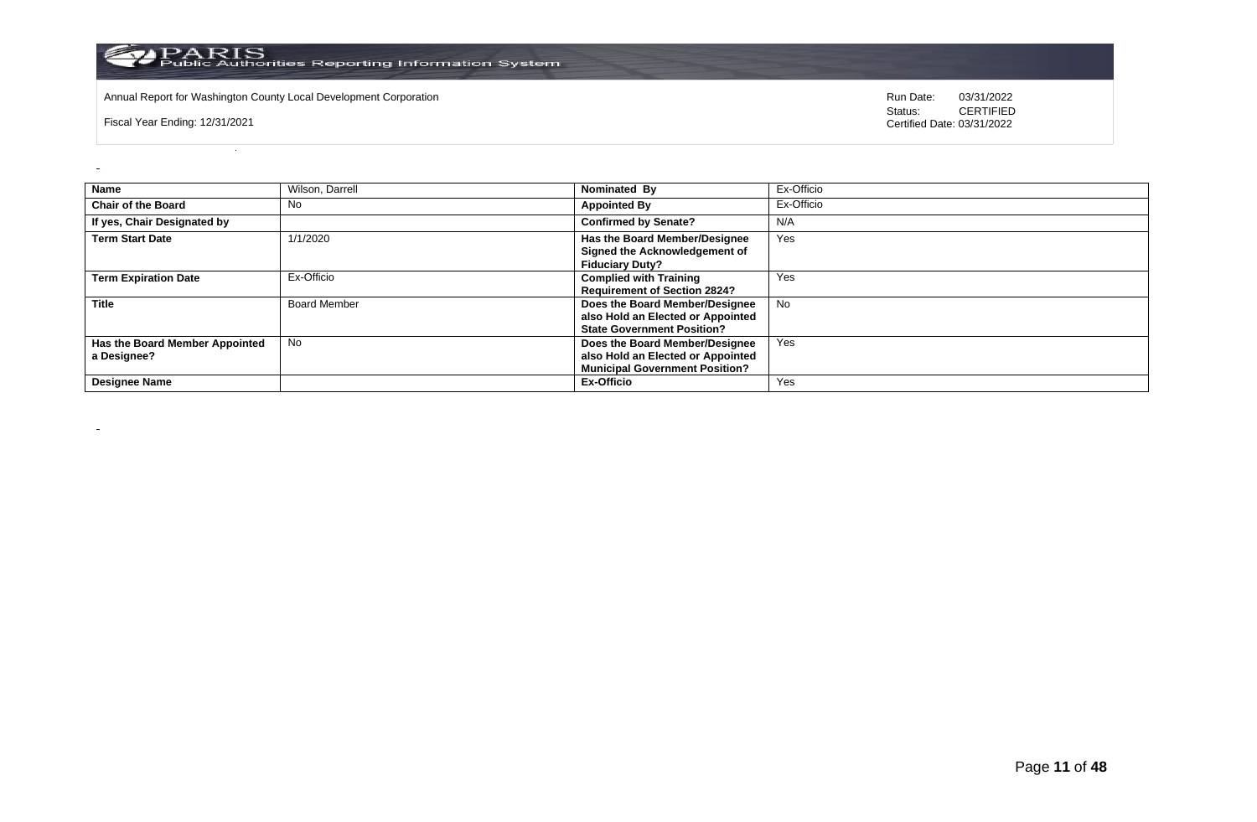

Annual Report for Washington County Local Development Corporation **Computer Computer Construction** Run Date: 03/31/2022<br>
Status: CERTIFIED

Fiscal Year Ending: 12/31/2021

 $\overline{a}$ 

 $\sim$ 

| <b>Name</b>                                   | Wilson, Darrell     | Nominated By                                                                                                 | Ex-Officio |
|-----------------------------------------------|---------------------|--------------------------------------------------------------------------------------------------------------|------------|
| <b>Chair of the Board</b>                     | No                  | <b>Appointed By</b>                                                                                          | Ex-Officio |
| If yes, Chair Designated by                   |                     | <b>Confirmed by Senate?</b>                                                                                  | N/A        |
| <b>Term Start Date</b>                        | 1/1/2020            | Has the Board Member/Designee<br>Signed the Acknowledgement of<br><b>Fiduciary Duty?</b>                     | Yes        |
| <b>Term Expiration Date</b>                   | Ex-Officio          | <b>Complied with Training</b><br><b>Requirement of Section 2824?</b>                                         | Yes        |
| <b>Title</b>                                  | <b>Board Member</b> | Does the Board Member/Designee<br>also Hold an Elected or Appointed<br><b>State Government Position?</b>     | No         |
| Has the Board Member Appointed<br>a Designee? | <b>No</b>           | Does the Board Member/Designee<br>also Hold an Elected or Appointed<br><b>Municipal Government Position?</b> | Yes        |
| <b>Designee Name</b>                          |                     | Ex-Officio                                                                                                   | Yes        |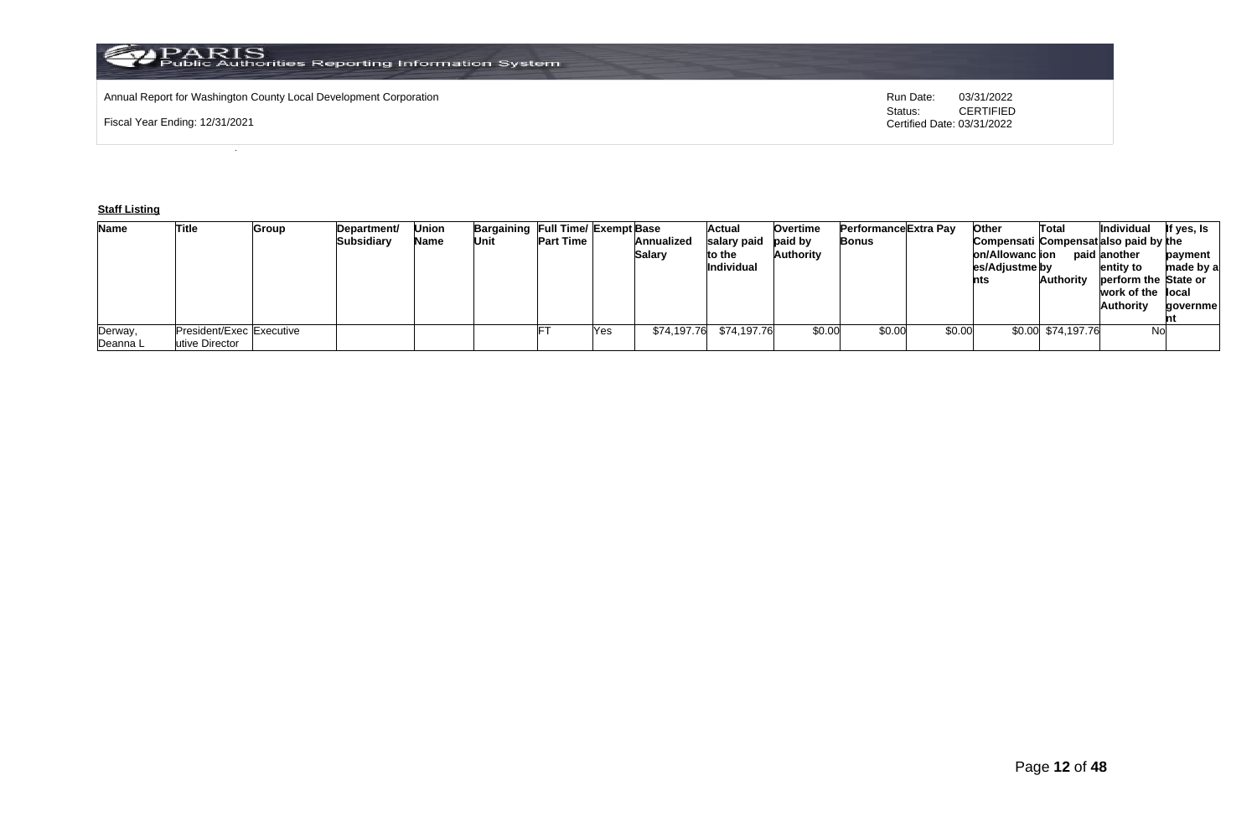# Annual Report for Washington County Local Development Corporation **Run Date:** 03/31/2022<br>Status: CERTIFIED

Fiscal Year Ending: 12/31/2021

CERTIFIED Certified Date: 03/31/2022

# **Staff Listing**

| <b>Name</b> | Title                    | Group | Department/       | Union | Bargaining Full Time/ Exempt Base |                  |     |             | Actual      | Overtime       | <b>Performance Extra Pav</b> | <b>Other</b> |                 | Total              | <b>Individual</b>                     | lf yes, Is |
|-------------|--------------------------|-------|-------------------|-------|-----------------------------------|------------------|-----|-------------|-------------|----------------|------------------------------|--------------|-----------------|--------------------|---------------------------------------|------------|
|             |                          |       | <b>Subsidiary</b> | Name  | Unit                              | <b>Part Time</b> |     | Annualized  | salary paid | <b>baid</b> by | Bonus                        |              |                 |                    | Compensati Compensat also paid by the |            |
|             |                          |       |                   |       |                                   |                  |     | Salary      | to the      | Authority      |                              |              | on/Allowanc ion |                    | paid another                          | payment    |
|             |                          |       |                   |       |                                   |                  |     |             | Individual  |                |                              |              | es/Adjustme by  |                    | entity to                             | made by a  |
|             |                          |       |                   |       |                                   |                  |     |             |             |                |                              | nts          |                 | <b>Authority</b>   | perform the State or                  |            |
|             |                          |       |                   |       |                                   |                  |     |             |             |                |                              |              |                 |                    | work of the local                     |            |
|             |                          |       |                   |       |                                   |                  |     |             |             |                |                              |              |                 |                    | <b>Authority</b>                      | qovernmel  |
|             |                          |       |                   |       |                                   |                  |     |             |             |                |                              |              |                 |                    |                                       |            |
| Derway,     | President/Exec Executive |       |                   |       |                                   |                  | Yes | \$74,197.76 | \$74,197.76 | \$0.00         | \$0.00                       | \$0.00       |                 | \$0.00 \$74,197.76 | <b>No</b>                             |            |
| Deanna L    | utive Director           |       |                   |       |                                   |                  |     |             |             |                |                              |              |                 |                    |                                       |            |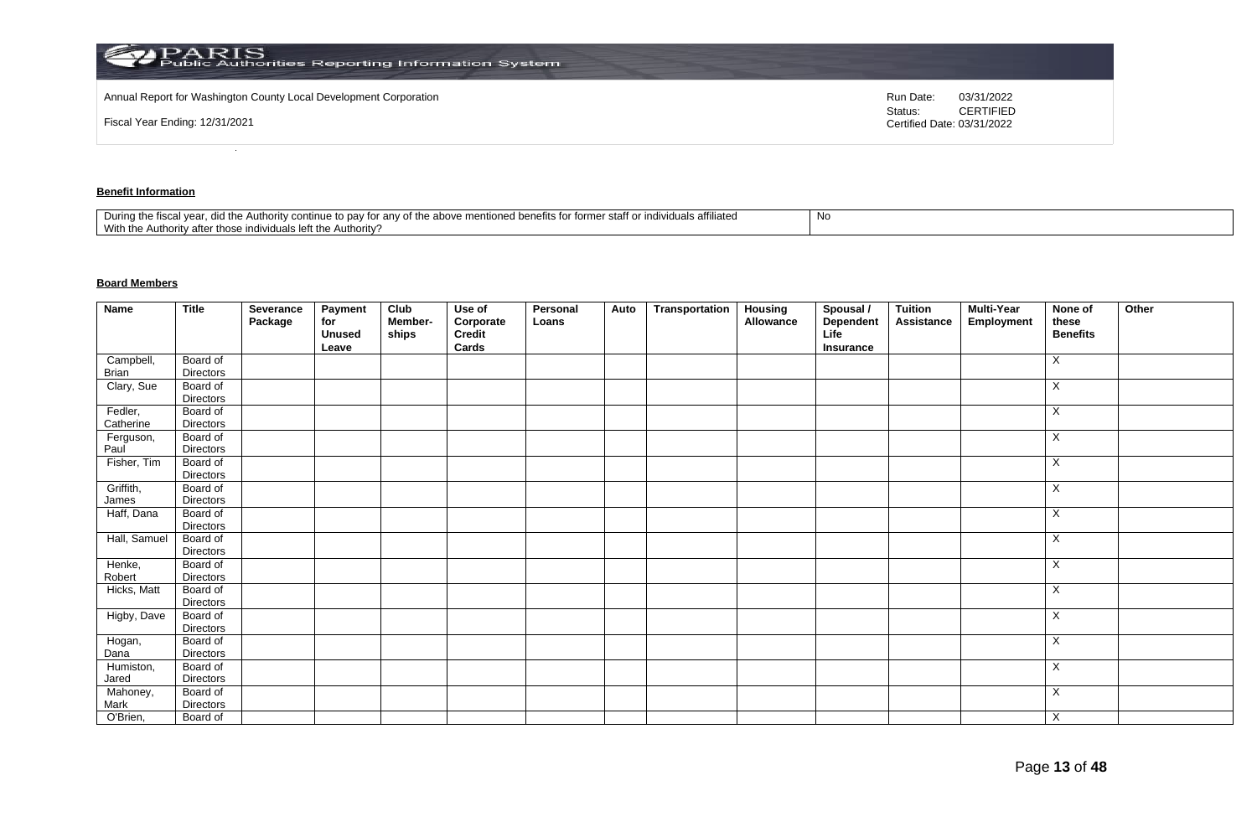| <b>PARIS</b><br>Public Authorities Reporting Information System   |                                                           |
|-------------------------------------------------------------------|-----------------------------------------------------------|
| Annual Report for Washington County Local Development Corporation | Run Date:<br>03/31/2022                                   |
| Fiscal Year Ending: 12/31/2021                                    | <b>CERTIFIED</b><br>Status:<br>Certified Date: 03/31/2022 |

# **Benefit Information**

| e to pay for any of the above mentioned benefits for former staff or individuals affiliated<br>During the fiscal vear.<br>d the Authority continue to i<br>did i<br>With the Authority after those individuals left the Authority? | 1 Y U |
|------------------------------------------------------------------------------------------------------------------------------------------------------------------------------------------------------------------------------------|-------|
|------------------------------------------------------------------------------------------------------------------------------------------------------------------------------------------------------------------------------------|-------|

# **Board Members**

| <b>Name</b>        | <b>Title</b>                 | Severance<br>Package | Payment<br>for<br><b>Unused</b><br>Leave | Club<br>Member-<br>ships | Use of<br>Corporate<br>Credit<br>Cards | Personal<br>Loans | Auto | Transportation | <b>Housing</b><br>Allowance | Spousal /<br>Dependent<br>Life<br>Insurance | <b>Tuition</b><br>Assistance | <b>Multi-Year</b><br>Employment | None of<br>these<br><b>Benefits</b> | Other |
|--------------------|------------------------------|----------------------|------------------------------------------|--------------------------|----------------------------------------|-------------------|------|----------------|-----------------------------|---------------------------------------------|------------------------------|---------------------------------|-------------------------------------|-------|
| Campbell,          | Board of                     |                      |                                          |                          |                                        |                   |      |                |                             |                                             |                              |                                 | X                                   |       |
| Brian              | <b>Directors</b>             |                      |                                          |                          |                                        |                   |      |                |                             |                                             |                              |                                 |                                     |       |
| Clary, Sue         | Board of<br>Directors        |                      |                                          |                          |                                        |                   |      |                |                             |                                             |                              |                                 | X                                   |       |
| Fedler,            | Board of                     |                      |                                          |                          |                                        |                   |      |                |                             |                                             |                              |                                 | X                                   |       |
| Catherine          | <b>Directors</b>             |                      |                                          |                          |                                        |                   |      |                |                             |                                             |                              |                                 |                                     |       |
| Ferguson,          | Board of                     |                      |                                          |                          |                                        |                   |      |                |                             |                                             |                              |                                 | X                                   |       |
| Paul               | <b>Directors</b>             |                      |                                          |                          |                                        |                   |      |                |                             |                                             |                              |                                 |                                     |       |
| Fisher, Tim        | Board of<br><b>Directors</b> |                      |                                          |                          |                                        |                   |      |                |                             |                                             |                              |                                 | Χ                                   |       |
| Griffith,<br>James | Board of<br><b>Directors</b> |                      |                                          |                          |                                        |                   |      |                |                             |                                             |                              |                                 | X                                   |       |
| Haff, Dana         | Board of                     |                      |                                          |                          |                                        |                   |      |                |                             |                                             |                              |                                 | X                                   |       |
|                    | <b>Directors</b>             |                      |                                          |                          |                                        |                   |      |                |                             |                                             |                              |                                 |                                     |       |
| Hall, Samuel       | Board of<br><b>Directors</b> |                      |                                          |                          |                                        |                   |      |                |                             |                                             |                              |                                 | X                                   |       |
| Henke,<br>Robert   | Board of<br><b>Directors</b> |                      |                                          |                          |                                        |                   |      |                |                             |                                             |                              |                                 | X                                   |       |
| Hicks, Matt        | Board of<br><b>Directors</b> |                      |                                          |                          |                                        |                   |      |                |                             |                                             |                              |                                 | X                                   |       |
| Higby, Dave        | Board of<br><b>Directors</b> |                      |                                          |                          |                                        |                   |      |                |                             |                                             |                              |                                 | X                                   |       |
| Hogan,<br>Dana     | Board of<br>Directors        |                      |                                          |                          |                                        |                   |      |                |                             |                                             |                              |                                 | X                                   |       |
| Humiston,<br>Jared | Board of<br><b>Directors</b> |                      |                                          |                          |                                        |                   |      |                |                             |                                             |                              |                                 | X                                   |       |
| Mahoney,<br>Mark   | Board of<br>Directors        |                      |                                          |                          |                                        |                   |      |                |                             |                                             |                              |                                 | X                                   |       |
| O'Brien,           | Board of                     |                      |                                          |                          |                                        |                   |      |                |                             |                                             |                              |                                 | X                                   |       |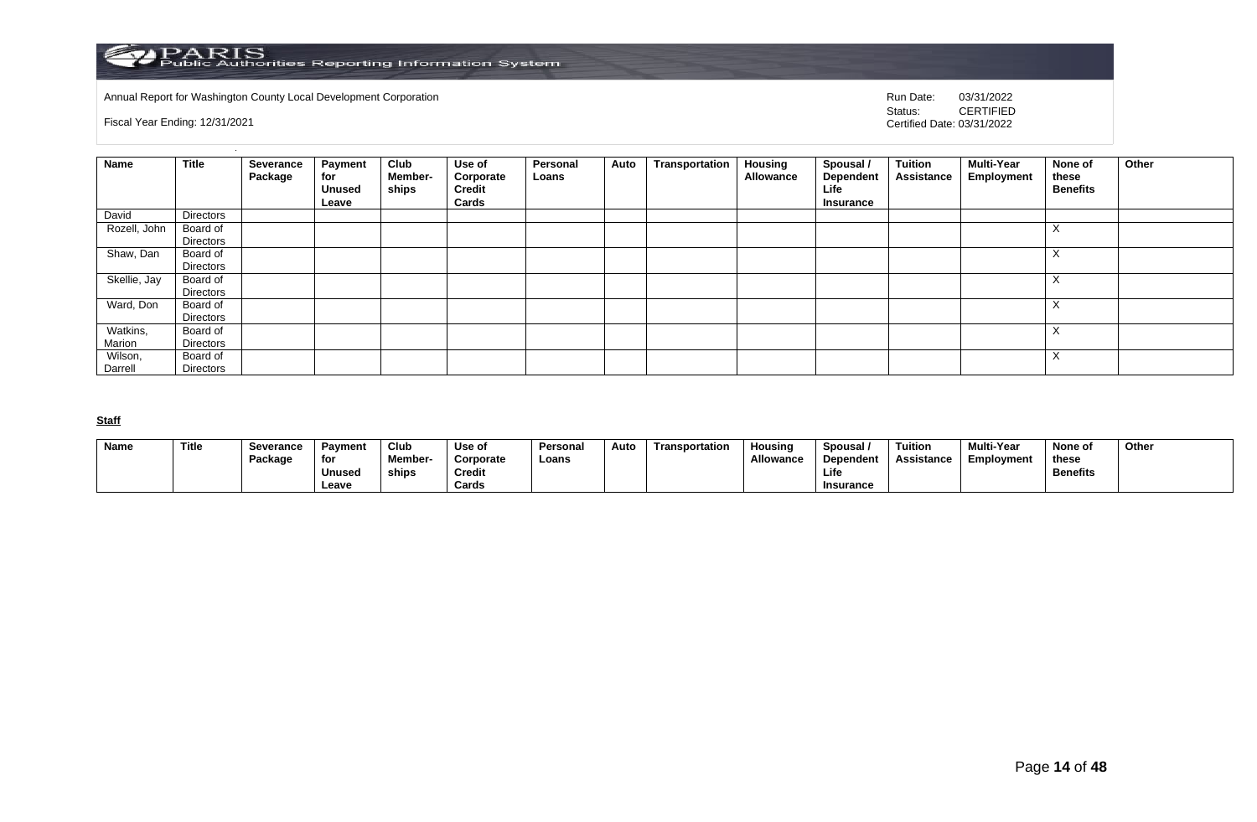

Annual Report for Washington County Local Development Corporation **Company County Connect Connect Connect Connect**<br>
Status: CERTIFIED

Fiscal Year Ending: 12/31/2021

CERTIFIED Certified Date: 03/31/2022

| Name               | <b>Title</b>                 | Severance<br>Package | <b>Payment</b><br>for<br><b>Unused</b><br>Leave | Club<br>Member-<br>ships | Use of<br>Corporate<br>Credit<br>Cards | Personal<br>Loans | Auto | Transportation | <b>Housing</b><br>Allowance | Spousal /<br>Dependent<br>Life<br>Insurance | Tuition<br>Assistance | <b>Multi-Year</b><br>Employment | None of<br>these<br><b>Benefits</b> | Other |
|--------------------|------------------------------|----------------------|-------------------------------------------------|--------------------------|----------------------------------------|-------------------|------|----------------|-----------------------------|---------------------------------------------|-----------------------|---------------------------------|-------------------------------------|-------|
| David              | <b>Directors</b>             |                      |                                                 |                          |                                        |                   |      |                |                             |                                             |                       |                                 |                                     |       |
| Rozell, John       | Board of<br><b>Directors</b> |                      |                                                 |                          |                                        |                   |      |                |                             |                                             |                       |                                 | $\lambda$                           |       |
| Shaw, Dan          | Board of<br>Directors        |                      |                                                 |                          |                                        |                   |      |                |                             |                                             |                       |                                 | $\sim$                              |       |
| Skellie, Jay       | Board of<br><b>Directors</b> |                      |                                                 |                          |                                        |                   |      |                |                             |                                             |                       |                                 | $\lambda$                           |       |
| Ward, Don          | Board of<br>Directors        |                      |                                                 |                          |                                        |                   |      |                |                             |                                             |                       |                                 | $\lambda$                           |       |
| Watkins,<br>Marion | Board of<br>Directors        |                      |                                                 |                          |                                        |                   |      |                |                             |                                             |                       |                                 | $\lambda$                           |       |
| Wilson,<br>Darrell | Board of<br>Directors        |                      |                                                 |                          |                                        |                   |      |                |                             |                                             |                       |                                 | $\Lambda$                           |       |

**Staff**

| <b>Name</b> | Title | Severance<br>Package | Pavment<br>for  | Club<br><b>Member-</b> | Use of<br>Corporate    | Personal<br>Loans | Auto | Transportation | <b>Housing</b><br>Allowance | Spousal<br>Dependent | Tuition<br>Assistance | <b>Multi-Year</b><br>Employment | None of<br>these | Other |
|-------------|-------|----------------------|-----------------|------------------------|------------------------|-------------------|------|----------------|-----------------------------|----------------------|-----------------------|---------------------------------|------------------|-------|
|             |       |                      | Unused<br>Leave | ships                  | <b>Credit</b><br>Cards |                   |      |                |                             | Life<br>Insurance    |                       |                                 | <b>Benefits</b>  |       |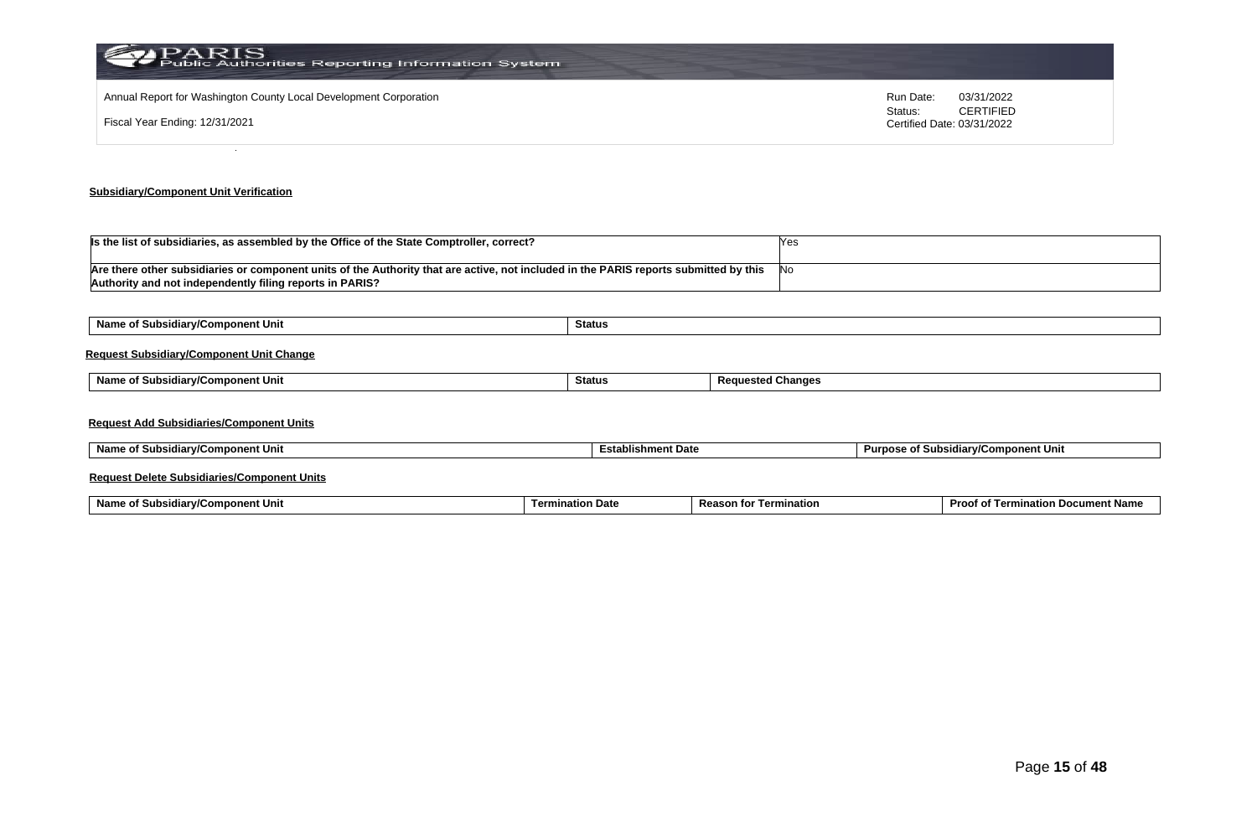| PARIS<br>Public Authorities Reporting Information System          |                      |                                |
|-------------------------------------------------------------------|----------------------|--------------------------------|
| Annual Report for Washington County Local Development Corporation | Run Date:<br>Status: | 03/31/2022<br><b>CERTIFIED</b> |
| Fiscal Year Ending: 12/31/2021                                    |                      | Certified Date: 03/31/2022     |
|                                                                   |                      |                                |

# **Subsidiary/Component Unit Verification**

| Is the list of subsidiaries, as assembled by the Office of the State Comptroller, correct?                                            |       |
|---------------------------------------------------------------------------------------------------------------------------------------|-------|
|                                                                                                                                       |       |
| Are there other subsidiaries or component units of the Authority that are active, not included in the PARIS reports submitted by this | - INo |
| Authority and not independently filing reports in PARIS?                                                                              |       |

| Name of Subsidiary/Component Unit               | Status |                          |
|-------------------------------------------------|--------|--------------------------|
| <b>Request Subsidiary/Component Unit Change</b> |        |                          |
| Name of Subsidiary/Component Unit               | Status | <b>Requested Changes</b> |
|                                                 |        |                          |
| <b>Request Add Subsidiaries/Component Units</b> |        |                          |

### **Request Delete Subsidiaries/Component Units**

| Name o<br>omponent Unit<br>. .<br><b>∍idiar</b> w‴<br><b>SUDSK</b> | tion Date<br>Termi | Reaso<br>mination<br>τοι | Proc.<br>. Docur<br>າent Name<br>natioi.<br>$\overline{a}$<br>ന |
|--------------------------------------------------------------------|--------------------|--------------------------|-----------------------------------------------------------------|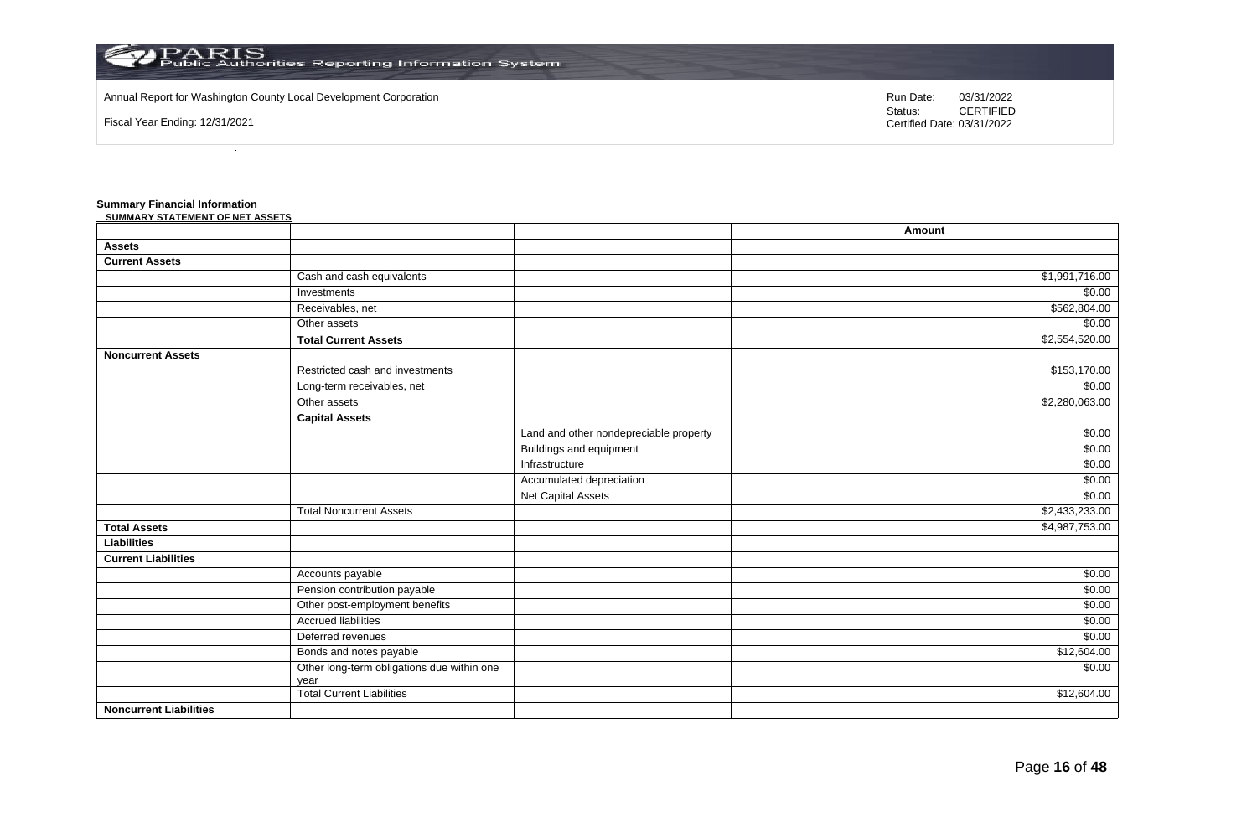

### Annual Report for Washington County Local Development Corporation Run Date: 03/31/2022

Fiscal Year Ending: 12/31/2021

Status: **CERTIFIED** Certified Date: 03/31/2022

#### **Summary Financial Information**

| <u>Summary i mancial linormation</u><br>SUMMARY STATEMENT OF NET ASSETS |                                                    |                                        |                |
|-------------------------------------------------------------------------|----------------------------------------------------|----------------------------------------|----------------|
|                                                                         |                                                    |                                        | Amount         |
| <b>Assets</b>                                                           |                                                    |                                        |                |
| <b>Current Assets</b>                                                   |                                                    |                                        |                |
|                                                                         | Cash and cash equivalents                          |                                        | \$1,991,716.00 |
|                                                                         | Investments                                        |                                        | \$0.00         |
|                                                                         | Receivables, net                                   |                                        | \$562,804.00   |
|                                                                         | Other assets                                       |                                        | \$0.00         |
|                                                                         | <b>Total Current Assets</b>                        |                                        | \$2,554,520.00 |
| <b>Noncurrent Assets</b>                                                |                                                    |                                        |                |
|                                                                         | Restricted cash and investments                    |                                        | \$153,170.00   |
|                                                                         | Long-term receivables, net                         |                                        | \$0.00         |
|                                                                         | Other assets                                       |                                        | \$2,280,063.00 |
|                                                                         | <b>Capital Assets</b>                              |                                        |                |
|                                                                         |                                                    | Land and other nondepreciable property | \$0.00         |
|                                                                         |                                                    | <b>Buildings and equipment</b>         | \$0.00         |
|                                                                         |                                                    | Infrastructure                         | \$0.00         |
|                                                                         |                                                    | Accumulated depreciation               | \$0.00         |
|                                                                         |                                                    | Net Capital Assets                     | \$0.00         |
|                                                                         | <b>Total Noncurrent Assets</b>                     |                                        | \$2,433,233.00 |
| <b>Total Assets</b>                                                     |                                                    |                                        | \$4,987,753.00 |
| <b>Liabilities</b>                                                      |                                                    |                                        |                |
| <b>Current Liabilities</b>                                              |                                                    |                                        |                |
|                                                                         | Accounts payable                                   |                                        | \$0.00         |
|                                                                         | Pension contribution payable                       |                                        | \$0.00         |
|                                                                         | Other post-employment benefits                     |                                        | \$0.00         |
|                                                                         | <b>Accrued liabilities</b>                         |                                        | \$0.00         |
|                                                                         | Deferred revenues                                  |                                        | \$0.00         |
|                                                                         | Bonds and notes payable                            |                                        | \$12,604.00    |
|                                                                         | Other long-term obligations due within one<br>year |                                        | \$0.00         |
|                                                                         | <b>Total Current Liabilities</b>                   |                                        | \$12,604.00    |
| <b>Noncurrent Liabilities</b>                                           |                                                    |                                        |                |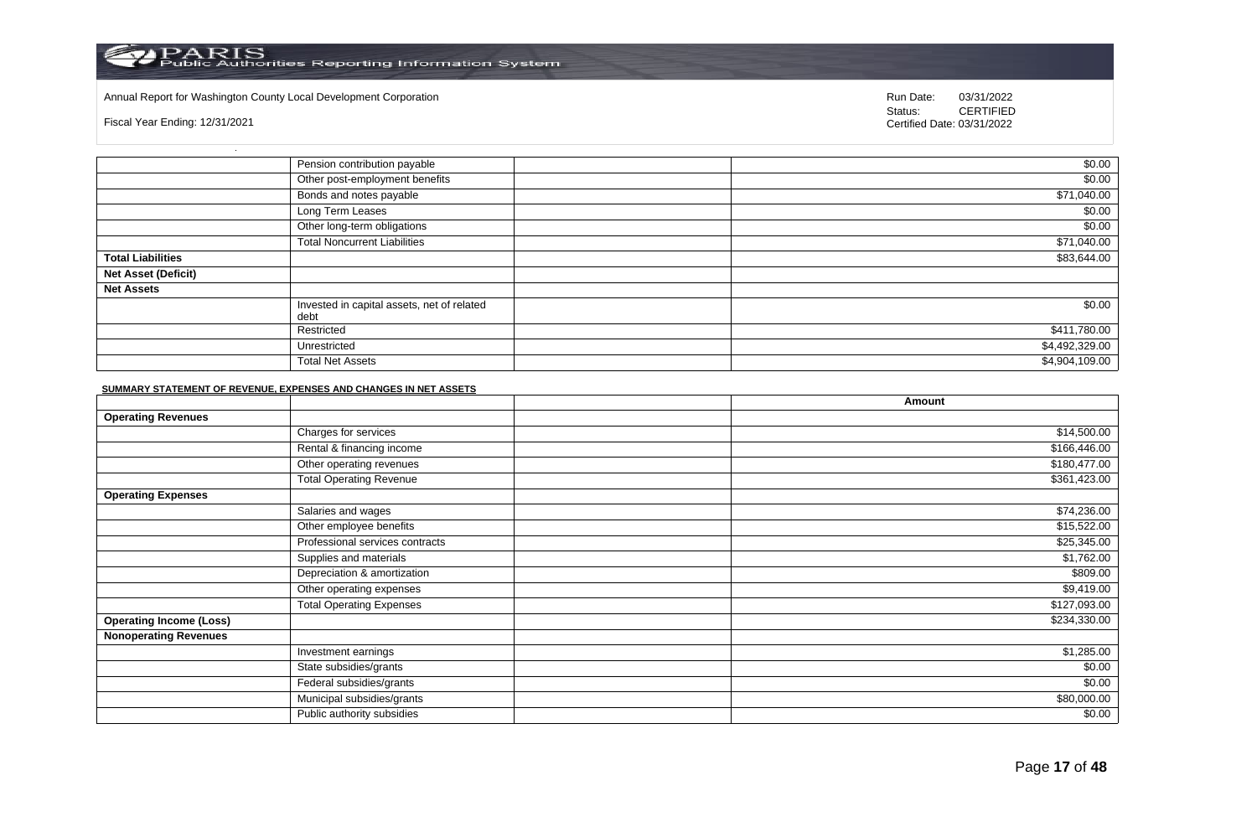### Annual Report for Washington County Local Development Corporation Run Date: 03/31/2022

Fiscal Year Ending: 12/31/2021

Status: **CERTIFIED** Certified Date: 03/31/2022

|                            | Pension contribution payable                       | \$0.00         |
|----------------------------|----------------------------------------------------|----------------|
|                            | Other post-employment benefits                     | \$0.00         |
|                            | Bonds and notes payable                            | \$71,040.00    |
|                            | Long Term Leases                                   | \$0.00         |
|                            | Other long-term obligations                        | \$0.00         |
|                            | <b>Total Noncurrent Liabilities</b>                | \$71,040.00    |
| <b>Total Liabilities</b>   |                                                    | \$83,644.00    |
| <b>Net Asset (Deficit)</b> |                                                    |                |
| <b>Net Assets</b>          |                                                    |                |
|                            | Invested in capital assets, net of related<br>debt | \$0.00         |
|                            | Restricted                                         | \$411,780.00   |
|                            | Unrestricted                                       | \$4,492,329.00 |
|                            | <b>Total Net Assets</b>                            | \$4,904,109.00 |

#### **SUMMARY STATEMENT OF REVENUE, EXPENSES AND CHANGES IN NET ASSETS**

|                                |                                 | Amount       |
|--------------------------------|---------------------------------|--------------|
| <b>Operating Revenues</b>      |                                 |              |
|                                | Charges for services            | \$14,500.00  |
|                                | Rental & financing income       | \$166,446.00 |
|                                | Other operating revenues        | \$180,477.00 |
|                                | <b>Total Operating Revenue</b>  | \$361,423.00 |
| <b>Operating Expenses</b>      |                                 |              |
|                                | Salaries and wages              | \$74,236.00  |
|                                | Other employee benefits         | \$15,522.00  |
|                                | Professional services contracts | \$25,345.00  |
|                                | Supplies and materials          | \$1,762.00   |
|                                | Depreciation & amortization     | \$809.00     |
|                                | Other operating expenses        | \$9,419.00   |
|                                | <b>Total Operating Expenses</b> | \$127,093.00 |
| <b>Operating Income (Loss)</b> |                                 | \$234,330.00 |
| <b>Nonoperating Revenues</b>   |                                 |              |
|                                | Investment earnings             | \$1,285.00   |
|                                | State subsidies/grants          | \$0.00       |
|                                | Federal subsidies/grants        | \$0.00       |
|                                | Municipal subsidies/grants      | \$80,000.00  |
|                                | Public authority subsidies      | \$0.00       |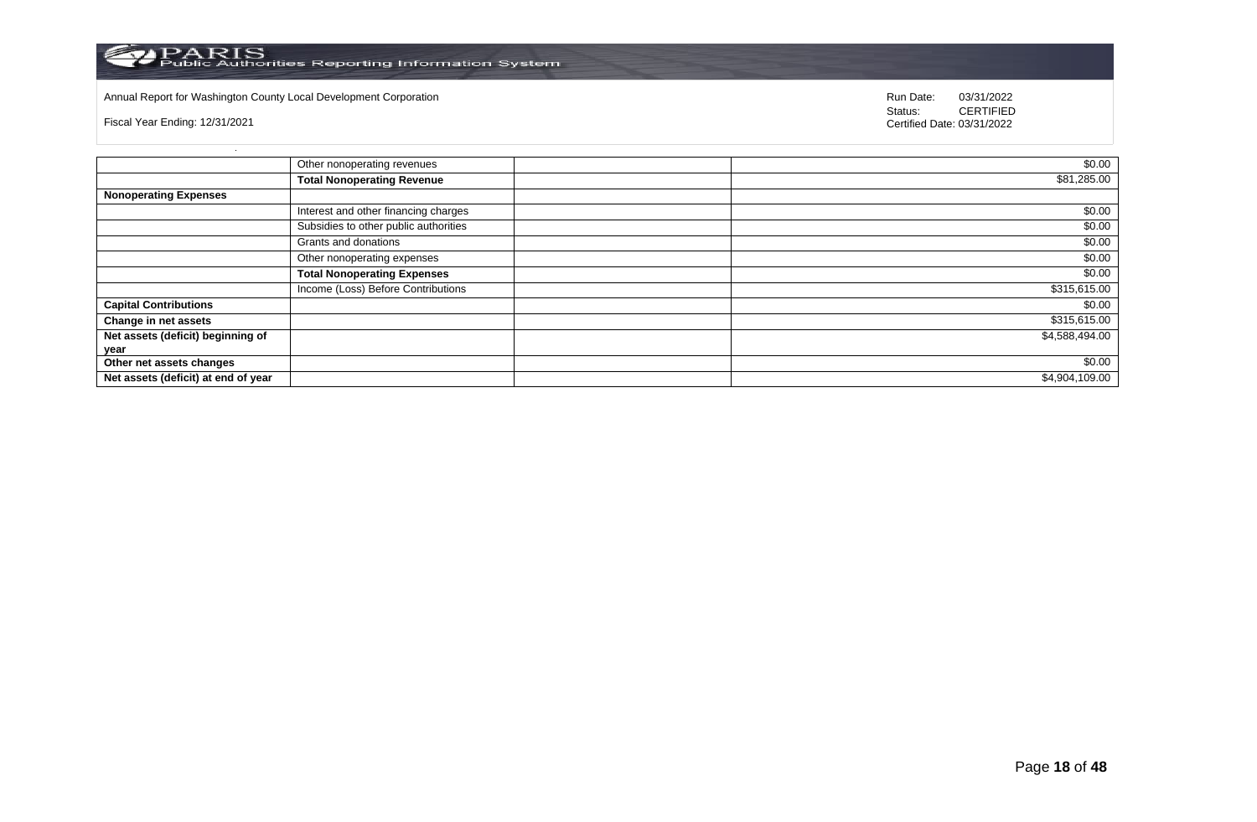

# Annual Report for Washington County Local Development Corporation **Company County Connect Connect Connect Connect**<br>
Status: CERTIFIED

Fiscal Year Ending: 12/31/2021

|                                     | Other nonoperating revenues           | \$0.00         |
|-------------------------------------|---------------------------------------|----------------|
|                                     | <b>Total Nonoperating Revenue</b>     | \$81,285.00    |
| <b>Nonoperating Expenses</b>        |                                       |                |
|                                     | Interest and other financing charges  | \$0.00         |
|                                     | Subsidies to other public authorities | \$0.00         |
|                                     | Grants and donations                  | \$0.00         |
|                                     | Other nonoperating expenses           | \$0.00         |
|                                     | <b>Total Nonoperating Expenses</b>    | \$0.00         |
|                                     | Income (Loss) Before Contributions    | \$315,615.00   |
| <b>Capital Contributions</b>        |                                       | \$0.00         |
| Change in net assets                |                                       | \$315,615.00   |
| Net assets (deficit) beginning of   |                                       | \$4,588,494.00 |
| year                                |                                       |                |
| Other net assets changes            |                                       | \$0.00         |
| Net assets (deficit) at end of year |                                       | \$4,904,109.00 |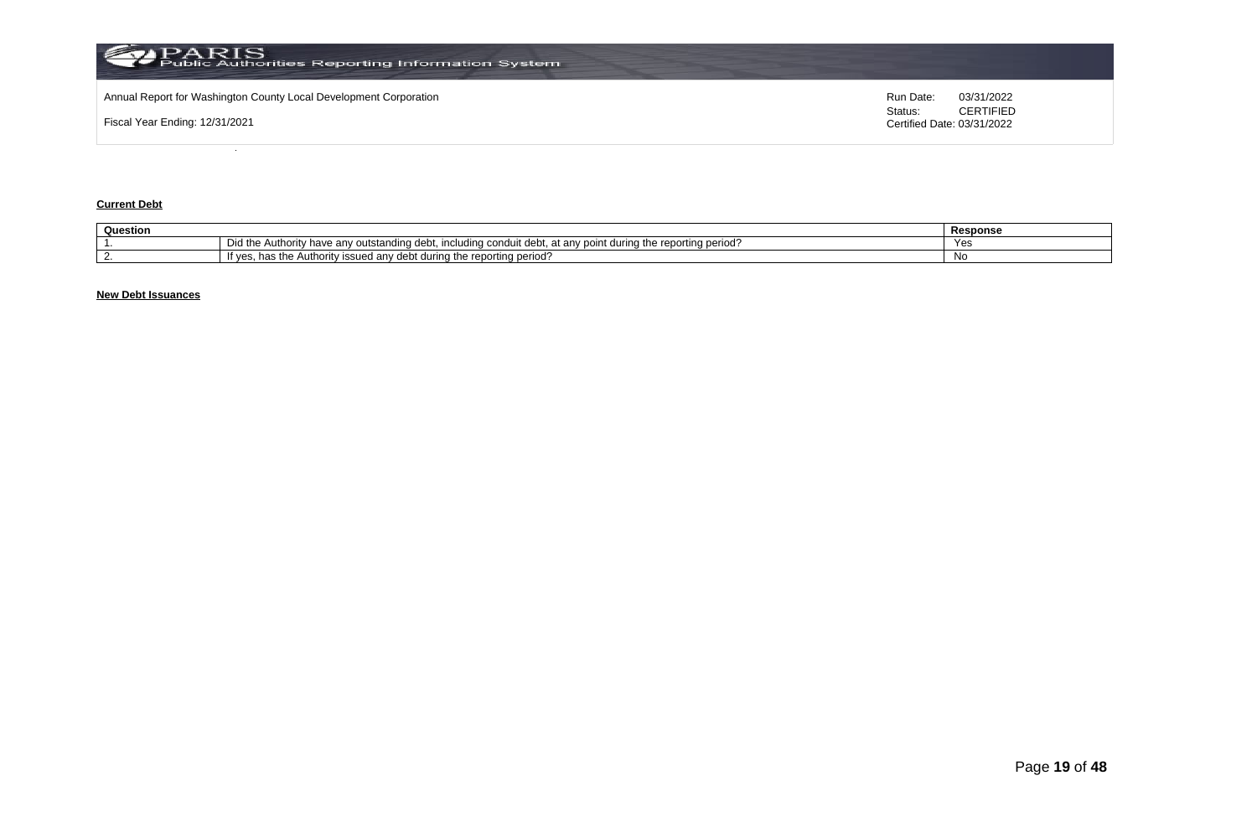

## **Current Debt**

| Question |                                                                                                                                                                                           | <b>Response</b> |
|----------|-------------------------------------------------------------------------------------------------------------------------------------------------------------------------------------------|-----------------|
|          | orting period <sup>.</sup><br>∴Authorit≀<br>. durina tr<br>Did th<br>, rann<br>, have<br>/ outstano<br>lına<br>$A \cap B'$<br>---<br>anv<br>i conduit debt.<br>ucu.<br>11 IUNUN 19<br>טסו |                 |
|          | reporting period.<br>anv<br>debt<br>during the<br>$h^{\prime}$<br><b>ority</b><br><b>SSUEG</b><br>Autr<br>паз<br>ve:<br>.                                                                 | . No            |

# **New Debt Issuances**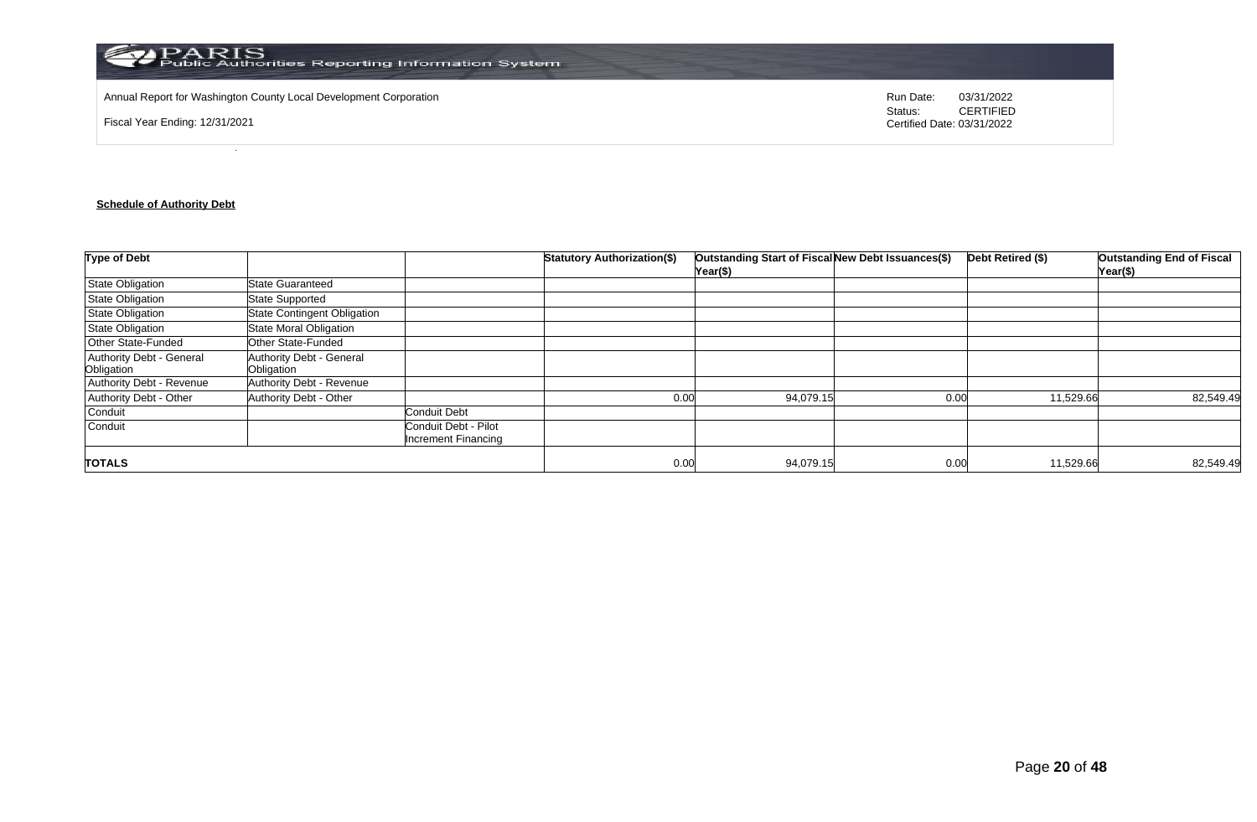

Annual Report for Washington County Local Development Corporation **Run Date:** 03/31/2022

Fiscal Year Ending: 12/31/2021

Status: **CERTIFIED** Certified Date: 03/31/2022

# **Schedule of Authority Debt**

| <b>Type of Debt</b>                    |                                        |                                                    | <b>Statutory Authorization(\$)</b> | Outstanding Start of Fiscal New Debt Issuances(\$)<br>Year(\$) |      | Debt Retired (\$) | <b>Outstanding End of Fiscal</b><br>Year(\$) |
|----------------------------------------|----------------------------------------|----------------------------------------------------|------------------------------------|----------------------------------------------------------------|------|-------------------|----------------------------------------------|
| <b>State Obligation</b>                | <b>State Guaranteed</b>                |                                                    |                                    |                                                                |      |                   |                                              |
| State Obligation                       | <b>State Supported</b>                 |                                                    |                                    |                                                                |      |                   |                                              |
| <b>State Obligation</b>                | <b>State Contingent Obligation</b>     |                                                    |                                    |                                                                |      |                   |                                              |
| State Obligation                       | State Moral Obligation                 |                                                    |                                    |                                                                |      |                   |                                              |
| Other State-Funded                     | Other State-Funded                     |                                                    |                                    |                                                                |      |                   |                                              |
| Authority Debt - General<br>Obligation | Authority Debt - General<br>Obligation |                                                    |                                    |                                                                |      |                   |                                              |
| Authority Debt - Revenue               | Authority Debt - Revenue               |                                                    |                                    |                                                                |      |                   |                                              |
| Authority Debt - Other                 | Authority Debt - Other                 |                                                    | 0.00                               | 94,079.15                                                      | 0.00 | 11,529.66         | 82,549.49                                    |
| Conduit                                |                                        | <b>Conduit Debt</b>                                |                                    |                                                                |      |                   |                                              |
| Conduit                                |                                        | Conduit Debt - Pilot<br><b>Increment Financing</b> |                                    |                                                                |      |                   |                                              |
| <b>TOTALS</b>                          |                                        |                                                    | 0.00                               | 94,079.15                                                      | 0.00 | 11,529.66         | 82,549.49                                    |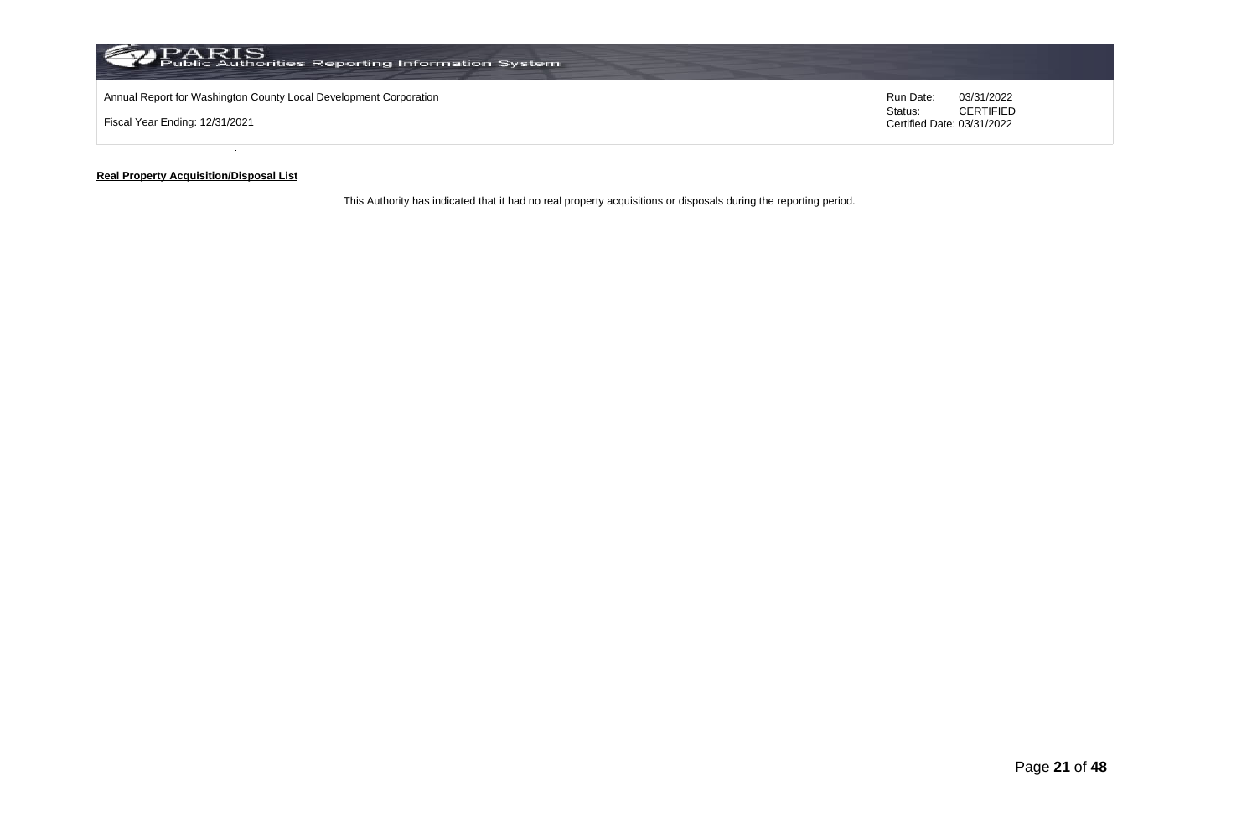

#### **Real Property Acquisition/Disposal List**

This Authority has indicated that it had no real property acquisitions or disposals during the reporting period.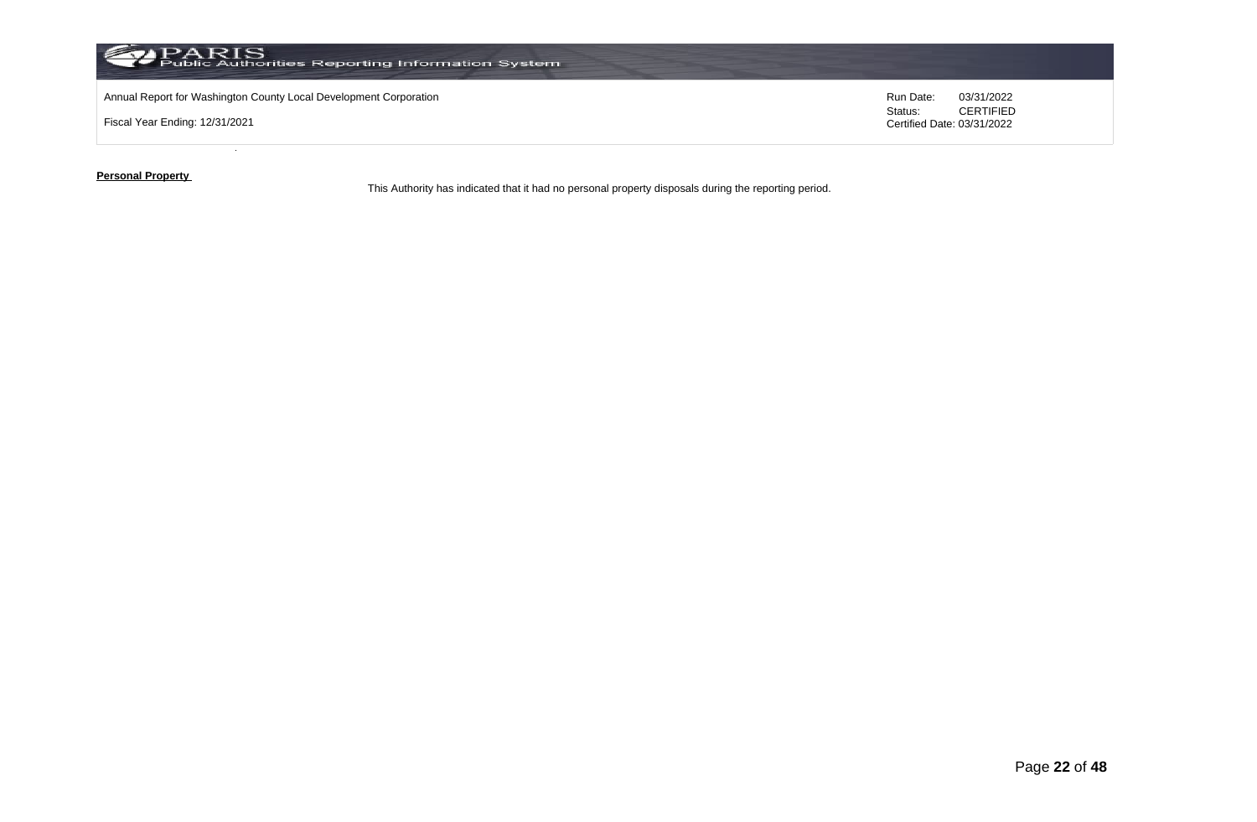

**Personal Property** 

This Authority has indicated that it had no personal property disposals during the reporting period.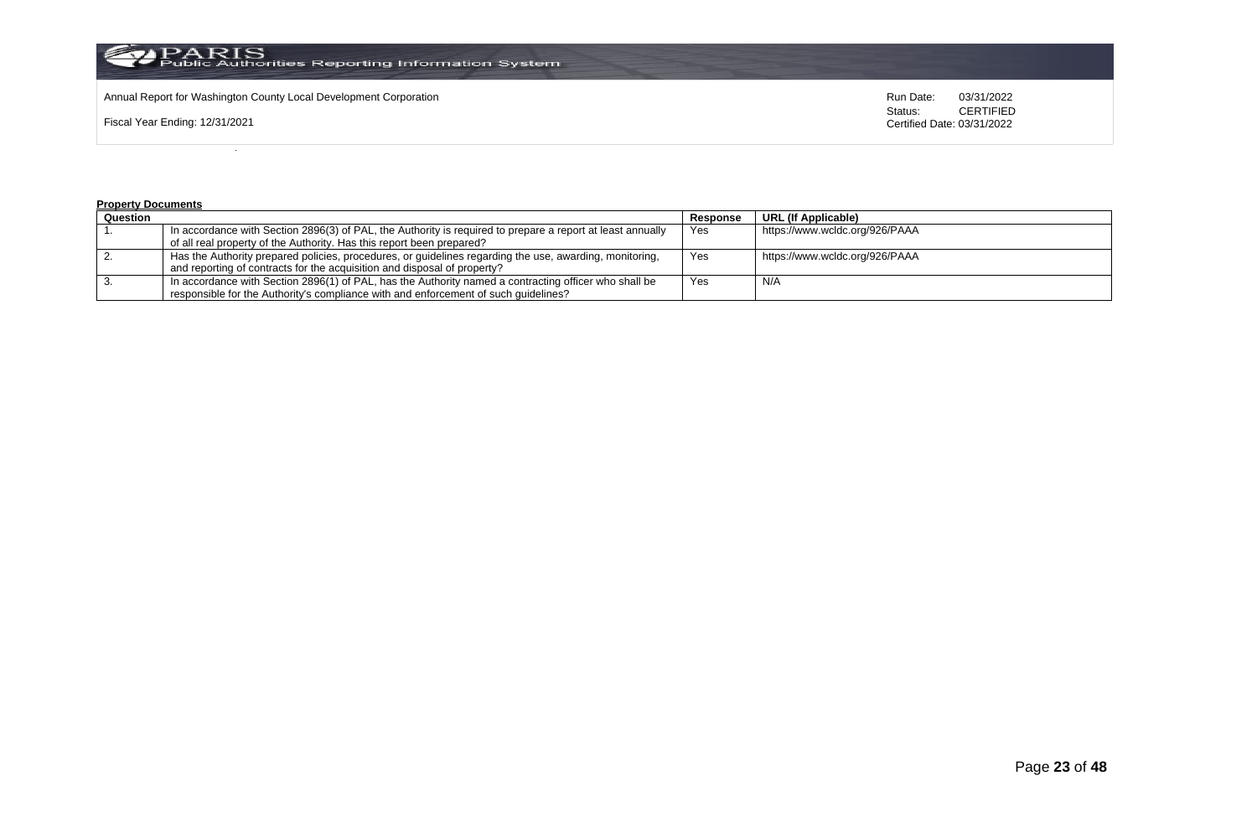

Annual Report for Washington County Local Development Corporation **Run Date:** 03/31/2022<br>Status: CERTIFIED

Fiscal Year Ending: 12/31/2021

CERTIFIED Certified Date: 03/31/2022

#### **Property Documents**

| Question |                                                                                                            | Response | URL (If Applicable)            |
|----------|------------------------------------------------------------------------------------------------------------|----------|--------------------------------|
|          | In accordance with Section 2896(3) of PAL, the Authority is required to prepare a report at least annually | Yes      | https://www.wcldc.org/926/PAAA |
|          | of all real property of the Authority. Has this report been prepared?                                      |          |                                |
|          | Has the Authority prepared policies, procedures, or guidelines regarding the use, awarding, monitoring,    | Yes      | https://www.wcldc.org/926/PAAA |
|          | and reporting of contracts for the acquisition and disposal of property?                                   |          |                                |
|          | In accordance with Section 2896(1) of PAL, has the Authority named a contracting officer who shall be      | Yes      | N/A                            |
|          | responsible for the Authority's compliance with and enforcement of such quidelines?                        |          |                                |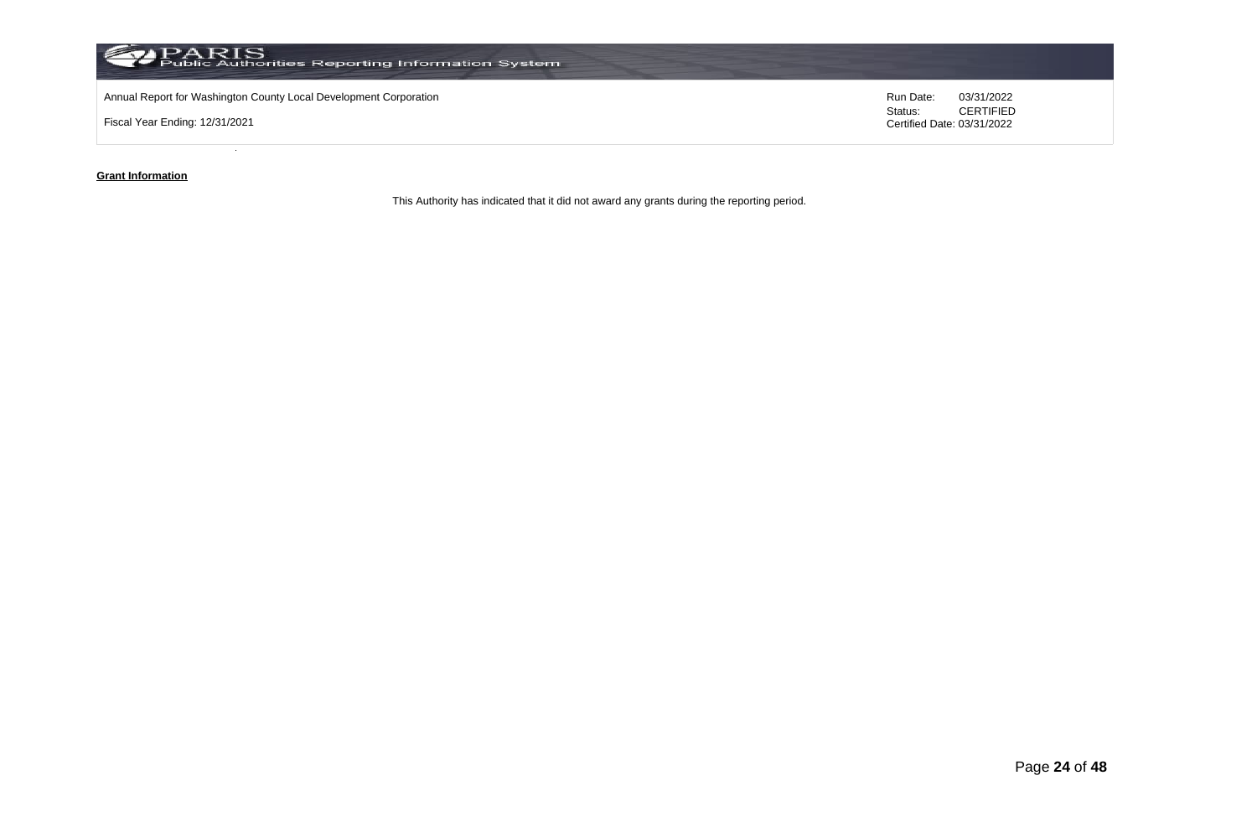

### **Grant Information**

This Authority has indicated that it did not award any grants during the reporting period.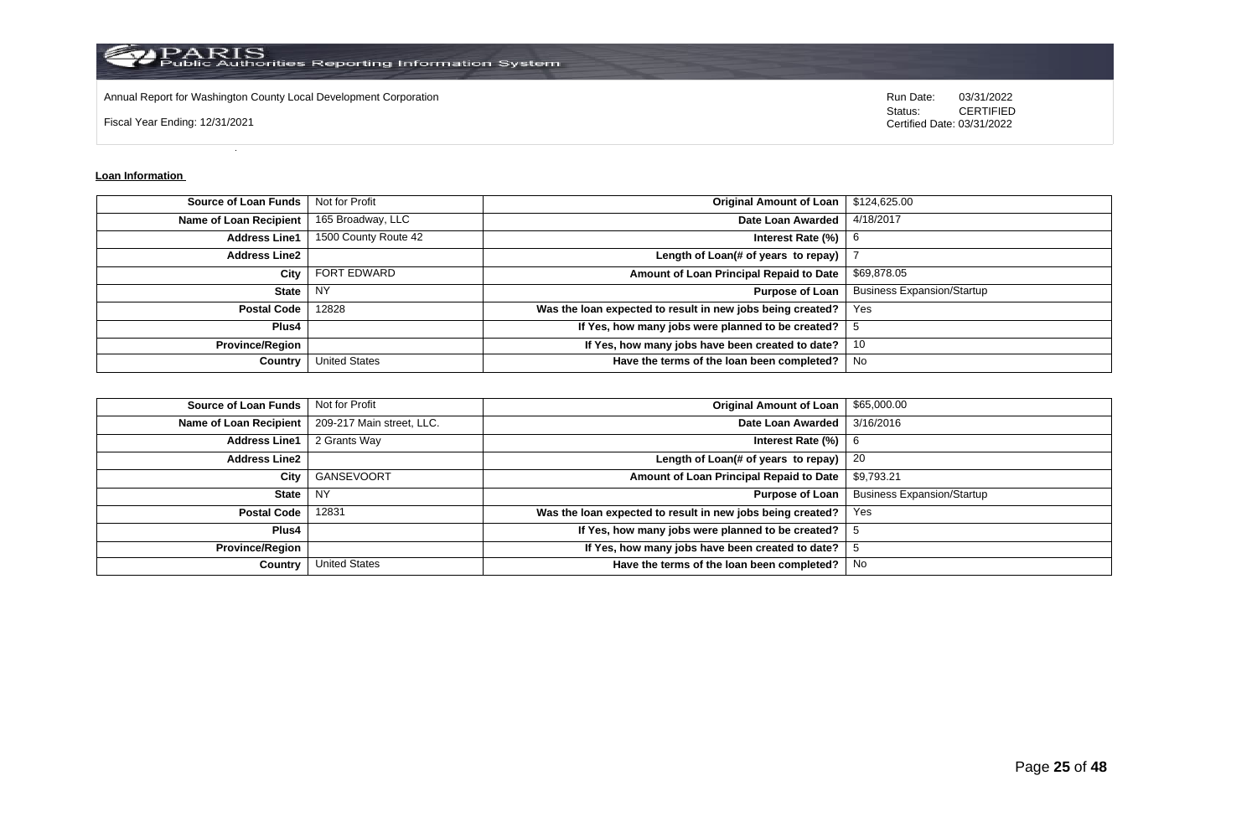

Annual Report for Washington County Local Development Corporation **Run Date:** 03/31/2022

Fiscal Year Ending: 12/31/2021

Status: **CERTIFIED** Certified Date: 03/31/2022

### **Loan Information**

| <b>Source of Loan Funds</b>   | Not for Profit       | <b>Original Amount of Loan</b>                             | \$124,625.00                      |
|-------------------------------|----------------------|------------------------------------------------------------|-----------------------------------|
| <b>Name of Loan Recipient</b> | 165 Broadway, LLC    | Date Loan Awarded                                          | 4/18/2017                         |
| <b>Address Line1</b>          | 1500 County Route 42 | Interest Rate (%)                                          | -6                                |
| <b>Address Line2</b>          |                      | Length of Loan(# of years to repay)                        |                                   |
| City                          | <b>FORT EDWARD</b>   | Amount of Loan Principal Repaid to Date                    | \$69,878.05                       |
| <b>State</b>                  | <b>NY</b>            | <b>Purpose of Loan</b>                                     | <b>Business Expansion/Startup</b> |
| <b>Postal Code</b>            | 12828                | Was the loan expected to result in new jobs being created? | Yes                               |
| Plus4                         |                      | If Yes, how many jobs were planned to be created?          |                                   |
| <b>Province/Region</b>        |                      | If Yes, how many jobs have been created to date?           | 10                                |
| Country                       | <b>United States</b> | Have the terms of the loan been completed?                 | No.                               |

| <b>Source of Loan Funds</b>   | Not for Profit            | <b>Original Amount of Loan</b>                             | \$65,000.00                       |
|-------------------------------|---------------------------|------------------------------------------------------------|-----------------------------------|
| <b>Name of Loan Recipient</b> | 209-217 Main street, LLC. | Date Loan Awarded                                          | 3/16/2016                         |
| <b>Address Line1</b>          | 2 Grants Way              | Interest Rate $(\%)$   6                                   |                                   |
| <b>Address Line2</b>          |                           | Length of Loan(# of years to repay)                        | -20                               |
| City                          | GANSEVOORT                | Amount of Loan Principal Repaid to Date                    | \$9,793.21                        |
| <b>State</b>                  | <b>NY</b>                 | <b>Purpose of Loan</b>                                     | <b>Business Expansion/Startup</b> |
| <b>Postal Code</b>            | 12831                     | Was the loan expected to result in new jobs being created? | Yes                               |
| Plus4                         |                           | If Yes, how many jobs were planned to be created?          |                                   |
| <b>Province/Region</b>        |                           | If Yes, how many jobs have been created to date?           |                                   |
| Country                       | <b>United States</b>      | Have the terms of the loan been completed?                 | No                                |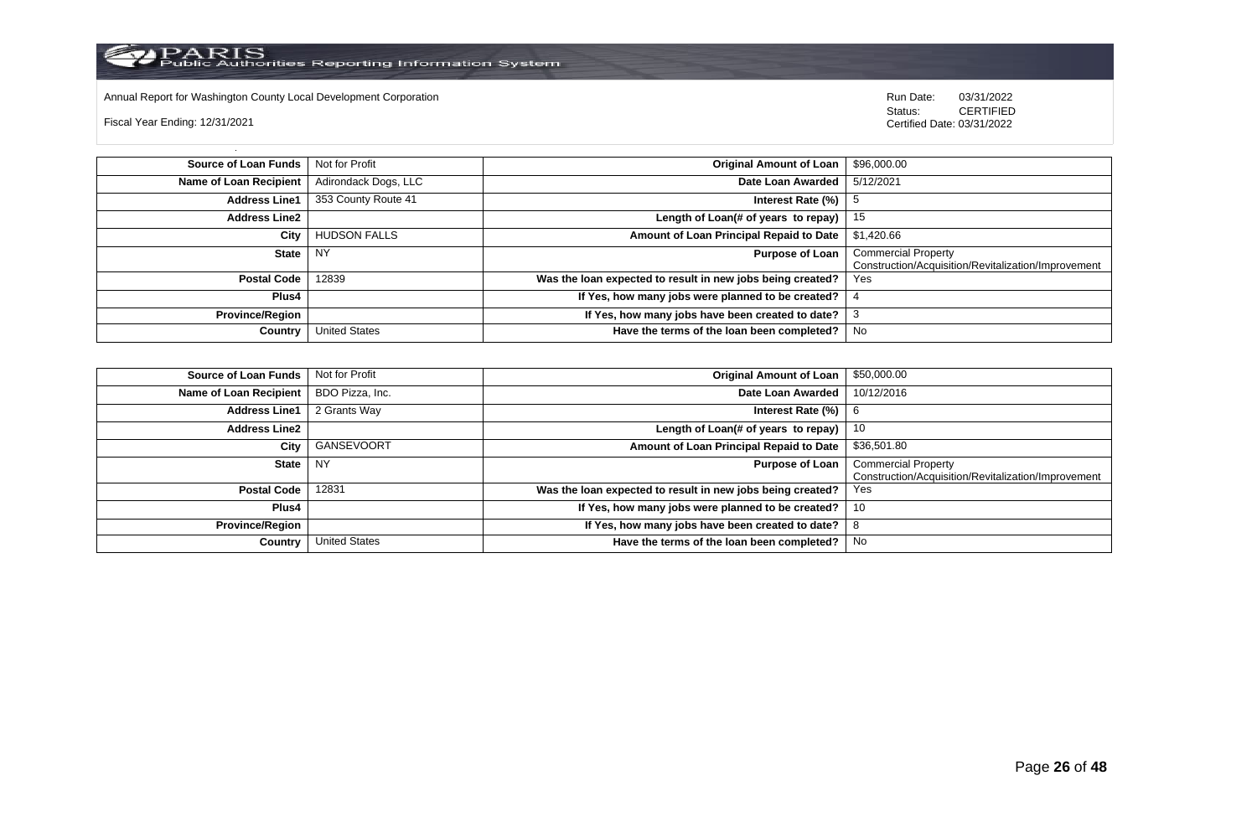

Annual Report for Washington County Local Development Corporation Run Date: 03/31/2022

Fiscal Year Ending: 12/31/2021

 Status: CERTIFIED Certified Date: 03/31/2022

**Source of Loan Funds** Not for Profit **Company of Loan 1 and 2001 Original Amount of Loan** 1 \$96,000.00 **Name of Loan Recipient** Adirondack Dogs, LLC **Date Loan Awarded** 5/12/2021 **Address Line1** 353 County Route 41 **Interest Rate (%)** 5 **Address Line2 Length of Loan(# of years to repay)** 15 **City** HUDSON FALLS **Amount of Loan Principal Repaid to Date** \$1,420.66 **State** NY **Purpose of Loan** Commercial Property Construction/Acquisition/Revitalization/Improvement **Postal Code** 12839 **Was the loan expected to result in new jobs being created? Plus4 If Yes, how many jobs were planned to be created?** 4 **Province/Region If Yes, how many jobs have been created to date?** 3 **Country** United States **Have the terms of the loan been completed?** No

| Source of Loan Funds   | Not for Profit  | <b>Original Amount of Loan</b>                             | \$50,000.00                                                                       |
|------------------------|-----------------|------------------------------------------------------------|-----------------------------------------------------------------------------------|
| Name of Loan Recipient | BDO Pizza, Inc. | Date Loan Awarded                                          | 10/12/2016                                                                        |
| <b>Address Line1</b>   | 2 Grants Way    | Interest Rate (%)                                          | -6                                                                                |
| <b>Address Line2</b>   |                 | Length of Loan(# of years to repay)                        | 10                                                                                |
| City                   | GANSEVOORT      | Amount of Loan Principal Repaid to Date                    | \$36,501.80                                                                       |
| State                  | NY              | <b>Purpose of Loan</b>                                     | <b>Commercial Property</b><br>Construction/Acquisition/Revitalization/Improvement |
| Postal Code            | 12831           | Was the loan expected to result in new jobs being created? | Yes                                                                               |
| Plus4                  |                 | If Yes, how many jobs were planned to be created?          | 10                                                                                |
| <b>Province/Region</b> |                 | If Yes, how many jobs have been created to date?           | $\circ$                                                                           |
| Country                | United States   | Have the terms of the loan been completed?                 | No                                                                                |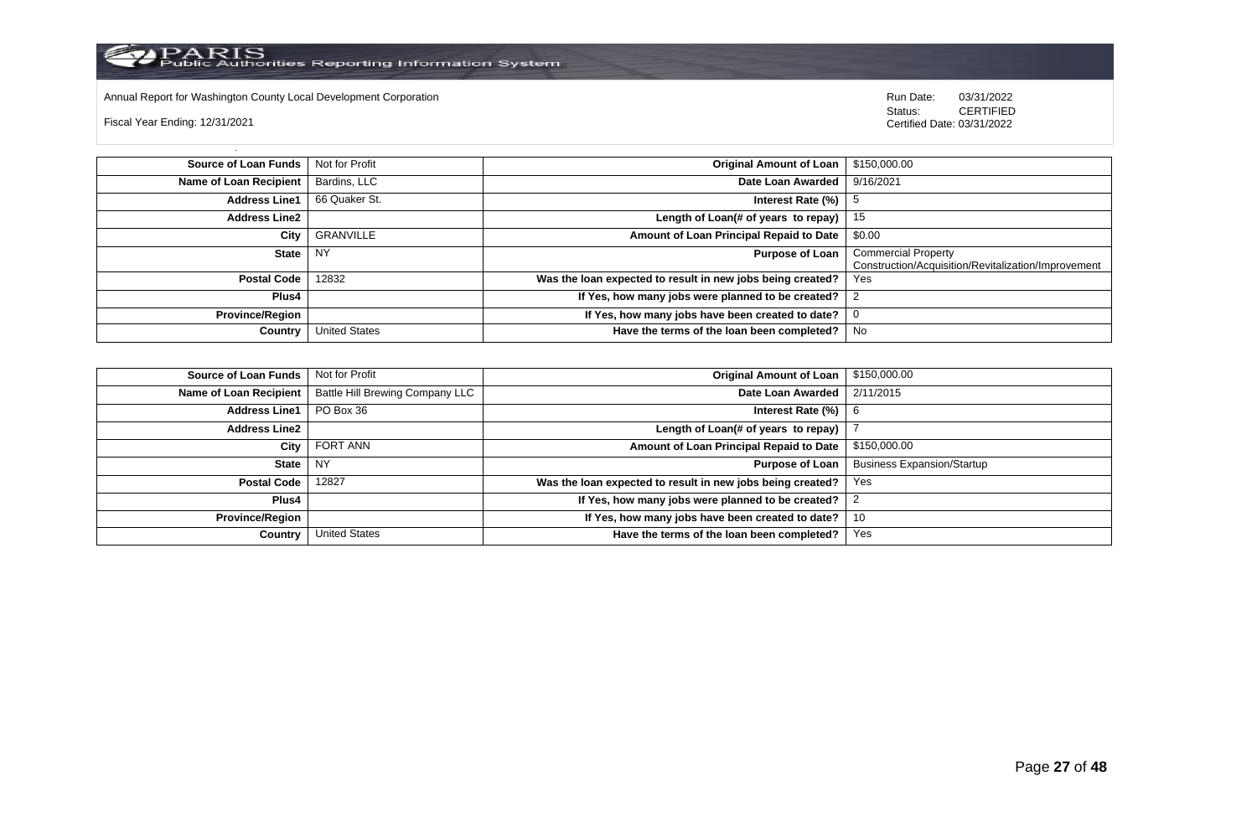Annual Report for Washington County Local Development Corporation **Run Date:** 03/31/2022<br>Status: CERTIFIED

Fiscal Year Ending: 12/31/2021

| Source of Loan Funds   | Not for Profit       | <b>Original Amount of Loan</b>                             | \$150,000.00                                        |
|------------------------|----------------------|------------------------------------------------------------|-----------------------------------------------------|
| Name of Loan Recipient | Bardins, LLC         | Date Loan Awarded                                          | 9/16/2021                                           |
| <b>Address Line1</b>   | 66 Quaker St.        | Interest Rate (%)                                          |                                                     |
| <b>Address Line2</b>   |                      | Length of Loan(# of years to repay) $ $                    | -15                                                 |
| City                   | <b>GRANVILLE</b>     | Amount of Loan Principal Repaid to Date                    | \$0.00                                              |
| <b>State</b>           | <b>NY</b>            | <b>Purpose of Loan</b>                                     | <b>Commercial Property</b>                          |
|                        |                      |                                                            | Construction/Acquisition/Revitalization/Improvement |
| <b>Postal Code</b>     | 12832                | Was the loan expected to result in new jobs being created? | Yes                                                 |
| Plus4                  |                      | If Yes, how many jobs were planned to be created?          |                                                     |
| <b>Province/Region</b> |                      | If Yes, how many jobs have been created to date?           |                                                     |
| Country                | <b>United States</b> | Have the terms of the loan been completed?                 | No                                                  |

| <b>Source of Loan Funds</b>   | Not for Profit                         | <b>Original Amount of Loan</b>                             | \$150,000.00                      |
|-------------------------------|----------------------------------------|------------------------------------------------------------|-----------------------------------|
| <b>Name of Loan Recipient</b> | <b>Battle Hill Brewing Company LLC</b> | Date Loan Awarded                                          | 2/11/2015                         |
| <b>Address Line1</b>          | PO Box 36                              | Interest Rate $(\%)$   6                                   |                                   |
| <b>Address Line2</b>          |                                        | Length of Loan(# of years to repay)                        |                                   |
| City                          | <b>FORT ANN</b>                        | Amount of Loan Principal Repaid to Date                    | \$150,000.00                      |
| State                         | I NY                                   | <b>Purpose of Loan</b>                                     | <b>Business Expansion/Startup</b> |
| <b>Postal Code</b>            | 12827                                  | Was the loan expected to result in new jobs being created? | Yes                               |
| Plus4                         |                                        | If Yes, how many jobs were planned to be created?          |                                   |
| <b>Province/Region</b>        |                                        | If Yes, how many jobs have been created to date?           | 10                                |
| Country                       | <b>United States</b>                   | Have the terms of the loan been completed?                 | Yes                               |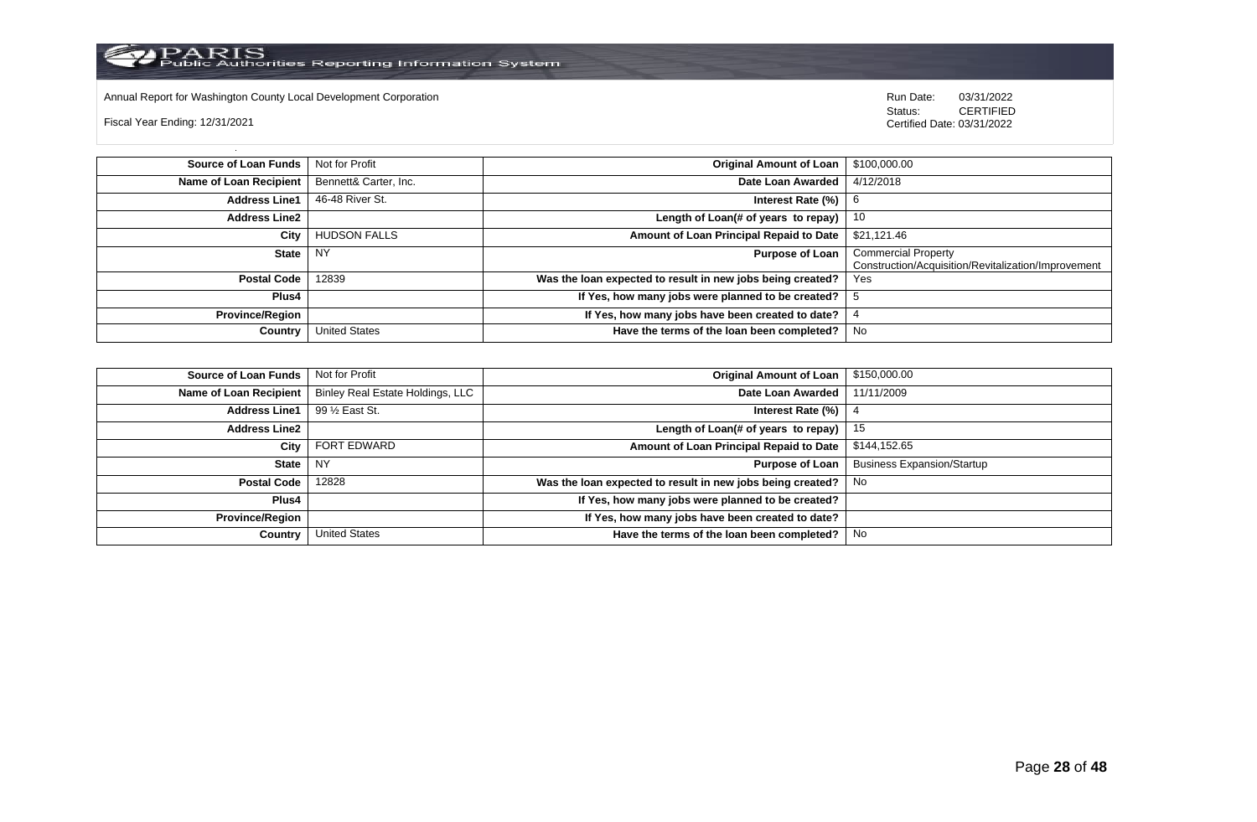Annual Report for Washington County Local Development Corporation **Company County Connect Connect Connect Connect**<br>
Status: CERTIFIED

Fiscal Year Ending: 12/31/2021

| <b>Source of Loan Funds</b> | Not for Profit        | <b>Original Amount of Loan</b>                             | \$100,000.00                                                                      |
|-----------------------------|-----------------------|------------------------------------------------------------|-----------------------------------------------------------------------------------|
| Name of Loan Recipient      | Bennett& Carter, Inc. | Date Loan Awarded                                          | 4/12/2018                                                                         |
| <b>Address Line1</b>        | 46-48 River St.       | Interest Rate (%)                                          | 6                                                                                 |
| <b>Address Line2</b>        |                       | Length of Loan(# of years to repay) $ $                    | - 10                                                                              |
| City                        | <b>HUDSON FALLS</b>   | Amount of Loan Principal Repaid to Date                    | \$21,121.46                                                                       |
| <b>State</b>                | <b>NY</b>             | <b>Purpose of Loan</b>                                     | <b>Commercial Property</b><br>Construction/Acquisition/Revitalization/Improvement |
| <b>Postal Code</b>          | 12839                 | Was the loan expected to result in new jobs being created? | Yes                                                                               |
| Plus4                       |                       | If Yes, how many jobs were planned to be created?          |                                                                                   |
| <b>Province/Region</b>      |                       | If Yes, how many jobs have been created to date?           |                                                                                   |
| Country                     | <b>United States</b>  | Have the terms of the loan been completed?                 | No                                                                                |

| <b>Source of Loan Funds</b> | Not for Profit                   | Original Amount of Loan                                    | \$150,000.00                      |
|-----------------------------|----------------------------------|------------------------------------------------------------|-----------------------------------|
| Name of Loan Recipient      | Binley Real Estate Holdings, LLC | Date Loan Awarded                                          | 11/11/2009                        |
| <b>Address Line1</b>        | 99 1/2 East St.                  | Interest Rate (%)                                          |                                   |
| <b>Address Line2</b>        |                                  | Length of Loan(# of years to repay)                        | 15                                |
| City                        | <b>FORT EDWARD</b>               | Amount of Loan Principal Repaid to Date                    | \$144,152.65                      |
| State                       | I NY                             | <b>Purpose of Loan</b>                                     | <b>Business Expansion/Startup</b> |
| <b>Postal Code</b>          | 12828                            | Was the loan expected to result in new jobs being created? | No.                               |
| Plus4                       |                                  | If Yes, how many jobs were planned to be created?          |                                   |
| <b>Province/Region</b>      |                                  | If Yes, how many jobs have been created to date?           |                                   |
| Country                     | <b>United States</b>             | Have the terms of the loan been completed?                 | No.                               |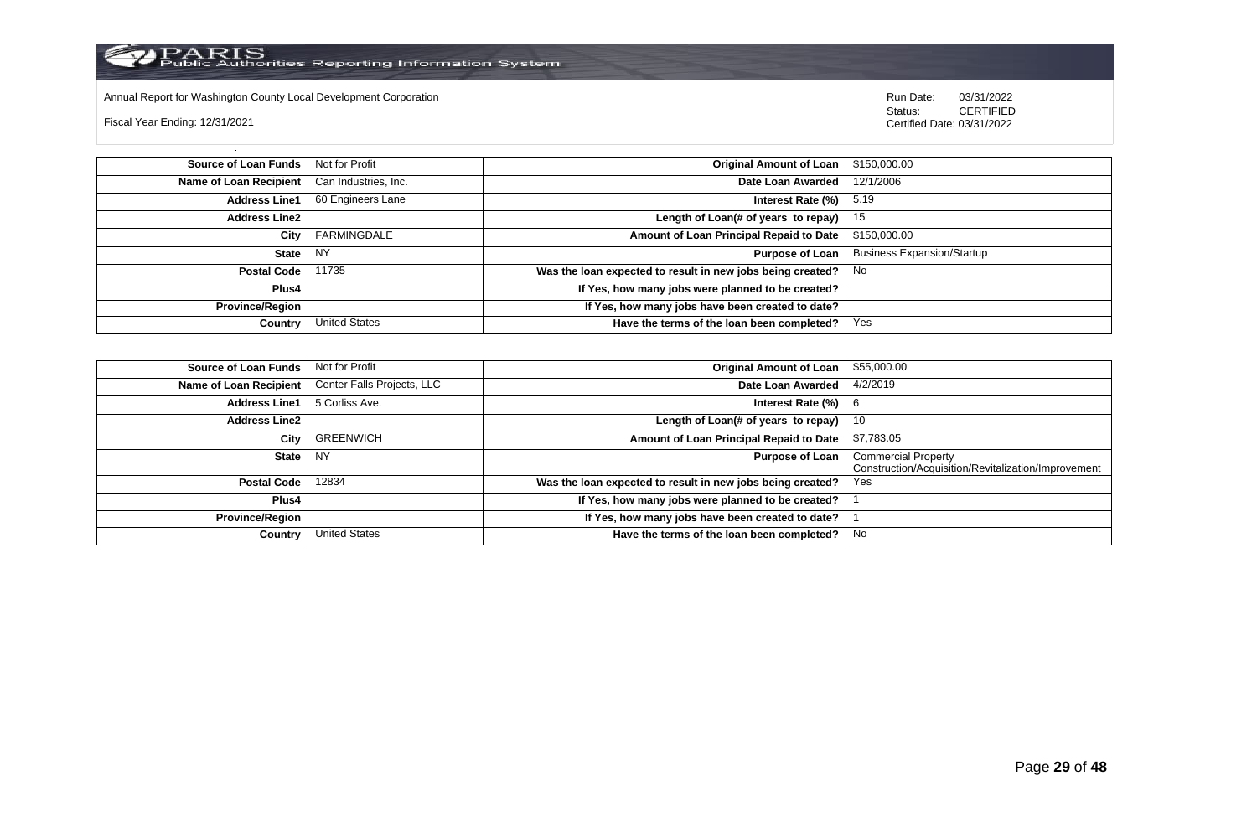

Annual Report for Washington County Local Development Corporation Run Date: 03/31/2022

Fiscal Year Ending: 12/31/2021

 Status: CERTIFIED Certified Date: 03/31/2022

**Source of Loan Funds** Not for Profit **Containers and Containers Amount Original Amount of Loan** \$150,000.00 **Name of Loan Recipient** Can Industries, Inc. **Date Loan Awarded** 12/1/2006 **Address Line1** 60 Engineers Lane **Interest Rate (%)** 5.19 **Address Line2 Length of Loan(# of years to repay)** 15 **City** FARMINGDALE **Amount of Loan Principal Repaid to Date** \$150,000.00 **State** NY **Purpose of Loan** Business Expansion/Startup **Postal Code** 11735 **Was the loan expected to result in new jobs being created?** No **Plus4 If Yes, how many jobs were planned to be created? Province/Region If Yes, how many jobs have been created to date? Country** United States **Have the terms of the loan been completed?** Yes

| Source of Loan Funds   | Not for Profit             | <b>Original Amount of Loan</b>                             | \$55,000.00                                                                       |
|------------------------|----------------------------|------------------------------------------------------------|-----------------------------------------------------------------------------------|
| Name of Loan Recipient | Center Falls Projects, LLC | Date Loan Awarded                                          | 4/2/2019                                                                          |
| <b>Address Line1</b>   | 5 Corliss Ave.             | Interest Rate (%)                                          | 6                                                                                 |
| <b>Address Line2</b>   |                            | Length of Loan(# of years to repay)                        | 10                                                                                |
| City                   | GREENWICH                  | Amount of Loan Principal Repaid to Date                    | \$7,783.05                                                                        |
| State                  | . NY                       | <b>Purpose of Loan</b>                                     | <b>Commercial Property</b><br>Construction/Acquisition/Revitalization/Improvement |
| Postal Code            | 12834                      | Was the loan expected to result in new jobs being created? | Yes                                                                               |
| <b>Plus4</b>           |                            | If Yes, how many jobs were planned to be created?          |                                                                                   |
| Province/Region        |                            | If Yes, how many jobs have been created to date?           |                                                                                   |
| Country                | <b>United States</b>       | Have the terms of the loan been completed?                 | No                                                                                |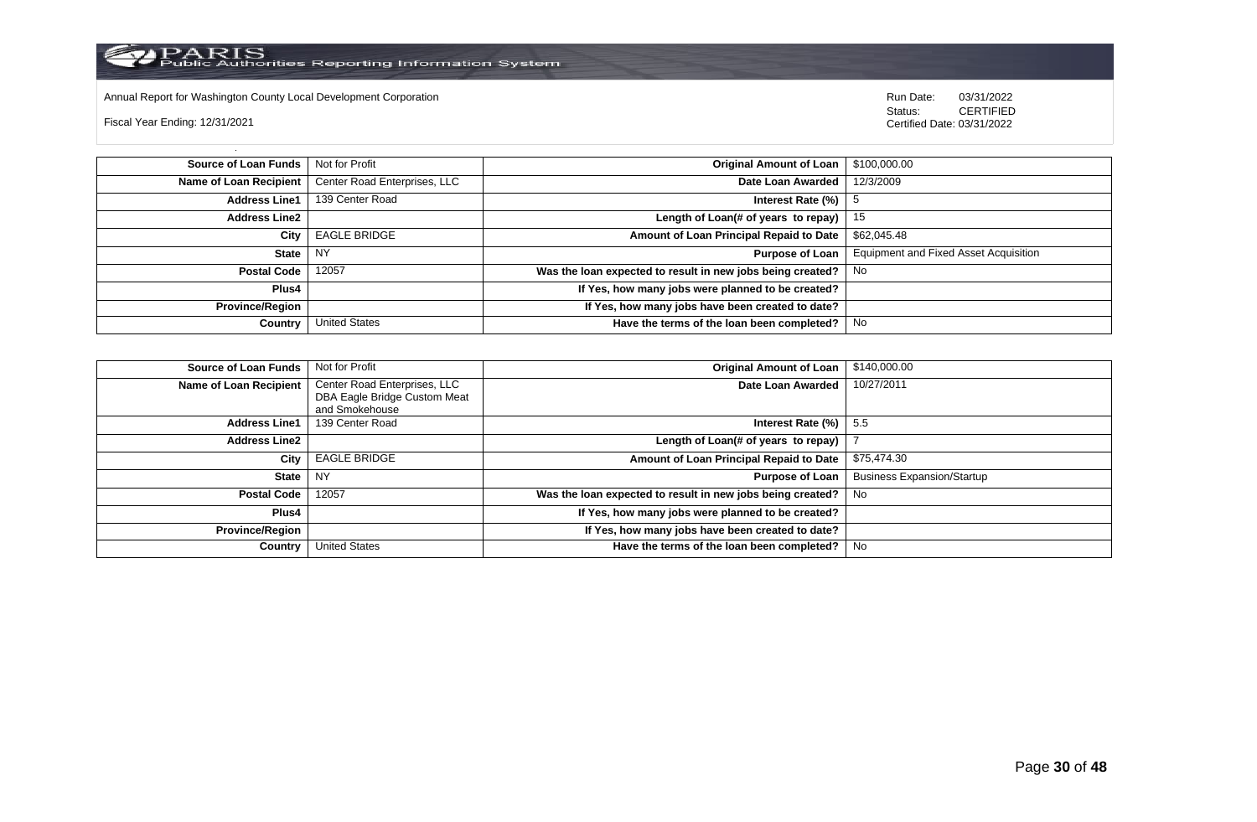

Annual Report for Washington County Local Development Corporation **Company County Connect Connect Connect Connect**<br>
Status: CERTIFIED

Fiscal Year Ending: 12/31/2021

| Source of Loan Funds   | Not for Profit               | <b>Original Amount of Loan</b>                             | \$100,000.00                                 |
|------------------------|------------------------------|------------------------------------------------------------|----------------------------------------------|
| Name of Loan Recipient | Center Road Enterprises, LLC | Date Loan Awarded                                          | 12/3/2009                                    |
| <b>Address Line1</b>   | 139 Center Road              | Interest Rate (%)                                          |                                              |
| <b>Address Line2</b>   |                              | Length of Loan(# of years to repay) $ $                    | 15                                           |
| City                   | <b>EAGLE BRIDGE</b>          | Amount of Loan Principal Repaid to Date                    | \$62,045.48                                  |
| State I                | NY                           | <b>Purpose of Loan</b>                                     | <b>Equipment and Fixed Asset Acquisition</b> |
| Postal Code            | 12057                        | Was the loan expected to result in new jobs being created? | No.                                          |
| Plus4                  |                              | If Yes, how many jobs were planned to be created?          |                                              |
| Province/Region        |                              | If Yes, how many jobs have been created to date?           |                                              |
| Country                | <b>United States</b>         | Have the terms of the loan been completed?                 | No                                           |

| <b>Source of Loan Funds</b>   | Not for Profit                                                                 | <b>Original Amount of Loan</b>                             | \$140,000.00                      |
|-------------------------------|--------------------------------------------------------------------------------|------------------------------------------------------------|-----------------------------------|
| <b>Name of Loan Recipient</b> | Center Road Enterprises, LLC<br>DBA Eagle Bridge Custom Meat<br>and Smokehouse | Date Loan Awarded                                          | 10/27/2011                        |
| <b>Address Line1</b>          | 139 Center Road                                                                | Interest Rate (%)                                          | 5.5                               |
| <b>Address Line2</b>          |                                                                                | Length of Loan(# of years to repay)                        |                                   |
| City                          | <b>EAGLE BRIDGE</b>                                                            | Amount of Loan Principal Repaid to Date                    | \$75,474.30                       |
| <b>State</b>                  | <b>NY</b>                                                                      | <b>Purpose of Loan</b>                                     | <b>Business Expansion/Startup</b> |
| <b>Postal Code</b>            | 12057                                                                          | Was the loan expected to result in new jobs being created? | No.                               |
| Plus4                         |                                                                                | If Yes, how many jobs were planned to be created?          |                                   |
| <b>Province/Region</b>        |                                                                                | If Yes, how many jobs have been created to date?           |                                   |
| Country                       | <b>United States</b>                                                           | Have the terms of the loan been completed?                 | No                                |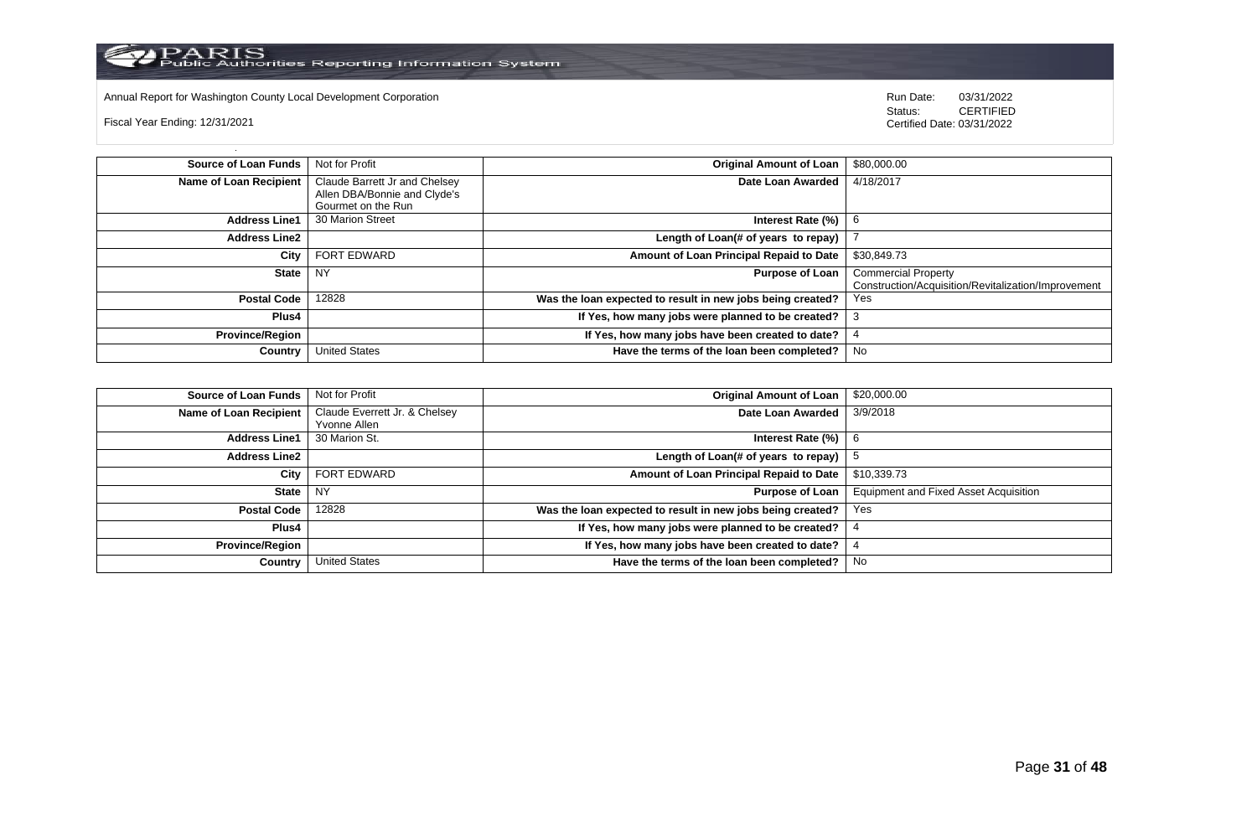

Annual Report for Washington County Local Development Corporation **Run Date:** 03/31/2022<br>Status: CERTIFIED

Fiscal Year Ending: 12/31/2021

| <b>Source of Loan Funds</b>   | Not for Profit                | <b>Original Amount of Loan</b>                             | \$80,000.00                                         |
|-------------------------------|-------------------------------|------------------------------------------------------------|-----------------------------------------------------|
| <b>Name of Loan Recipient</b> | Claude Barrett Jr and Chelsey | Date Loan Awarded                                          | 4/18/2017                                           |
|                               | Allen DBA/Bonnie and Clyde's  |                                                            |                                                     |
|                               | Gourmet on the Run            |                                                            |                                                     |
| <b>Address Line1</b>          | 30 Marion Street              | Interest Rate (%)                                          |                                                     |
| <b>Address Line2</b>          |                               | Length of Loan(# of years to repay)                        |                                                     |
| City                          | <b>FORT EDWARD</b>            | Amount of Loan Principal Repaid to Date                    | \$30,849.73                                         |
| <b>State</b>                  | <b>NY</b>                     | <b>Purpose of Loan</b>                                     | <b>Commercial Property</b>                          |
|                               |                               |                                                            | Construction/Acquisition/Revitalization/Improvement |
| <b>Postal Code</b>            | 12828                         | Was the loan expected to result in new jobs being created? | <b>Yes</b>                                          |
| Plus4                         |                               | If Yes, how many jobs were planned to be created?          | З                                                   |
| <b>Province/Region</b>        |                               | If Yes, how many jobs have been created to date?           |                                                     |
| Country                       | <b>United States</b>          | Have the terms of the loan been completed?                 | No                                                  |

| <b>Source of Loan Funds</b>   | Not for Profit                | Original Amount of Loan                                    | \$20,000.00                                  |
|-------------------------------|-------------------------------|------------------------------------------------------------|----------------------------------------------|
| <b>Name of Loan Recipient</b> | Claude Everrett Jr. & Chelsey | Date Loan Awarded                                          | 3/9/2018                                     |
|                               | Yvonne Allen                  |                                                            |                                              |
| <b>Address Line1</b>          | 30 Marion St.                 | Interest Rate $(\%)$   6                                   |                                              |
| <b>Address Line2</b>          |                               | Length of Loan(# of years to repay) $ $                    |                                              |
| City                          | FORT EDWARD                   | Amount of Loan Principal Repaid to Date                    | \$10,339.73                                  |
| <b>State</b>                  | <b>NY</b>                     | Purpose of Loan                                            | <b>Equipment and Fixed Asset Acquisition</b> |
| <b>Postal Code</b>            | 12828                         | Was the loan expected to result in new jobs being created? | Yes                                          |
| Plus4                         |                               | If Yes, how many jobs were planned to be created?          |                                              |
| <b>Province/Region</b>        |                               | If Yes, how many jobs have been created to date?           |                                              |
| Country                       | <b>United States</b>          | Have the terms of the loan been completed?                 | No                                           |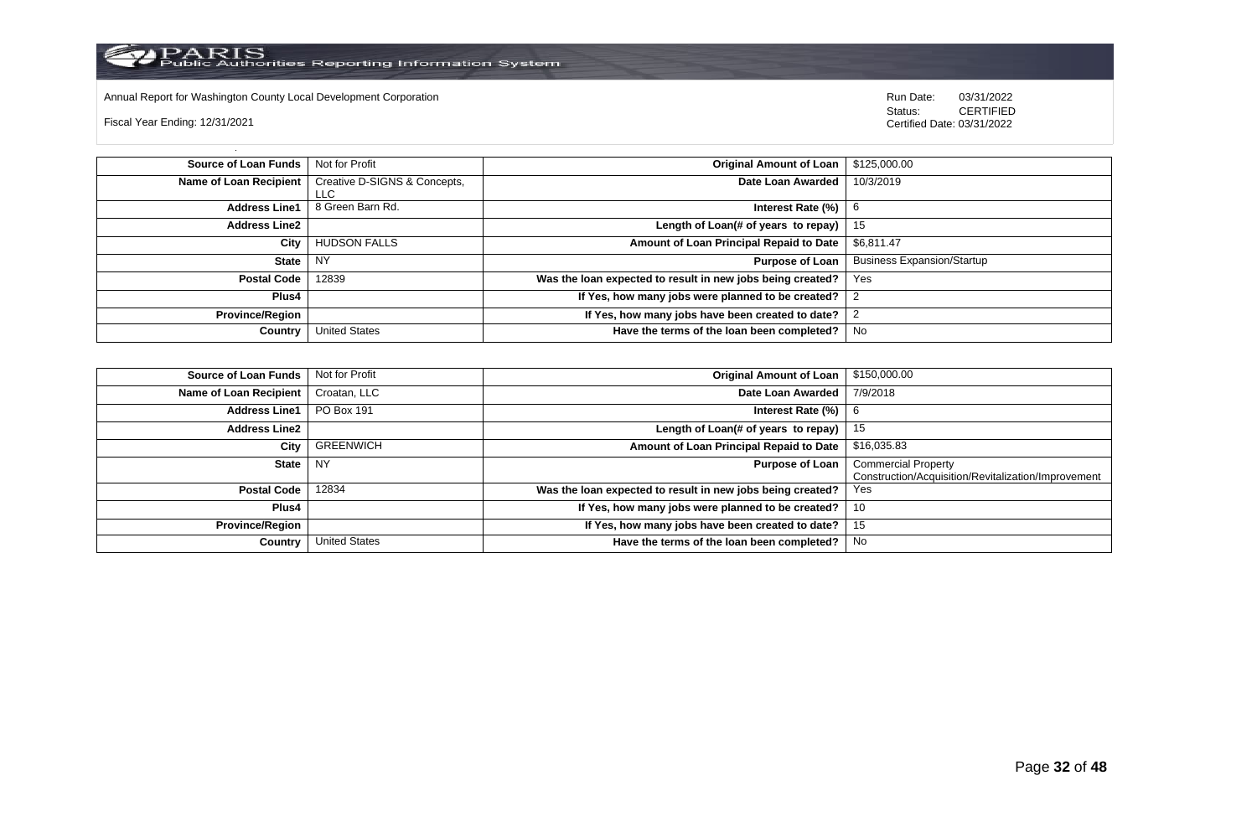

Annual Report for Washington County Local Development Corporation Run Date: 03/31/2022

Fiscal Year Ending: 12/31/2021

 Status: CERTIFIED Certified Date: 03/31/2022

**Source of Loan Funds** Not for Profit **Containers and Containers Amount Original Amount of Loan** \$125,000.00 **Name of Loan Recipient** Creative D-SIGNS & Concepts, LLC<br>8 Green Barn Rd. **Date Loan Awarded** 10/3/2019 **Address Line1** 8 Green Barn Rd. **Interest Rate (%)** 6 **Interest Rate (%)** 6 **Address Line2 Length of Loan(# of years to repay)** 15 **City** HUDSON FALLS **Amount of Loan Principal Repaid to Date** \$6,811.47 **State** NY **Purpose of Loan** Business Expansion/Startup **Postal Code** 12839 **Was the loan expected to result in new jobs being created?** Yes **Plus4 If Yes, how many jobs were planned to be created?** 2 **Province/Region If Yes, how many jobs have been created to date?** 2 **Country** United States **Have the terms of the loan been completed?** No

| Source of Loan Funds   | Not for Profit       | <b>Original Amount of Loan</b>                             | \$150,000.00                                                                      |
|------------------------|----------------------|------------------------------------------------------------|-----------------------------------------------------------------------------------|
| Name of Loan Recipient | Croatan, LLC         | Date Loan Awarded                                          | 7/9/2018                                                                          |
| <b>Address Line1</b>   | <b>PO Box 191</b>    | Interest Rate (%)                                          |                                                                                   |
| <b>Address Line2</b>   |                      | Length of Loan(# of years to repay)                        | 15                                                                                |
| City                   | <b>GREENWICH</b>     | Amount of Loan Principal Repaid to Date                    | \$16,035.83                                                                       |
| State                  | <b>NY</b>            | <b>Purpose of Loan</b>                                     | <b>Commercial Property</b><br>Construction/Acquisition/Revitalization/Improvement |
| <b>Postal Code</b>     | 12834                | Was the loan expected to result in new jobs being created? | Yes                                                                               |
| Plus4                  |                      | If Yes, how many jobs were planned to be created?          | 10                                                                                |
| <b>Province/Region</b> |                      | If Yes, how many jobs have been created to date?           | 15                                                                                |
| Country                | <b>United States</b> | Have the terms of the loan been completed?                 | No                                                                                |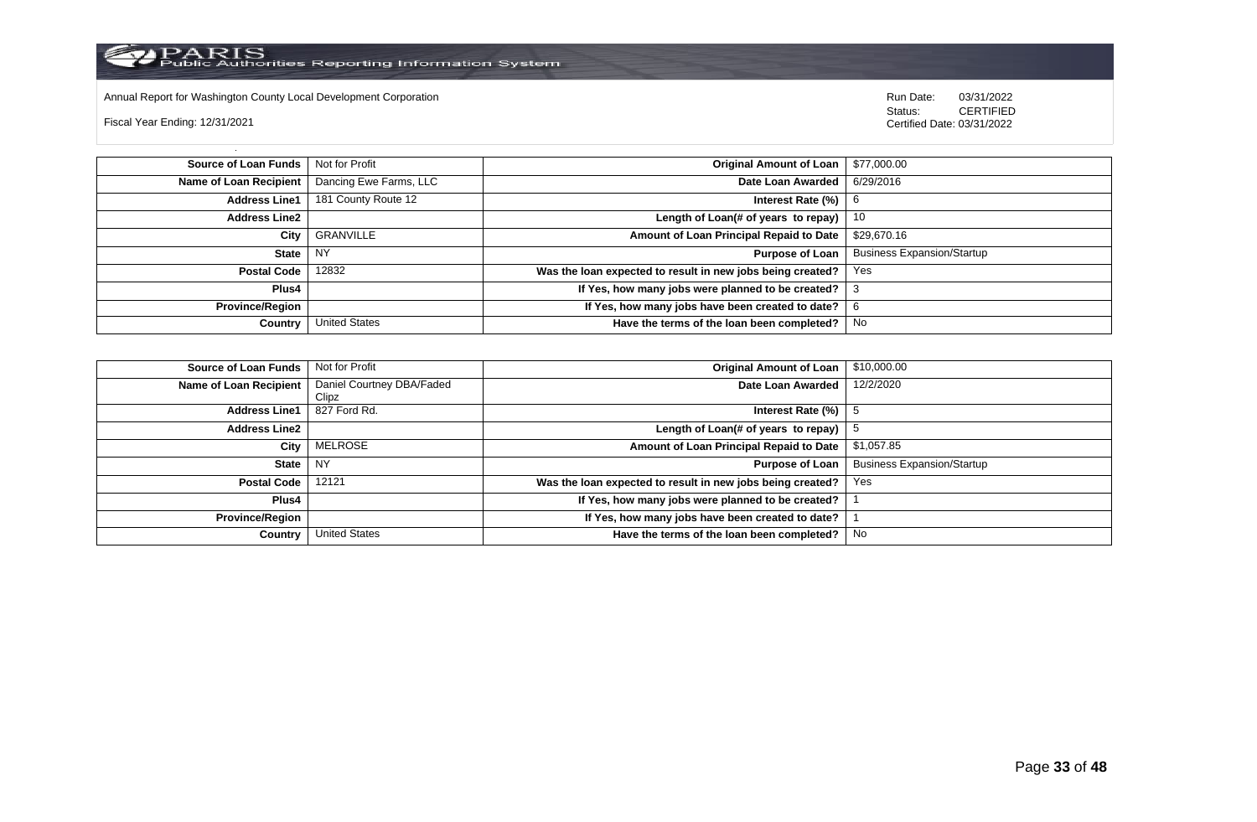

Annual Report for Washington County Local Development Corporation **Company County Connect Connect Connect Connect**<br>
Status: CERTIFIED

Fiscal Year Ending: 12/31/2021

| Source of Loan Funds   | Not for Profit         | <b>Original Amount of Loan</b>                             | \$77,000.00                       |
|------------------------|------------------------|------------------------------------------------------------|-----------------------------------|
| Name of Loan Recipient | Dancing Ewe Farms, LLC | Date Loan Awarded                                          | 6/29/2016                         |
| <b>Address Line1</b>   | 181 County Route 12    | Interest Rate $(\%)$   6                                   |                                   |
| <b>Address Line2</b>   |                        | Length of Loan(# of years to repay) $\vert$ 10             |                                   |
| City                   | GRANVILLE              | Amount of Loan Principal Repaid to Date                    | \$29,670.16                       |
| <b>State</b>           | <b>NY</b>              | Purpose of Loan                                            | <b>Business Expansion/Startup</b> |
| <b>Postal Code</b>     | 12832                  | Was the loan expected to result in new jobs being created? | Yes                               |
| <b>Plus4</b>           |                        | If Yes, how many jobs were planned to be created?          | -3                                |
| <b>Province/Region</b> |                        | If Yes, how many jobs have been created to date?           | 6                                 |
| Country                | <b>United States</b>   | Have the terms of the loan been completed?                 | No                                |

| <b>Source of Loan Funds</b> | Not for Profit            | <b>Original Amount of Loan</b>                             | \$10,000.00                       |
|-----------------------------|---------------------------|------------------------------------------------------------|-----------------------------------|
| Name of Loan Recipient      | Daniel Courtney DBA/Faded | Date Loan Awarded                                          | 12/2/2020                         |
|                             | Clipz                     |                                                            |                                   |
| <b>Address Line1</b>        | 827 Ford Rd.              | Interest Rate (%)                                          |                                   |
| <b>Address Line2</b>        |                           | Length of Loan(# of years to repay)                        |                                   |
| City                        | MELROSE                   | Amount of Loan Principal Repaid to Date                    | \$1,057.85                        |
| State                       | NY                        | <b>Purpose of Loan</b>                                     | <b>Business Expansion/Startup</b> |
| <b>Postal Code</b>          | 12121                     | Was the loan expected to result in new jobs being created? | Yes                               |
| <b>Plus4</b>                |                           | If Yes, how many jobs were planned to be created?          |                                   |
| <b>Province/Region</b>      |                           | If Yes, how many jobs have been created to date?           |                                   |
| Country                     | United States             | Have the terms of the loan been completed?                 | No                                |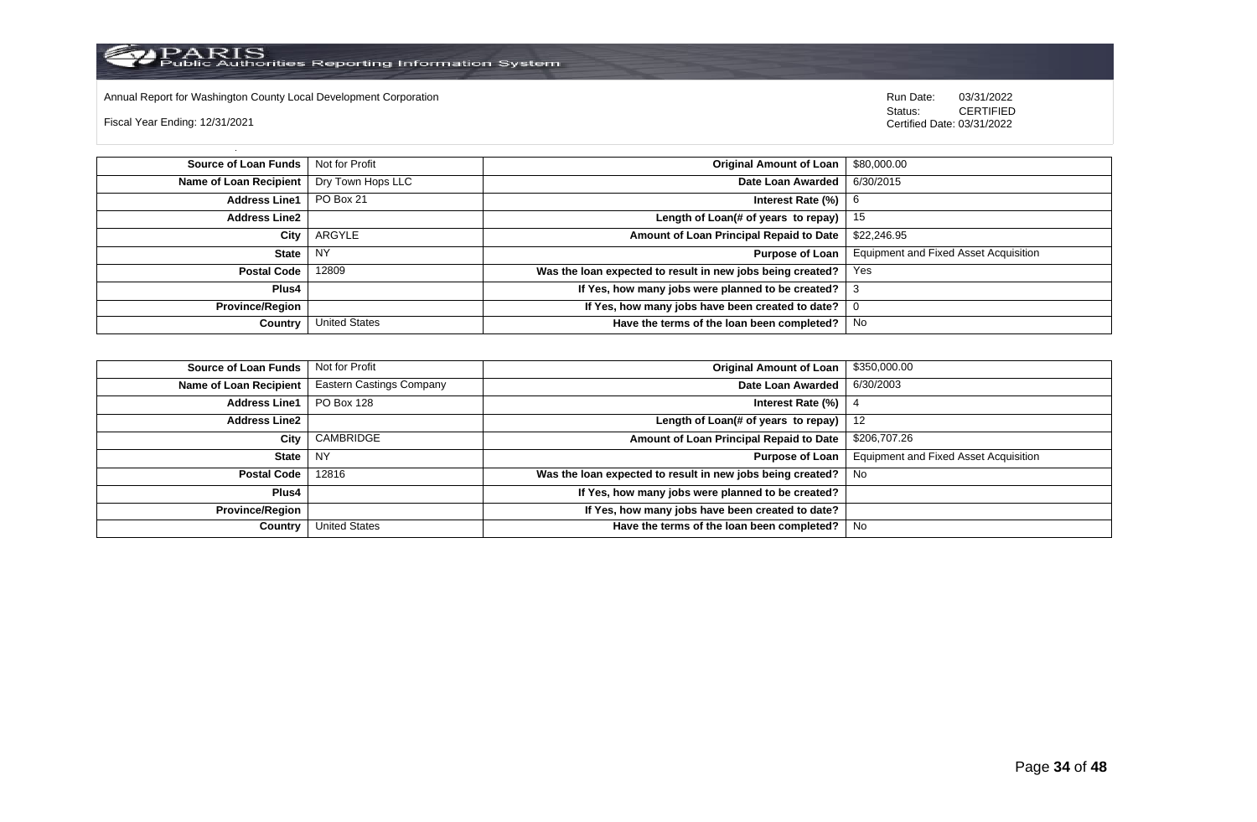

Annual Report for Washington County Local Development Corporation Run Date: 03/31/2022

Fiscal Year Ending: 12/31/2021

 Status: CERTIFIED Certified Date: 03/31/2022

**Source of Loan Funds** Not for Profit **Community Community Community Community Community Community Community Community Community Community Community Community Community Community Community Community Community Community Com Name of Loan Recipient** Dry Town Hops LLC **Date Loan Awarded** 6/30/2015 **Address Line1** PO Box 21 **Interest Rate (%)** 6 **Address Line2 Length of Loan(# of years to repay)** 15 **City** ARGYLE **Amount of Loan Principal Repaid to Date** \$22,246.95 **State** NY **Purpose of Loan** Equipment and Fixed Asset Acquisition **Postal Code** 12809 **Was the loan expected to result in new jobs being created?** Yes **Plus4 If Yes, how many jobs were planned to be created?** 3 **Province/Region If Yes, how many jobs have been created to date?** 0 **Country** United States **Have the terms of the loan been completed?** No

| <b>Source of Loan Funds</b>   Not for Profit |                                 | <b>Original Amount of Loan</b>                             | \$350,000.00                                 |
|----------------------------------------------|---------------------------------|------------------------------------------------------------|----------------------------------------------|
| Name of Loan Recipient                       | <b>Eastern Castings Company</b> | Date Loan Awarded                                          | 6/30/2003                                    |
| <b>Address Line1</b>                         | PO Box 128                      | Interest Rate (%)                                          |                                              |
| Address Line2                                |                                 | Length of Loan(# of years to repay)                        | -12                                          |
| City                                         | CAMBRIDGE                       | Amount of Loan Principal Repaid to Date                    | \$206,707.26                                 |
| State                                        | NY                              | Purpose of Loan                                            | <b>Equipment and Fixed Asset Acquisition</b> |
| Postal Code                                  | 12816                           | Was the loan expected to result in new jobs being created? | No                                           |
| Plus4                                        |                                 | If Yes, how many jobs were planned to be created?          |                                              |
| Province/Region                              |                                 | If Yes, how many jobs have been created to date?           |                                              |
| Country                                      | <b>United States</b>            | Have the terms of the loan been completed?                 | No                                           |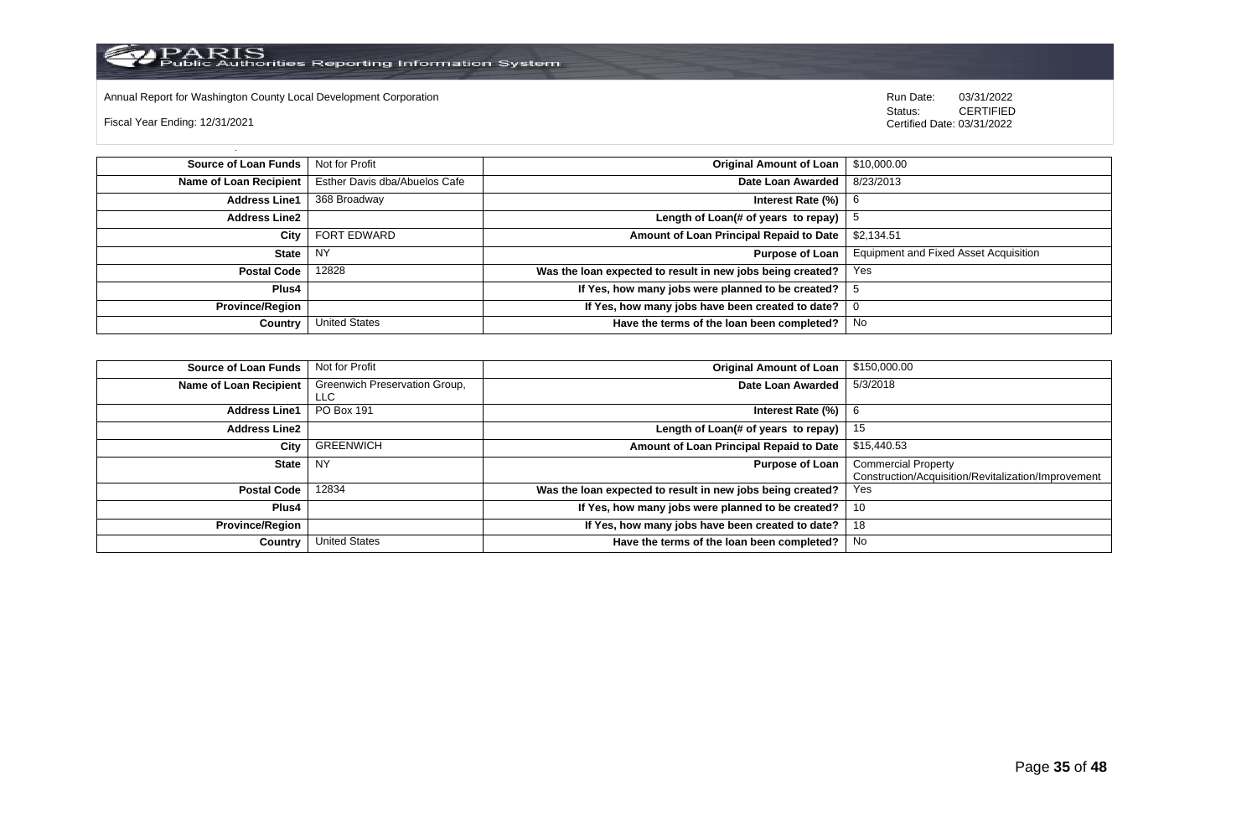

Annual Report for Washington County Local Development Corporation Run Date: 03/31/2022

Fiscal Year Ending: 12/31/2021

 Status: CERTIFIED Certified Date: 03/31/2022

**Source of Loan Funds** Not for Profit **Community 10 and 20 and 20 and 20 and 20 and 20 and 310,000.00 Name of Loan Recipient** Esther Davis dba/Abuelos Cafe **Date Loan Awarded** 8/23/2013 **Address Line1** 368 Broadway **Interest Rate (%)** 6 **Address Line2 Length of Loan(# of years to repay)**  $\vert$  5 **City** FORT EDWARD **Amount of Loan Principal Repaid to Date** \$2,134.51 **State** NY **Purpose of Loan** Equipment and Fixed Asset Acquisition **Postal Code** 12828 **Was the loan expected to result in new jobs being created?** Yes **Plus4 If Yes, how many jobs were planned to be created?** 5 **Province/Region If Yes, how many jobs have been created to date?** 0 **Country** United States **Have the terms of the loan been completed?** No

| \$150,000.00                                        | <b>Original Amount of Loan</b>                             | Not for Profit                | Source of Loan Funds   |
|-----------------------------------------------------|------------------------------------------------------------|-------------------------------|------------------------|
| 5/3/2018                                            | Date Loan Awarded                                          | Greenwich Preservation Group, | Name of Loan Recipient |
|                                                     |                                                            | <b>LLC</b>                    |                        |
| b                                                   | Interest Rate (%)                                          | <b>PO Box 191</b>             | <b>Address Line1</b>   |
| 15                                                  | Length of Loan(# of years to repay) $ $                    |                               | <b>Address Line2</b>   |
| \$15,440.53                                         | Amount of Loan Principal Repaid to Date                    | GREENWICH                     | City                   |
| <b>Commercial Property</b>                          | <b>Purpose of Loan</b>                                     | <b>NY</b>                     | State                  |
| Construction/Acquisition/Revitalization/Improvement |                                                            |                               |                        |
| Yes                                                 | Was the loan expected to result in new jobs being created? | 12834                         | <b>Postal Code</b>     |
| 10                                                  | If Yes, how many jobs were planned to be created?          |                               | <b>Plus4</b>           |
| 18                                                  | If Yes, how many jobs have been created to date?           |                               | Province/Region        |
| No                                                  | Have the terms of the loan been completed?                 | <b>United States</b>          | Country                |
|                                                     |                                                            |                               |                        |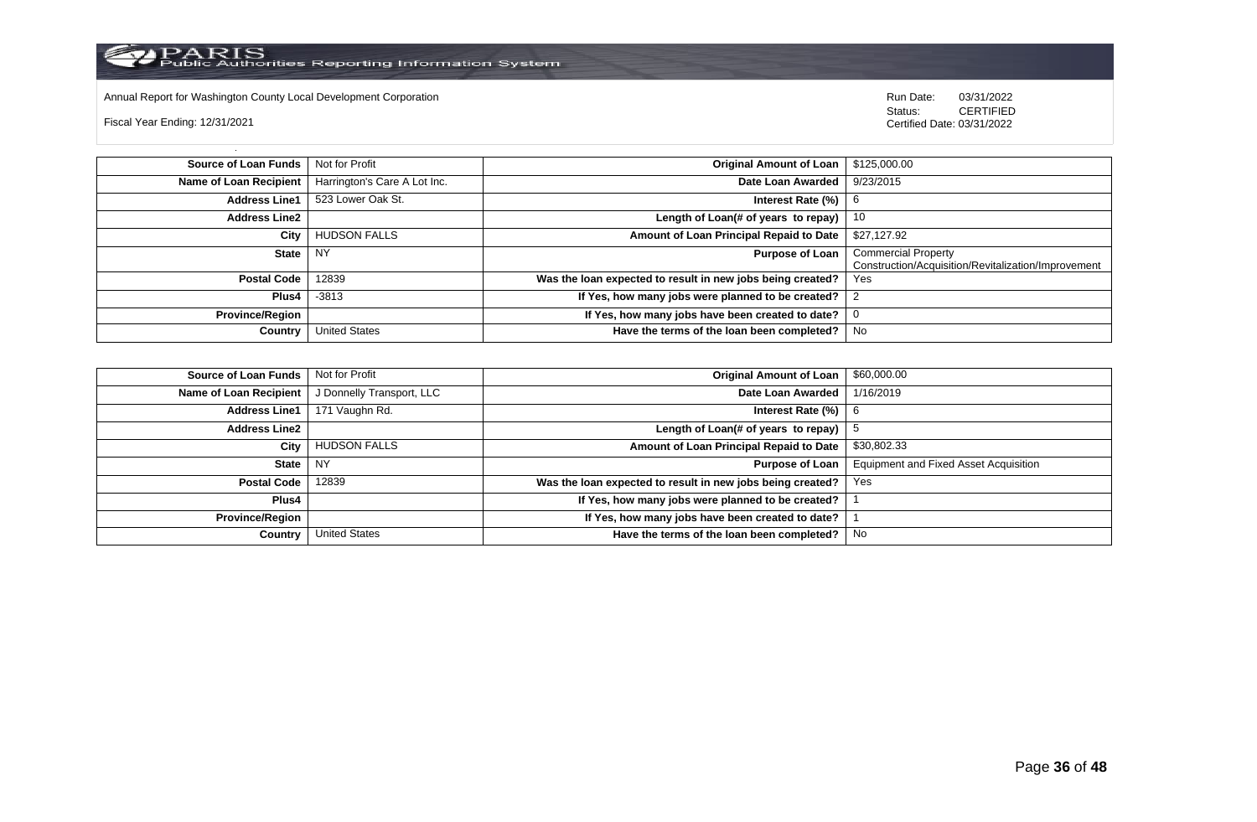

Annual Report for Washington County Local Development Corporation **Company County Connect Connect Connect Annual Report** for Washington County Local Development Corporation **Run Date:** 03/31/2022 <br>Status: CERTIFIED

Fiscal Year Ending: 12/31/2021

| <b>Source of Loan Funds</b> | Not for Profit               | Original Amount of Loan                                    | \$125,000.00                                        |
|-----------------------------|------------------------------|------------------------------------------------------------|-----------------------------------------------------|
| Name of Loan Recipient      | Harrington's Care A Lot Inc. | Date Loan Awarded                                          | 9/23/2015                                           |
| <b>Address Line1</b>        | 523 Lower Oak St.            | Interest Rate (%)                                          | - 6                                                 |
| <b>Address Line2</b>        |                              | Length of Loan(# of years to repay)                        | -10                                                 |
| City                        | <b>HUDSON FALLS</b>          | Amount of Loan Principal Repaid to Date                    | \$27,127.92                                         |
| <b>State</b>                | NY.                          | <b>Purpose of Loan</b>                                     | <b>Commercial Property</b>                          |
|                             |                              |                                                            | Construction/Acquisition/Revitalization/Improvement |
| <b>Postal Code</b>          | 12839                        | Was the loan expected to result in new jobs being created? | Yes                                                 |
| Plus <sub>4</sub>           | -3813                        | If Yes, how many jobs were planned to be created? 2        |                                                     |
| <b>Province/Region</b>      |                              | If Yes, how many jobs have been created to date?           |                                                     |
| Country                     | <b>United States</b>         | Have the terms of the loan been completed?                 | No                                                  |

| <b>Source of Loan Funds</b> | Not for Profit            | <b>Original Amount of Loan</b>                             | \$60,000.00                                  |
|-----------------------------|---------------------------|------------------------------------------------------------|----------------------------------------------|
| Name of Loan Recipient      | J Donnelly Transport, LLC | Date Loan Awarded                                          | 1/16/2019                                    |
| <b>Address Line1</b>        | 171 Vaughn Rd.            | Interest Rate $(\%)$   6                                   |                                              |
| <b>Address Line2</b>        |                           | Length of Loan(# of years to repay) $ $                    |                                              |
| City                        | <b>HUDSON FALLS</b>       | Amount of Loan Principal Repaid to Date                    | \$30,802.33                                  |
| State                       | NY.                       | Purpose of Loan                                            | <b>Equipment and Fixed Asset Acquisition</b> |
| <b>Postal Code</b>          | 12839                     | Was the loan expected to result in new jobs being created? | Yes                                          |
| Plus4                       |                           | If Yes, how many jobs were planned to be created?          |                                              |
| <b>Province/Region</b>      |                           | If Yes, how many jobs have been created to date?           |                                              |
| Country                     | <b>United States</b>      | Have the terms of the loan been completed?                 | No                                           |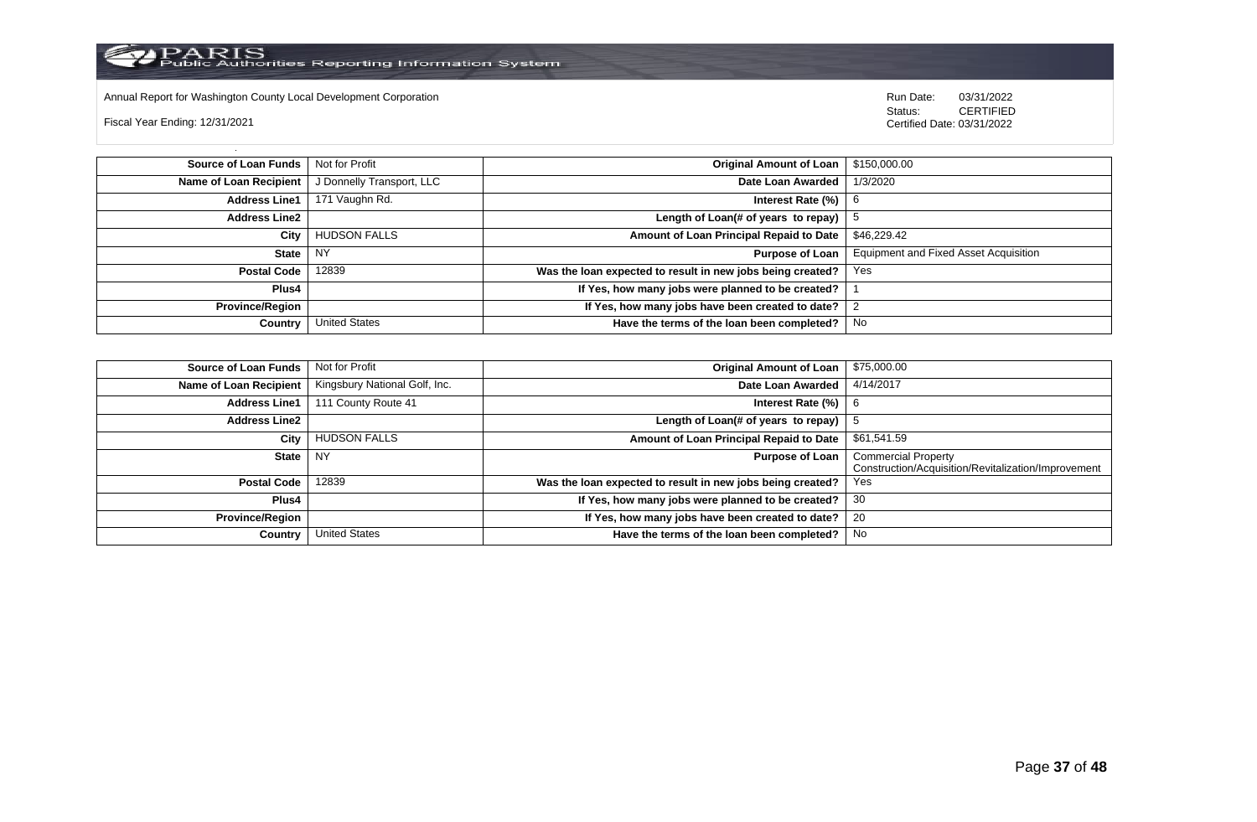

Annual Report for Washington County Local Development Corporation Run Date: 03/31/2022

Fiscal Year Ending: 12/31/2021

 Status: CERTIFIED Certified Date: 03/31/2022

**Source of Loan Funds** Not for Profit **Containers and Containers Amount Original Amount of Loan** \$150,000.00 **Name of Loan Recipient** | J Donnelly Transport, LLC **Date Loan Awarded** | 1/3/2020 **Address Line1** 171 Vaughn Rd. **Interest Rate (%)** 6 **Address Line2 Length of Loan(# of years to repay)**  $\vert$  5 **City** HUDSON FALLS **Amount of Loan Principal Repaid to Date** \$46,229.42 **State** NY **Purpose of Loan** Equipment and Fixed Asset Acquisition **Postal Code** 12839 **Was the loan expected to result in new jobs being created?** Yes **Plus4 If Yes, how many jobs were planned to be created?** 1 **Province/Region If Yes, how many jobs have been created to date?** 2 **Country** United States **Have the terms of the loan been completed?** No

| Source of Loan Funds   | Not for Profit                | <b>Original Amount of Loan</b>                             | \$75,000.00                                                                       |
|------------------------|-------------------------------|------------------------------------------------------------|-----------------------------------------------------------------------------------|
| Name of Loan Recipient | Kingsbury National Golf, Inc. | Date Loan Awarded                                          | 4/14/2017                                                                         |
| <b>Address Line1</b>   | 111 County Route 41           | Interest Rate (%)                                          | 6                                                                                 |
| <b>Address Line2</b>   |                               | Length of Loan(# of years to repay)                        | G                                                                                 |
| City                   | <b>HUDSON FALLS</b>           | Amount of Loan Principal Repaid to Date                    | \$61,541.59                                                                       |
| State                  | NY.                           | <b>Purpose of Loan</b>                                     | <b>Commercial Property</b><br>Construction/Acquisition/Revitalization/Improvement |
| <b>Postal Code</b>     | 12839                         | Was the loan expected to result in new jobs being created? | Yes                                                                               |
| <b>Plus4</b>           |                               | If Yes, how many jobs were planned to be created?          | 30                                                                                |
| Province/Region        |                               | If Yes, how many jobs have been created to date?           | 20                                                                                |
| Country                | <b>United States</b>          | Have the terms of the loan been completed?                 | No                                                                                |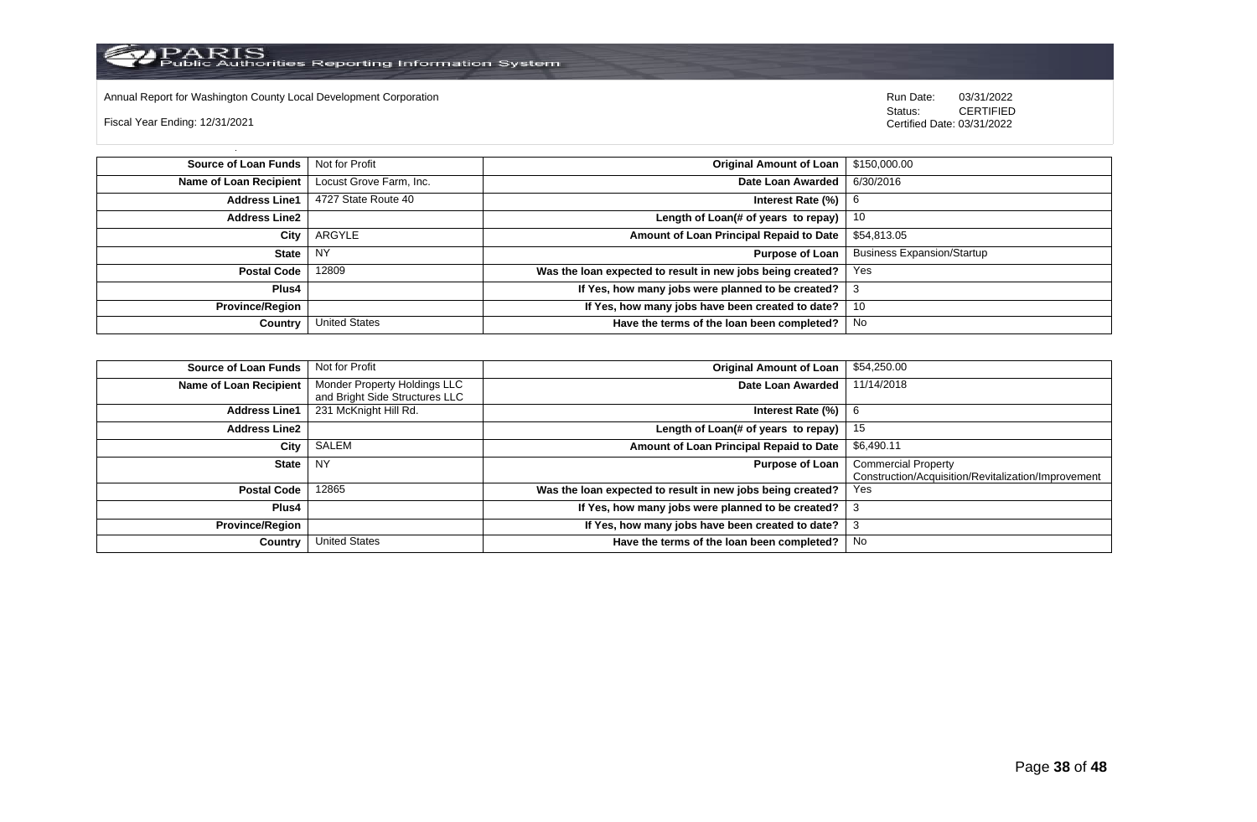

Annual Report for Washington County Local Development Corporation Run Date: 03/31/2022

Fiscal Year Ending: 12/31/2021

 Status: CERTIFIED Certified Date: 03/31/2022

**Source of Loan Funds** Not for Profit **Containers and Containers Amount Original Amount of Loan** \$150,000.00 **Name of Loan Recipient** Locust Grove Farm, Inc. **Date Loan Awarded** 6/30/2016 **Address Line1** 4727 State Route 40 **Interest Rate (%)** 6 **Interest Rate (%)** 6 **Address Line2 Length of Loan(# of years to repay)** 10 **City** ARGYLE **Amount of Loan Principal Repaid to Date** \$54,813.05 **State** NY **Purpose of Loan** Business Expansion/Startup **Postal Code** 12809 **Was the loan expected to result in new jobs being created?** Yes **Plus4 If Yes, how many jobs were planned to be created?** 3 **Province/Region If Yes, how many jobs have been created to date?** 10 **Country** United States **Have the terms of the loan been completed?** No

| Source of Loan Funds   | Not for Profit                                                 | <b>Original Amount of Loan</b>                             | \$54,250.00                                                                       |
|------------------------|----------------------------------------------------------------|------------------------------------------------------------|-----------------------------------------------------------------------------------|
| Name of Loan Recipient | Monder Property Holdings LLC<br>and Bright Side Structures LLC | Date Loan Awarded                                          | 11/14/2018                                                                        |
| <b>Address Line1</b>   | 231 McKnight Hill Rd.                                          | Interest Rate (%)                                          | -6                                                                                |
| <b>Address Line2</b>   |                                                                | Length of Loan(# of years to repay)                        | 15                                                                                |
| City                   | SALEM                                                          | Amount of Loan Principal Repaid to Date                    | \$6,490.11                                                                        |
| State                  | <b>NY</b>                                                      | <b>Purpose of Loan</b>                                     | <b>Commercial Property</b><br>Construction/Acquisition/Revitalization/Improvement |
| <b>Postal Code</b>     | 12865                                                          | Was the loan expected to result in new jobs being created? | Yes                                                                               |
| <b>Plus4</b>           |                                                                | If Yes, how many jobs were planned to be created?          |                                                                                   |
| <b>Province/Region</b> |                                                                | If Yes, how many jobs have been created to date?           | J.                                                                                |
| Country                | <b>United States</b>                                           | Have the terms of the loan been completed?                 | No                                                                                |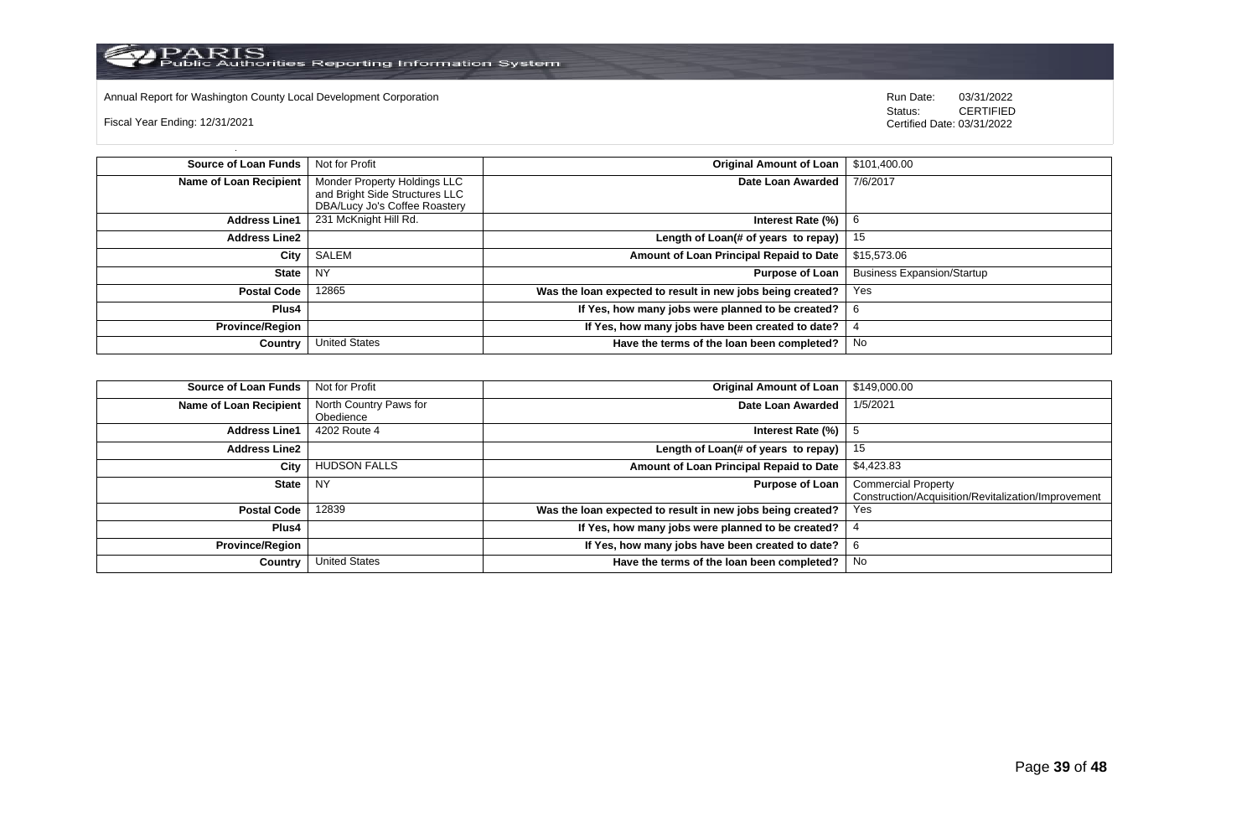

Annual Report for Washington County Local Development Corporation Run Date: 03/31/2022

Fiscal Year Ending: 12/31/2021

Status: **CERTIFIED** Certified Date: 03/31/2022

**Source of Loan Funds** Not for Profit **Containers and Studies Containers Amount of Loan** \$101,400.00 **Name of Loan Recipient** Monder Property Holdings LLC and Bright Side Structures LLC DBA/Lucy Jo's Coffee Roastery<br>231 McKnight Hill Rd. **Date Loan Awarded** 7/6/2017 **Address Line1** 231 McKnight Hill Rd. **Interest Rate (%)** 6 **Address Line2 Length of Loan(# of years to repay)** 15 **City** SALEM **Amount of Loan Principal Repaid to Date** \$15,573.06 **State** NY **Purpose of Loan** Business Expansion/Startup **Postal Code** 12865 **Was the loan expected to result in new jobs being created?** Yes **Plus4 If Yes, how many jobs were planned to be created?** 6 **Province/Region If Yes, how many jobs have been created to date?** 4 **Country** United States **Have the terms of the loan been completed?** No

| <b>Source of Loan Funds</b> | Not for Profit                      | <b>Original Amount of Loan</b>                             | \$149,000.00                                                                      |
|-----------------------------|-------------------------------------|------------------------------------------------------------|-----------------------------------------------------------------------------------|
| Name of Loan Recipient      | North Country Paws for<br>Obedience | Date Loan Awarded                                          | 1/5/2021                                                                          |
| <b>Address Line1</b>        | 4202 Route 4                        | Interest Rate (%)                                          |                                                                                   |
| <b>Address Line2</b>        |                                     | Length of Loan(# of years to repay)                        | 15                                                                                |
| City                        | <b>HUDSON FALLS</b>                 | Amount of Loan Principal Repaid to Date                    | \$4,423.83                                                                        |
| <b>State</b>                | <b>NY</b>                           | <b>Purpose of Loan</b>                                     | <b>Commercial Property</b><br>Construction/Acquisition/Revitalization/Improvement |
| <b>Postal Code</b>          | 12839                               | Was the loan expected to result in new jobs being created? | Yes                                                                               |
| <b>Plus4</b>                |                                     | If Yes, how many jobs were planned to be created?          |                                                                                   |
| <b>Province/Region</b>      |                                     | If Yes, how many jobs have been created to date?           |                                                                                   |
| Country                     | <b>United States</b>                | Have the terms of the loan been completed?                 | No                                                                                |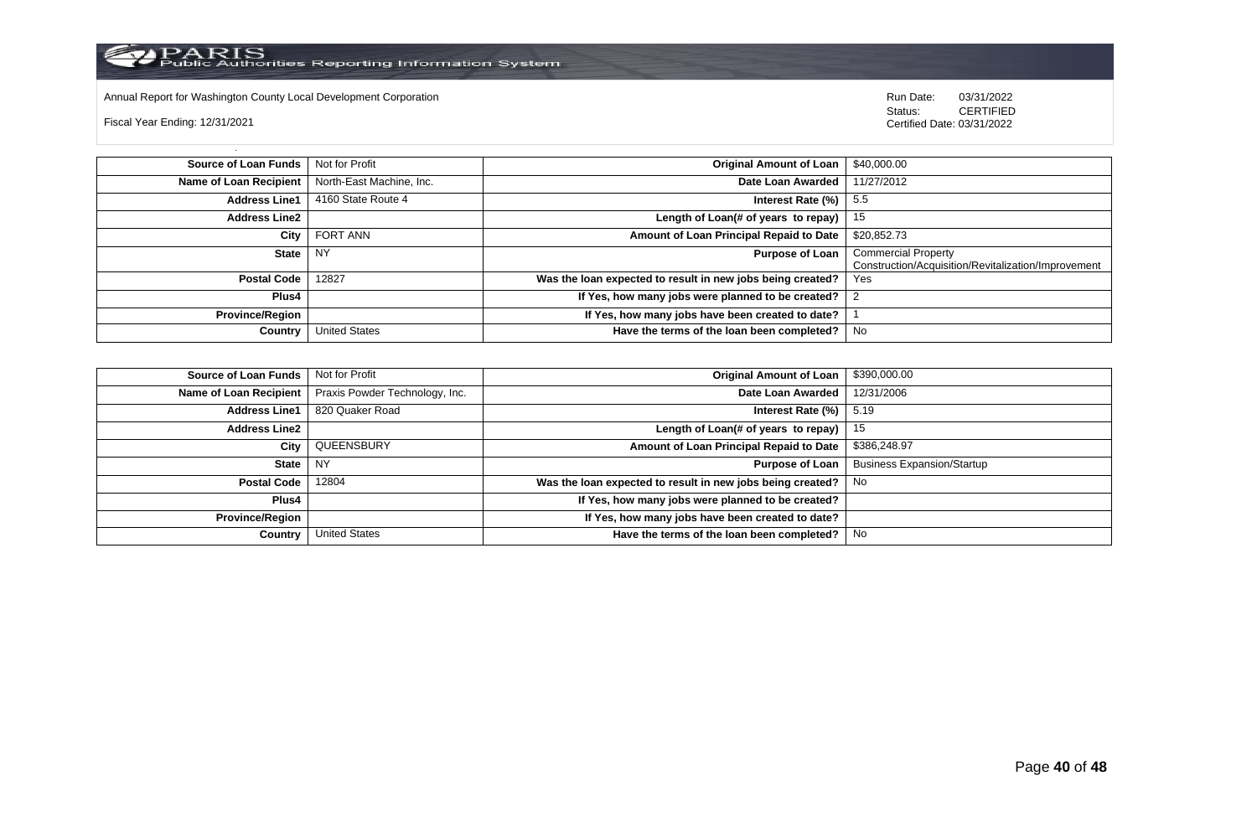Annual Report for Washington County Local Development Corporation **Company County Connect Connect Connect Annual Report** for Washington County Local Development Corporation **Run Date:** 03/31/2022 <br>Status: CERTIFIED

Fiscal Year Ending: 12/31/2021

| <b>Source of Loan Funds</b> | Not for Profit           | <b>Original Amount of Loan</b>                             | \$40,000.00                                                                       |
|-----------------------------|--------------------------|------------------------------------------------------------|-----------------------------------------------------------------------------------|
| Name of Loan Recipient      | North-East Machine, Inc. | Date Loan Awarded                                          | 11/27/2012                                                                        |
| <b>Address Line1</b>        | 4160 State Route 4       | Interest Rate (%)                                          | -5.5                                                                              |
| <b>Address Line2</b>        |                          | Length of Loan(# of years to repay)                        | 15                                                                                |
| City                        | FORT ANN                 | Amount of Loan Principal Repaid to Date                    | \$20,852.73                                                                       |
| State                       | <b>NY</b>                | <b>Purpose of Loan</b>                                     | <b>Commercial Property</b><br>Construction/Acquisition/Revitalization/Improvement |
| <b>Postal Code</b>          | 12827                    | Was the loan expected to result in new jobs being created? | Yes                                                                               |
| Plus4                       |                          | If Yes, how many jobs were planned to be created?          |                                                                                   |
| <b>Province/Region</b>      |                          | If Yes, how many jobs have been created to date?           |                                                                                   |
| Country                     | <b>United States</b>     | Have the terms of the loan been completed?                 | No                                                                                |

| <b>Source of Loan Funds</b> | Not for Profit                 | <b>Original Amount of Loan</b>                             | \$390,000.00                      |
|-----------------------------|--------------------------------|------------------------------------------------------------|-----------------------------------|
| Name of Loan Recipient      | Praxis Powder Technology, Inc. | Date Loan Awarded                                          | 12/31/2006                        |
| <b>Address Line1</b>        | 820 Quaker Road                | Interest Rate $(\%)$   5.19                                |                                   |
| <b>Address Line2</b>        |                                | Length of Loan(# of years to repay)                        | 15                                |
| City                        | QUEENSBURY                     | Amount of Loan Principal Repaid to Date                    | \$386,248.97                      |
| State                       | l NY                           | <b>Purpose of Loan</b>                                     | <b>Business Expansion/Startup</b> |
| <b>Postal Code</b>          | 12804                          | Was the loan expected to result in new jobs being created? | No.                               |
| Plus4                       |                                | If Yes, how many jobs were planned to be created?          |                                   |
| <b>Province/Region</b>      |                                | If Yes, how many jobs have been created to date?           |                                   |
| Country                     | <b>United States</b>           | Have the terms of the loan been completed?                 | No                                |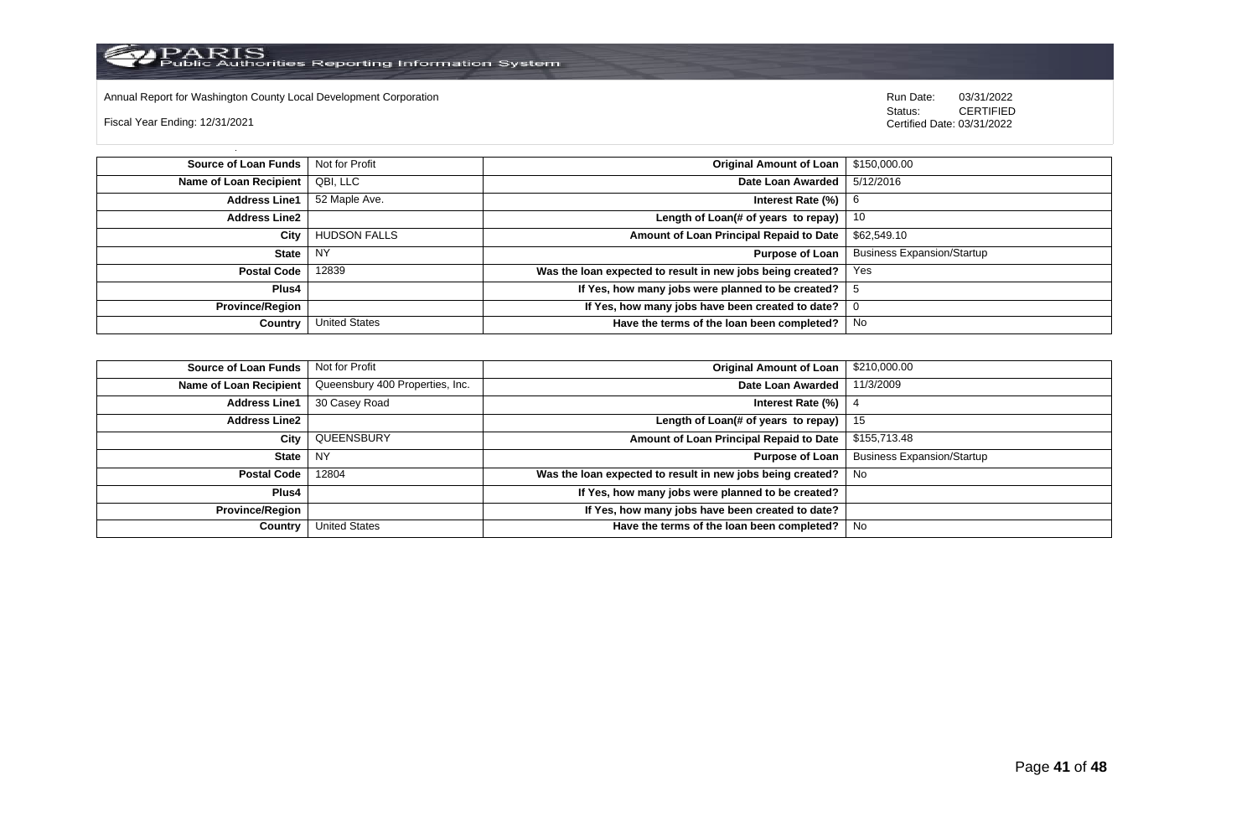

Annual Report for Washington County Local Development Corporation **Company County Connect Connect Connect Connect**<br>
Status: CERTIFIED

Fiscal Year Ending: 12/31/2021

| <b>Source of Loan Funds</b>   | Not for Profit       | Original Amount of Loan   \$150,000.00                     |                                   |
|-------------------------------|----------------------|------------------------------------------------------------|-----------------------------------|
| <b>Name of Loan Recipient</b> | QBI, LLC             | Date Loan Awarded                                          | 5/12/2016                         |
| <b>Address Line1</b>          | 52 Maple Ave.        | Interest Rate $(\%)$   6                                   |                                   |
| <b>Address Line2</b>          |                      | Length of Loan(# of years to repay) $\vert$ 10             |                                   |
| City                          | <b>HUDSON FALLS</b>  | Amount of Loan Principal Repaid to Date                    | \$62,549.10                       |
| <b>State</b>                  | I NY                 | Purpose of Loan                                            | <b>Business Expansion/Startup</b> |
| <b>Postal Code</b>            | 12839                | Was the loan expected to result in new jobs being created? | Yes                               |
| Plus4                         |                      | If Yes, how many jobs were planned to be created?          |                                   |
| <b>Province/Region</b>        |                      | If Yes, how many jobs have been created to date?           |                                   |
| Country                       | <b>United States</b> | Have the terms of the loan been completed?                 | No                                |

| <b>Source of Loan Funds</b> | Not for Profit                  | <b>Original Amount of Loan</b>                             | \$210,000.00                      |
|-----------------------------|---------------------------------|------------------------------------------------------------|-----------------------------------|
| Name of Loan Recipient      | Queensbury 400 Properties, Inc. | Date Loan Awarded                                          | 11/3/2009                         |
| <b>Address Line1</b>        | 30 Casey Road                   | Interest Rate (%)                                          |                                   |
| <b>Address Line2</b>        |                                 | Length of Loan(# of years to repay)                        | 15                                |
| City                        | QUEENSBURY                      | Amount of Loan Principal Repaid to Date                    | \$155,713.48                      |
| <b>State</b>                | <b>NY</b>                       | <b>Purpose of Loan</b>                                     | <b>Business Expansion/Startup</b> |
| <b>Postal Code</b>          | 12804                           | Was the loan expected to result in new jobs being created? | No.                               |
| Plus4                       |                                 | If Yes, how many jobs were planned to be created?          |                                   |
| <b>Province/Region</b>      |                                 | If Yes, how many jobs have been created to date?           |                                   |
| Country                     | <b>United States</b>            | Have the terms of the loan been completed?                 | No                                |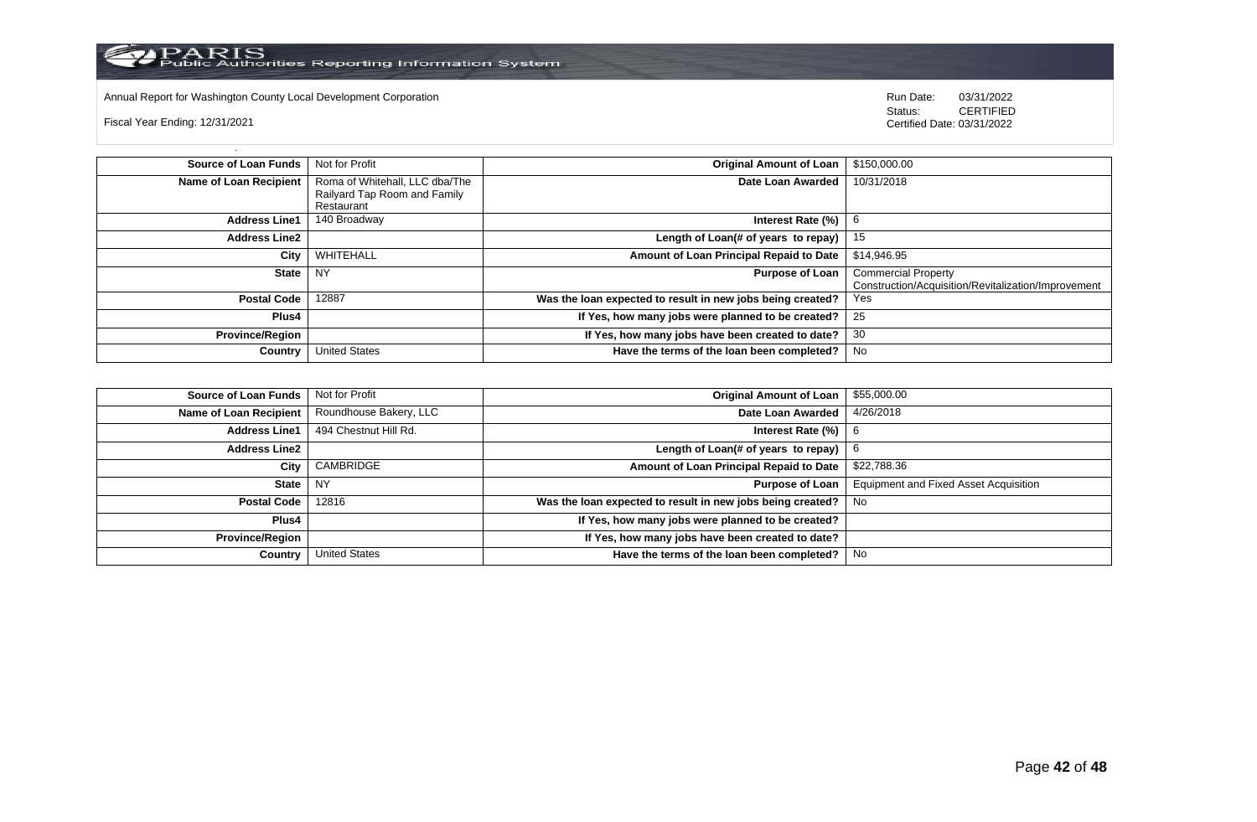

Annual Report for Washington County Local Development Corporation Run Date: 03/31/2022

Fiscal Year Ending: 12/31/2021

 Status: CERTIFIED Certified Date: 03/31/2022

**Source of Loan Funds** Not for Profit **Containers and Containers Amount Original Amount of Loan** \$150,000.00 **Name of Loan Recipient** Roma of Whitehall, LLC dba/The Railyard Tap Room and Family Restaurant Date Loan Awarded 10/31/2018 **Address Line1** | 140 Broadway **Interest Rate (%)** | 6 **Address Line2 Length of Loan(# of years to repay)** 15 **City** WHITEHALL **Amount of Loan Principal Repaid to Date** \$14,946.95 **State** NY **Purpose of Loan** Commercial Property Construction/Acquisition/Revitalization/Improvement **Postal Code** 12887 **Was the loan expected to result in new jobs being created?** Yes **Plus4 If Yes, how many jobs were planned to be created?** 25 **Province/Region If Yes, how many jobs have been created to date?** 30 **Country** United States **Have the terms of the loan been completed?** No

| <b>Source of Loan Funds</b> | Not for Profit         | <b>Original Amount of Loan</b>                                        | \$55,000.00                                  |
|-----------------------------|------------------------|-----------------------------------------------------------------------|----------------------------------------------|
| Name of Loan Recipient      | Roundhouse Bakery, LLC | Date Loan Awarded                                                     | 4/26/2018                                    |
| <b>Address Line1</b>        | 494 Chestnut Hill Rd.  | Interest Rate $(\%)$   6                                              |                                              |
| <b>Address Line2</b>        |                        | Length of Loan(# of years to repay) $\begin{bmatrix} 6 \end{bmatrix}$ |                                              |
| City                        | CAMBRIDGE              | Amount of Loan Principal Repaid to Date                               | \$22,788.36                                  |
| <b>State</b>                | NY                     | Purpose of Loan                                                       | <b>Equipment and Fixed Asset Acquisition</b> |
| <b>Postal Code</b>          | 12816                  | Was the loan expected to result in new jobs being created?            | No                                           |
| Plus4                       |                        | If Yes, how many jobs were planned to be created?                     |                                              |
| <b>Province/Region</b>      |                        | If Yes, how many jobs have been created to date?                      |                                              |
| Country                     | <b>United States</b>   | Have the terms of the loan been completed?                            | No                                           |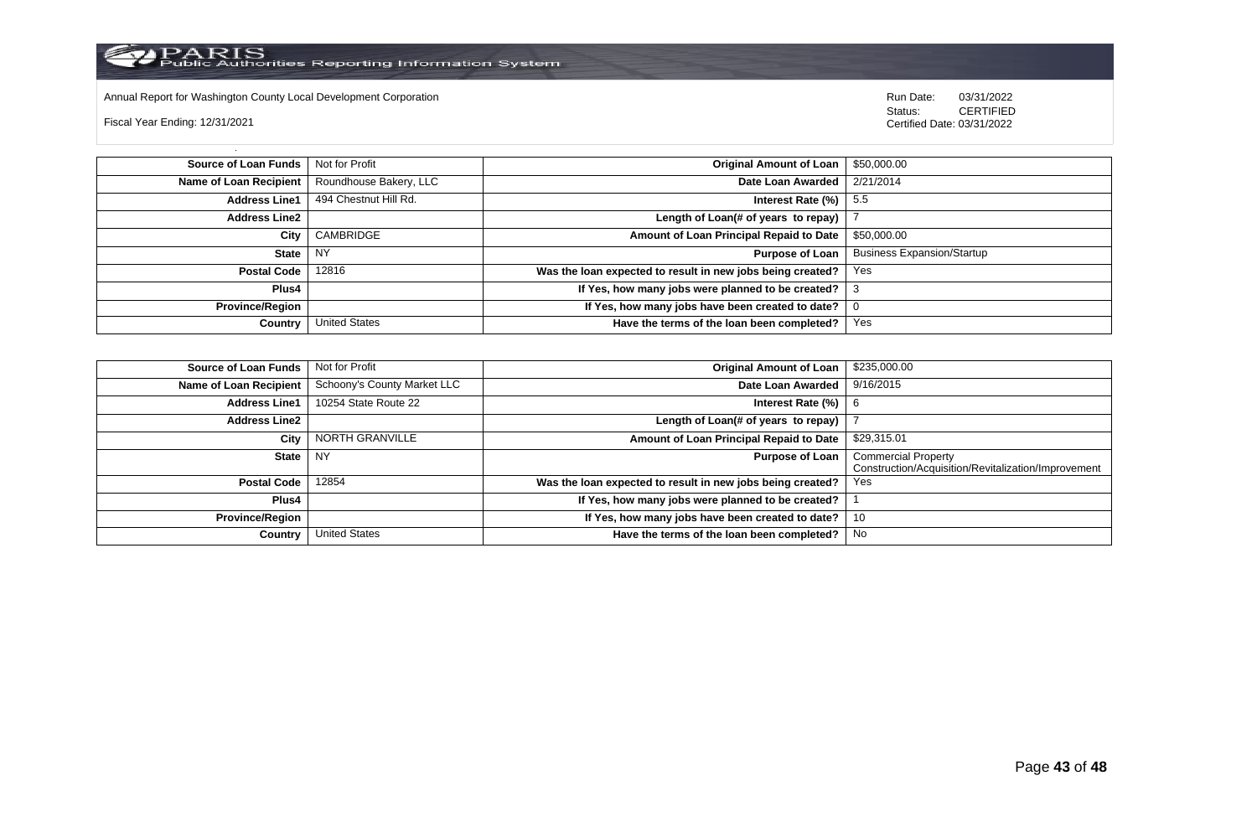

Annual Report for Washington County Local Development Corporation Run Date: 03/31/2022

Fiscal Year Ending: 12/31/2021

 Status: CERTIFIED Certified Date: 03/31/2022

**Source of Loan Funds** Not for Profit **Company of Loan 1 Structure 1** Company **Original Amount of Loan** \$50,000.00 **Name of Loan Recipient** Roundhouse Bakery, LLC **Date Loan Awarded** 2/21/2014 **Address Line1** 494 Chestnut Hill Rd. **Interest Rate (%)** 5.5 **Address Line2 Length of Loan(# of years to repay)** | 7 **City** CAMBRIDGE **Amount of Loan Principal Repaid to Date** \$50,000.00 **State** NY **Purpose of Loan** Business Expansion/Startup **Postal Code** 12816 **Was the loan expected to result in new jobs being created?** Yes **Plus4 If Yes, how many jobs were planned to be created?** 3 **Province/Region If Yes, how many jobs have been created to date?** 0 **Country** United States **Have the terms of the loan been completed?** Yes

| Source of Loan Funds   | Not for Profit              | <b>Original Amount of Loan</b>                             | \$235,000.00                                                                      |
|------------------------|-----------------------------|------------------------------------------------------------|-----------------------------------------------------------------------------------|
| Name of Loan Recipient | Schoony's County Market LLC | Date Loan Awarded                                          | 9/16/2015                                                                         |
| <b>Address Line1</b>   | 10254 State Route 22        | Interest Rate (%)                                          |                                                                                   |
| <b>Address Line2</b>   |                             | Length of Loan(# of years to repay)                        |                                                                                   |
| City                   | NORTH GRANVILLE             | Amount of Loan Principal Repaid to Date                    | \$29,315.01                                                                       |
| State                  | <b>NY</b>                   | <b>Purpose of Loan</b>                                     | <b>Commercial Property</b><br>Construction/Acquisition/Revitalization/Improvement |
| Postal Code            | 12854                       | Was the loan expected to result in new jobs being created? | Yes                                                                               |
| Plus4                  |                             | If Yes, how many jobs were planned to be created?          |                                                                                   |
| <b>Province/Region</b> |                             | If Yes, how many jobs have been created to date?           | 10                                                                                |
| <b>Country</b>         | <b>United States</b>        | Have the terms of the loan been completed?                 | No                                                                                |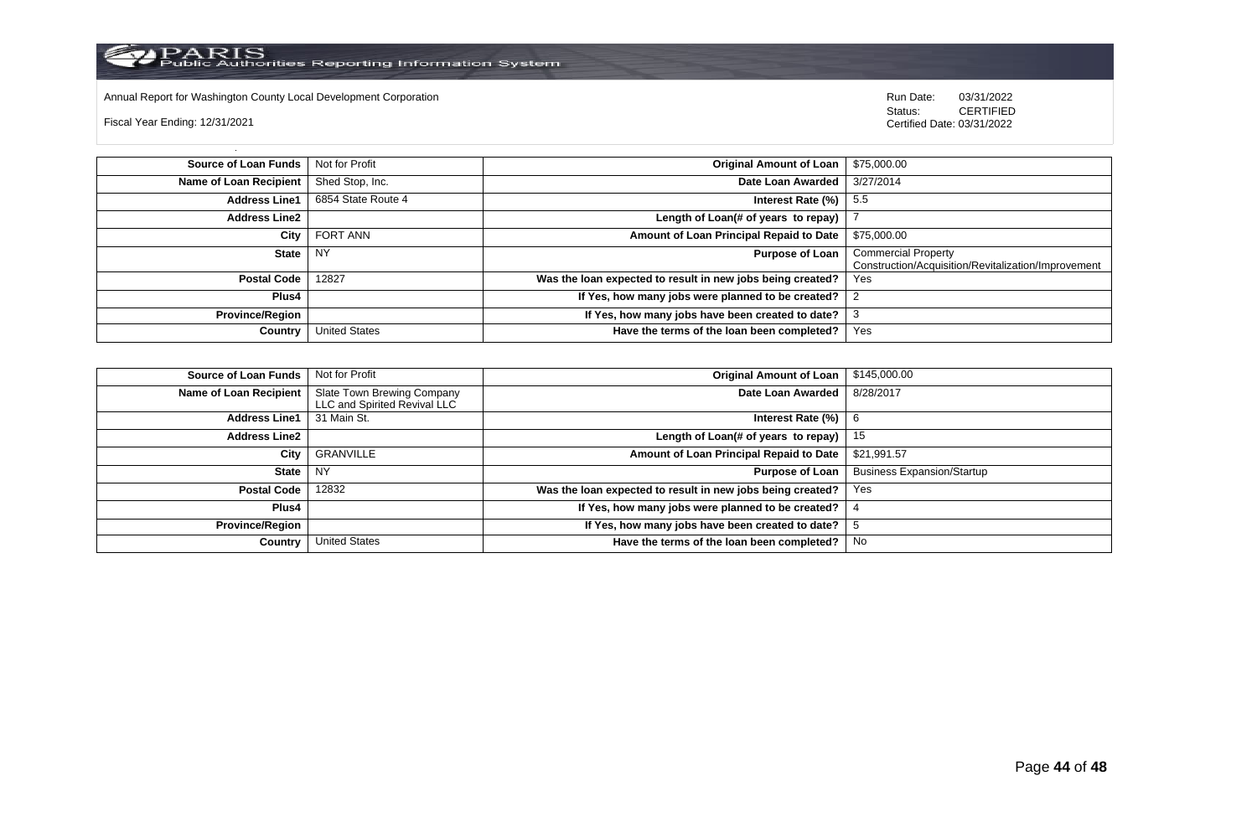Annual Report for Washington County Local Development Corporation **Company County Connect Connect Connect Connect**<br>
Status: CERTIFIED

Fiscal Year Ending: 12/31/2021

| <b>Source of Loan Funds</b> | Not for Profit       | Original Amount of Loan                                    | \$75,000.00                                                                       |
|-----------------------------|----------------------|------------------------------------------------------------|-----------------------------------------------------------------------------------|
| Name of Loan Recipient      | Shed Stop, Inc.      | Date Loan Awarded                                          | 3/27/2014                                                                         |
| <b>Address Line1</b>        | 6854 State Route 4   | Interest Rate $(\%)$   5.5                                 |                                                                                   |
| <b>Address Line2</b>        |                      | Length of Loan(# of years to repay)                        |                                                                                   |
| City                        | <b>FORT ANN</b>      | Amount of Loan Principal Repaid to Date                    | \$75,000.00                                                                       |
| <b>State</b>                | <b>NY</b>            | Purpose of Loan                                            | <b>Commercial Property</b><br>Construction/Acquisition/Revitalization/Improvement |
| <b>Postal Code</b>          | 12827                | Was the loan expected to result in new jobs being created? | Yes                                                                               |
| Plus4                       |                      | If Yes, how many jobs were planned to be created?          |                                                                                   |
| <b>Province/Region</b>      |                      | If Yes, how many jobs have been created to date?           | 3                                                                                 |
| Country                     | <b>United States</b> | Have the terms of the loan been completed?                 | Yes                                                                               |

| <b>Source of Loan Funds</b> | Not for Profit                                             | <b>Original Amount of Loan</b>                             | \$145,000.00                      |
|-----------------------------|------------------------------------------------------------|------------------------------------------------------------|-----------------------------------|
| Name of Loan Recipient      | Slate Town Brewing Company<br>LLC and Spirited Revival LLC | Date Loan Awarded                                          | 8/28/2017                         |
| <b>Address Line1</b>        | 31 Main St.                                                | Interest Rate (%)                                          |                                   |
| <b>Address Line2</b>        |                                                            | Length of Loan(# of years to repay)                        | 15                                |
| City                        | GRANVILLE                                                  | Amount of Loan Principal Repaid to Date                    | \$21,991.57                       |
| <b>State</b>                | <b>NY</b>                                                  | <b>Purpose of Loan</b>                                     | <b>Business Expansion/Startup</b> |
| <b>Postal Code</b>          | 12832                                                      | Was the loan expected to result in new jobs being created? | Yes                               |
| Plus4                       |                                                            | If Yes, how many jobs were planned to be created?          |                                   |
| <b>Province/Region</b>      |                                                            | If Yes, how many jobs have been created to date?           |                                   |
| Country                     | <b>United States</b>                                       | Have the terms of the loan been completed?                 | No                                |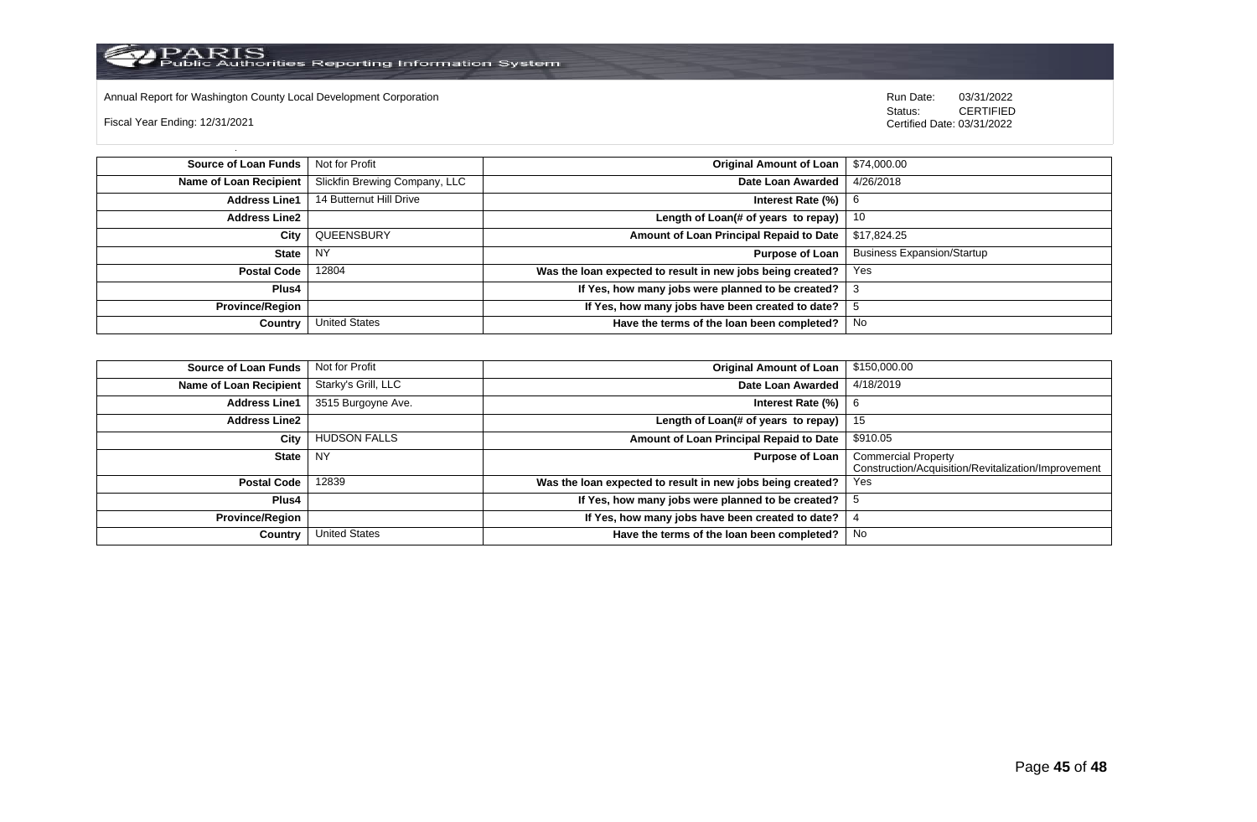

Annual Report for Washington County Local Development Corporation Run Date: 03/31/2022

Fiscal Year Ending: 12/31/2021

 Status: CERTIFIED Certified Date: 03/31/2022

**Source of Loan Funds** Not for Profit **Community 1 and 2012 Original Amount of Loan** \$74,000.00 **Name of Loan Recipient** Slickfin Brewing Company, LLC **Date Loan Awarded** 4/26/2018 **Address Line1** 14 Butternut Hill Drive **Intervention Control of Contract Rate (%)** 6 **Address Line2 Length of Loan(# of years to repay)** 10 **City** QUEENSBURY **Amount of Loan Principal Repaid to Date** \$17,824.25 **State** NY **Purpose of Loan** Business Expansion/Startup **Postal Code** 12804 **Was the loan expected to result in new jobs being created?** Yes **Plus4 If Yes, how many jobs were planned to be created?** 3 **Province/Region If Yes, how many jobs have been created to date?** 5 **Country** United States **Have the terms of the loan been completed?** No

| Source of Loan Funds   | Not for Profit      | <b>Original Amount of Loan</b>                             | \$150,000.00                                                                      |
|------------------------|---------------------|------------------------------------------------------------|-----------------------------------------------------------------------------------|
| Name of Loan Recipient | Starky's Grill, LLC | Date Loan Awarded                                          | 4/18/2019                                                                         |
| <b>Address Line1</b>   | 3515 Burgoyne Ave.  | Interest Rate (%)                                          | 6                                                                                 |
| Address Line2          |                     | Length of Loan(# of years to repay)                        | 15                                                                                |
| City                   | <b>HUDSON FALLS</b> | Amount of Loan Principal Repaid to Date                    | \$910.05                                                                          |
| State                  | NY                  | <b>Purpose of Loan</b>                                     | <b>Commercial Property</b><br>Construction/Acquisition/Revitalization/Improvement |
|                        |                     |                                                            |                                                                                   |
| Postal Code            | 12839               | Was the loan expected to result in new jobs being created? | Yes                                                                               |
| <b>Plus4</b>           |                     | If Yes, how many jobs were planned to be created?          |                                                                                   |
| <b>Province/Region</b> |                     | If Yes, how many jobs have been created to date?           |                                                                                   |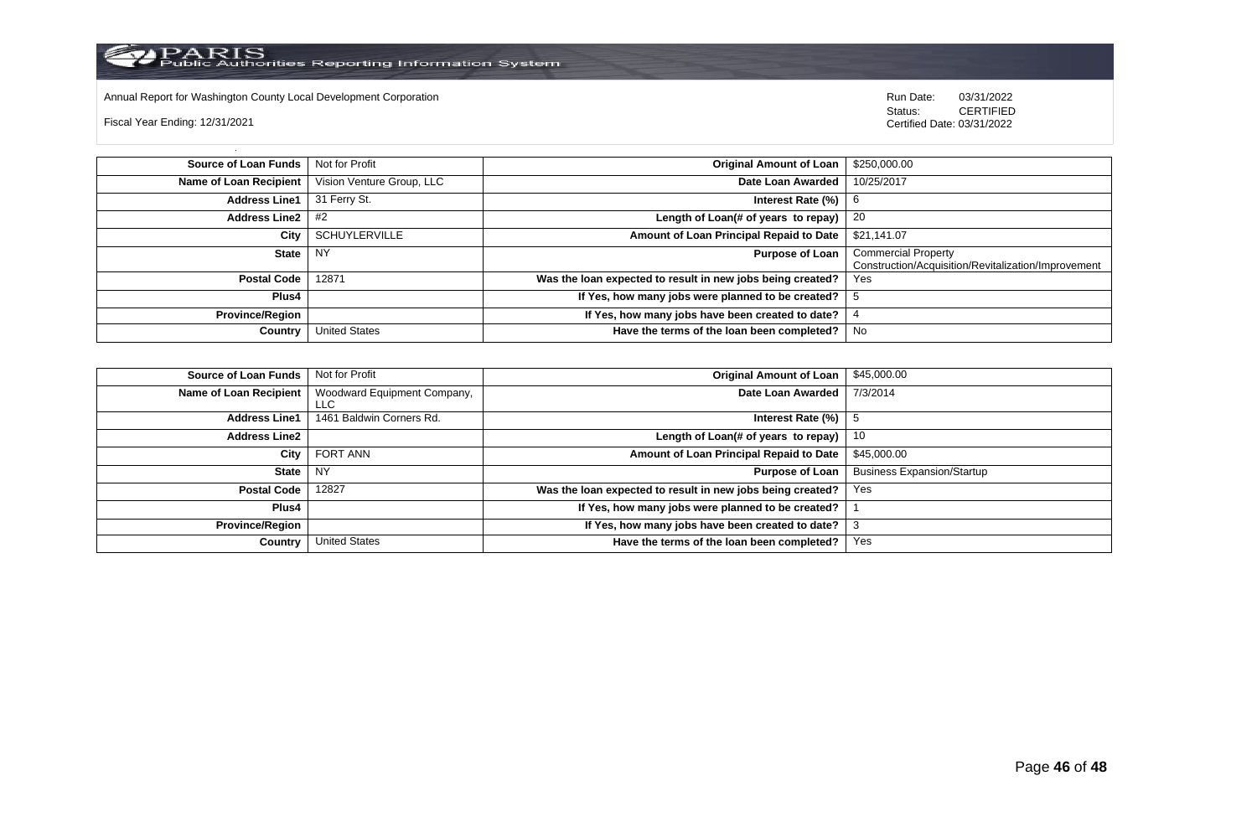

Annual Report for Washington County Local Development Corporation **Company County Connect Connect Connect Connect**<br>
Status: CERTIFIED

Fiscal Year Ending: 12/31/2021

| <b>Source of Loan Funds</b>   | Not for Profit            | <b>Original Amount of Loan</b>                             | \$250,000.00                                                                      |
|-------------------------------|---------------------------|------------------------------------------------------------|-----------------------------------------------------------------------------------|
| <b>Name of Loan Recipient</b> | Vision Venture Group, LLC | Date Loan Awarded                                          | 10/25/2017                                                                        |
| <b>Address Line1</b>          | 31 Ferry St.              | Interest Rate $(\%)$                                       | b                                                                                 |
| Address Line $2 \mid #2$      |                           | Length of Loan(# of years to repay) $ $                    | -20                                                                               |
| City                          | <b>SCHUYLERVILLE</b>      | Amount of Loan Principal Repaid to Date                    | \$21,141.07                                                                       |
| <b>State</b>                  | <b>NY</b>                 | <b>Purpose of Loan</b>                                     | <b>Commercial Property</b><br>Construction/Acquisition/Revitalization/Improvement |
| <b>Postal Code</b>            | 12871                     | Was the loan expected to result in new jobs being created? | Yes                                                                               |
| Plus4                         |                           | If Yes, how many jobs were planned to be created?          |                                                                                   |
| <b>Province/Region</b>        |                           | If Yes, how many jobs have been created to date?           |                                                                                   |
| Country                       | <b>United States</b>      | Have the terms of the loan been completed?                 | No                                                                                |

| <b>Source of Loan Funds</b> | Not for Profit                     | <b>Original Amount of Loan</b>                             | \$45,000.00                       |
|-----------------------------|------------------------------------|------------------------------------------------------------|-----------------------------------|
| Name of Loan Recipient      | Woodward Equipment Company,<br>LLC | Date Loan Awarded                                          | 7/3/2014                          |
| <b>Address Line1</b>        | 1461 Baldwin Corners Rd.           | Interest Rate (%)                                          |                                   |
| <b>Address Line2</b>        |                                    | Length of Loan(# of years to repay)                        | 10                                |
| City                        | FORT ANN                           | Amount of Loan Principal Repaid to Date                    | \$45,000.00                       |
| <b>State</b>                | <b>NY</b>                          | <b>Purpose of Loan</b>                                     | <b>Business Expansion/Startup</b> |
| <b>Postal Code</b>          | 12827                              | Was the loan expected to result in new jobs being created? | Yes                               |
| Plus4                       |                                    | If Yes, how many jobs were planned to be created?          |                                   |
| <b>Province/Region</b>      |                                    | If Yes, how many jobs have been created to date?           |                                   |
| Country                     | <b>United States</b>               | Have the terms of the loan been completed?                 | Yes                               |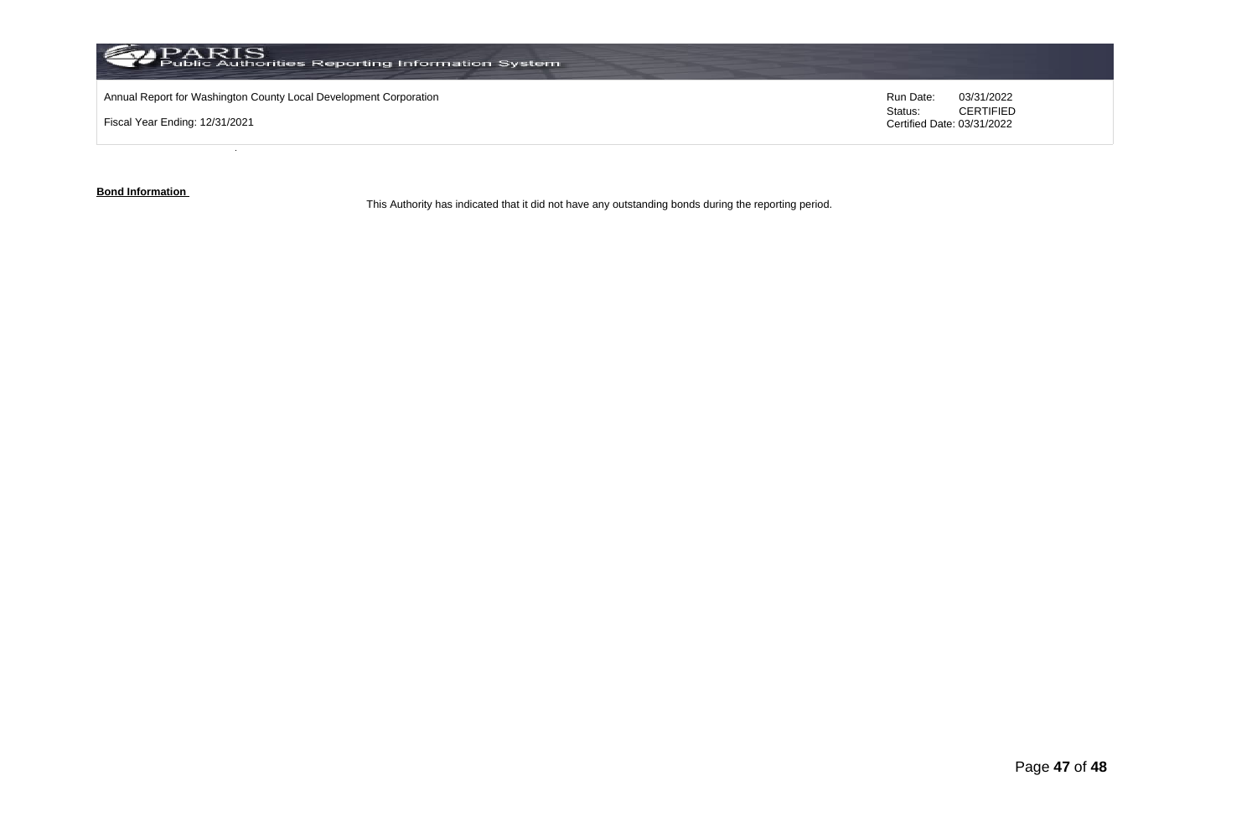

**Bond Information** 

This Authority has indicated that it did not have any outstanding bonds during the reporting period.